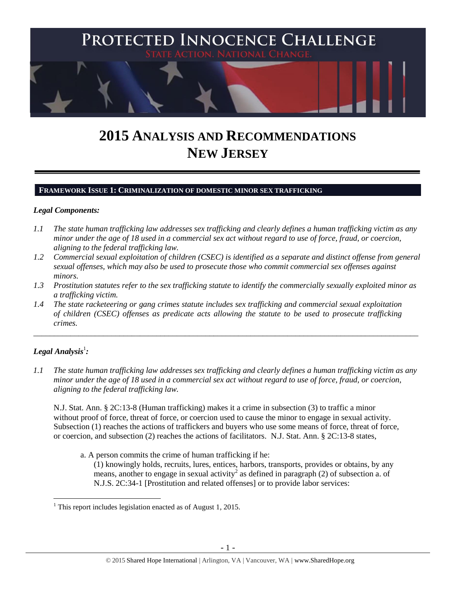

# **2015 ANALYSIS AND RECOMMENDATIONS NEW JERSEY**

#### **FRAMEWORK ISSUE 1: CRIMINALIZATION OF DOMESTIC MINOR SEX TRAFFICKING**

#### *Legal Components:*

- *1.1 The state human trafficking law addresses sex trafficking and clearly defines a human trafficking victim as any minor under the age of 18 used in a commercial sex act without regard to use of force, fraud, or coercion, aligning to the federal trafficking law.*
- *1.2 Commercial sexual exploitation of children (CSEC) is identified as a separate and distinct offense from general sexual offenses, which may also be used to prosecute those who commit commercial sex offenses against minors.*
- *1.3 Prostitution statutes refer to the sex trafficking statute to identify the commercially sexually exploited minor as a trafficking victim.*

\_\_\_\_\_\_\_\_\_\_\_\_\_\_\_\_\_\_\_\_\_\_\_\_\_\_\_\_\_\_\_\_\_\_\_\_\_\_\_\_\_\_\_\_\_\_\_\_\_\_\_\_\_\_\_\_\_\_\_\_\_\_\_\_\_\_\_\_\_\_\_\_\_\_\_\_\_\_\_\_\_\_\_\_\_\_\_\_\_\_\_\_\_\_

*1.4 The state racketeering or gang crimes statute includes sex trafficking and commercial sexual exploitation of children (CSEC) offenses as predicate acts allowing the statute to be used to prosecute trafficking crimes.* 

# $\bm{L}$ egal Analysis $^1$ :

*1.1 The state human trafficking law addresses sex trafficking and clearly defines a human trafficking victim as any minor under the age of 18 used in a commercial sex act without regard to use of force, fraud, or coercion, aligning to the federal trafficking law.*

N.J. Stat. Ann. § 2C:13-8 (Human trafficking) makes it a crime in subsection (3) to traffic a minor without proof of force, threat of force, or coercion used to cause the minor to engage in sexual activity. Subsection (1) reaches the actions of traffickers and buyers who use some means of force, threat of force, or coercion, and subsection (2) reaches the actions of facilitators. N.J. Stat. Ann. § 2C:13-8 states,

a. A person commits the crime of human trafficking if he:

<span id="page-0-0"></span>(1) knowingly holds, recruits, lures, entices, harbors, transports, provides or obtains, by any means, another to engage in sexual activity<sup>2</sup> as defined in paragraph (2) of subsection a. of N.J.S. 2C:34-1 [Prostitution and related offenses] or to provide labor services:

 $\overline{a}$  $<sup>1</sup>$  This report includes legislation enacted as of August 1, 2015.</sup>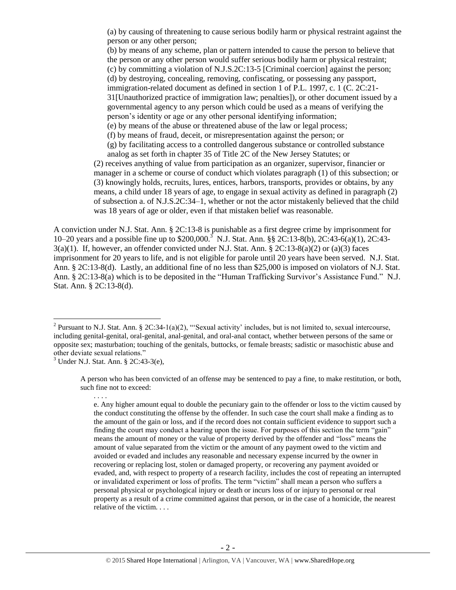(a) by causing of threatening to cause serious bodily harm or physical restraint against the person or any other person;

(b) by means of any scheme, plan or pattern intended to cause the person to believe that the person or any other person would suffer serious bodily harm or physical restraint; (c) by committing a violation of N.J.S.2C:13-5 [Criminal coercion] against the person; (d) by destroying, concealing, removing, confiscating, or possessing any passport, immigration-related document as defined in section 1 of P.L. 1997, c. 1 (C. 2C:21- 31[Unauthorized practice of immigration law; penalties]), or other document issued by a governmental agency to any person which could be used as a means of verifying the person's identity or age or any other personal identifying information; (e) by means of the abuse or threatened abuse of the law or legal process;

(f) by means of fraud, deceit, or misrepresentation against the person; or

(g) by facilitating access to a controlled dangerous substance or controlled substance analog as set forth in chapter 35 of Title 2C of the New Jersey Statutes; or

<span id="page-1-0"></span>(2) receives anything of value from participation as an organizer, supervisor, financier or manager in a scheme or course of conduct which violates paragraph (1) of this subsection; or (3) knowingly holds, recruits, lures, entices, harbors, transports, provides or obtains, by any means, a child under 18 years of age, to engage in sexual activity as defined in paragraph (2) of subsection a. of N.J.S.2C:34–1, whether or not the actor mistakenly believed that the child was 18 years of age or older, even if that mistaken belief was reasonable.

A conviction under N.J. Stat. Ann. § 2C:13-8 is punishable as a first degree crime by imprisonment for 10–20 years and a possible fine up to \$200,000.<sup>3</sup> N.J. Stat. Ann. §§ 2C:13-8(b), 2C:43-6(a)(1), 2C:43-  $3(a)(1)$ . If, however, an offender convicted under N.J. Stat. Ann. § 2C:13-8(a)(2) or (a)(3) faces imprisonment for 20 years to life, and is not eligible for parole until 20 years have been served. N.J. Stat. Ann. § 2C:13-8(d). Lastly, an additional fine of no less than \$25,000 is imposed on violators of N.J. Stat. Ann. § 2C:13-8(a) which is to be deposited in the "Human Trafficking Survivor's Assistance Fund." N.J. Stat. Ann. § 2C:13-8(d).

. . . .

 $\overline{a}$ 

A person who has been convicted of an offense may be sentenced to pay a fine, to make restitution, or both, such fine not to exceed:

<sup>&</sup>lt;sup>2</sup> Pursuant to N.J. Stat. Ann. § 2C:34-1(a)(2), "Sexual activity' includes, but is not limited to, sexual intercourse, including genital-genital, oral-genital, anal-genital, and oral-anal contact, whether between persons of the same or opposite sex; masturbation; touching of the genitals, buttocks, or female breasts; sadistic or masochistic abuse and other deviate sexual relations."

 $3$  Under N.J. Stat. Ann. § 2C:43-3(e),

e. Any higher amount equal to double the pecuniary gain to the offender or loss to the victim caused by the conduct constituting the offense by the offender. In such case the court shall make a finding as to the amount of the gain or loss, and if the record does not contain sufficient evidence to support such a finding the court may conduct a hearing upon the issue. For purposes of this section the term "gain" means the amount of money or the value of property derived by the offender and "loss" means the amount of value separated from the victim or the amount of any payment owed to the victim and avoided or evaded and includes any reasonable and necessary expense incurred by the owner in recovering or replacing lost, stolen or damaged property, or recovering any payment avoided or evaded, and, with respect to property of a research facility, includes the cost of repeating an interrupted or invalidated experiment or loss of profits. The term "victim" shall mean a person who suffers a personal physical or psychological injury or death or incurs loss of or injury to personal or real property as a result of a crime committed against that person, or in the case of a homicide, the nearest relative of the victim. . . .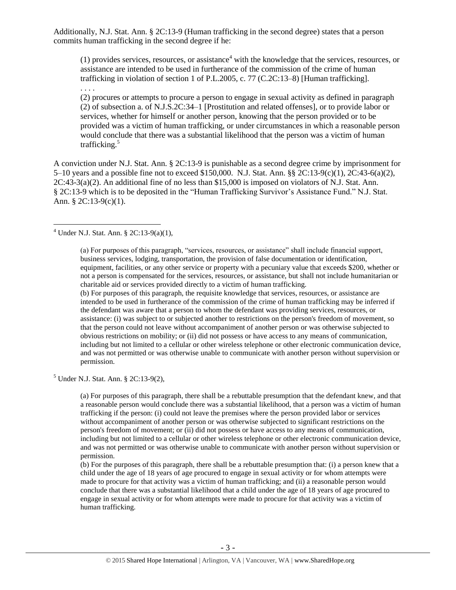Additionally, N.J. Stat. Ann. § 2C:13-9 (Human trafficking in the second degree) states that a person commits human trafficking in the second degree if he:

<span id="page-2-1"></span>(1) provides services, resources, or assistance<sup>4</sup> with the knowledge that the services, resources, or assistance are intended to be used in furtherance of the commission of the crime of human trafficking in violation of section 1 of P.L.2005, c. 77 (C.2C:13–8) [Human trafficking].

. . . .

 $\overline{a}$ 

<span id="page-2-0"></span>(2) procures or attempts to procure a person to engage in sexual activity as defined in paragraph (2) of subsection a. of N.J.S.2C:34–1 [Prostitution and related offenses], or to provide labor or services, whether for himself or another person, knowing that the person provided or to be provided was a victim of human trafficking, or under circumstances in which a reasonable person would conclude that there was a substantial likelihood that the person was a victim of human trafficking.<sup>5</sup>

A conviction under N.J. Stat. Ann. § 2C:13-9 is punishable as a second degree crime by imprisonment for 5–10 years and a possible fine not to exceed \$150,000. N.J. Stat. Ann. §§ 2C:13-9(c)(1), 2C:43-6(a)(2), 2C:43-3(a)(2). An additional fine of no less than \$15,000 is imposed on violators of N.J. Stat. Ann. § 2C:13-9 which is to be deposited in the "Human Trafficking Survivor's Assistance Fund." N.J. Stat. Ann. § 2C:13-9(c)(1).

(a) For purposes of this paragraph, "services, resources, or assistance" shall include financial support, business services, lodging, transportation, the provision of false documentation or identification, equipment, facilities, or any other service or property with a pecuniary value that exceeds \$200, whether or not a person is compensated for the services, resources, or assistance, but shall not include humanitarian or charitable aid or services provided directly to a victim of human trafficking.

(b) For purposes of this paragraph, the requisite knowledge that services, resources, or assistance are intended to be used in furtherance of the commission of the crime of human trafficking may be inferred if the defendant was aware that a person to whom the defendant was providing services, resources, or assistance: (i) was subject to or subjected another to restrictions on the person's freedom of movement, so that the person could not leave without accompaniment of another person or was otherwise subjected to obvious restrictions on mobility; or (ii) did not possess or have access to any means of communication, including but not limited to a cellular or other wireless telephone or other electronic communication device, and was not permitted or was otherwise unable to communicate with another person without supervision or permission.

 $5$  Under N.J. Stat. Ann. § 2C:13-9(2),

(a) For purposes of this paragraph, there shall be a rebuttable presumption that the defendant knew, and that a reasonable person would conclude there was a substantial likelihood, that a person was a victim of human trafficking if the person: (i) could not leave the premises where the person provided labor or services without accompaniment of another person or was otherwise subjected to significant restrictions on the person's freedom of movement; or (ii) did not possess or have access to any means of communication, including but not limited to a cellular or other wireless telephone or other electronic communication device, and was not permitted or was otherwise unable to communicate with another person without supervision or permission.

(b) For the purposes of this paragraph, there shall be a rebuttable presumption that: (i) a person knew that a child under the age of 18 years of age procured to engage in sexual activity or for whom attempts were made to procure for that activity was a victim of human trafficking; and (ii) a reasonable person would conclude that there was a substantial likelihood that a child under the age of 18 years of age procured to engage in sexual activity or for whom attempts were made to procure for that activity was a victim of human trafficking.

 $4$  Under N.J. Stat. Ann. § 2C:13-9(a)(1),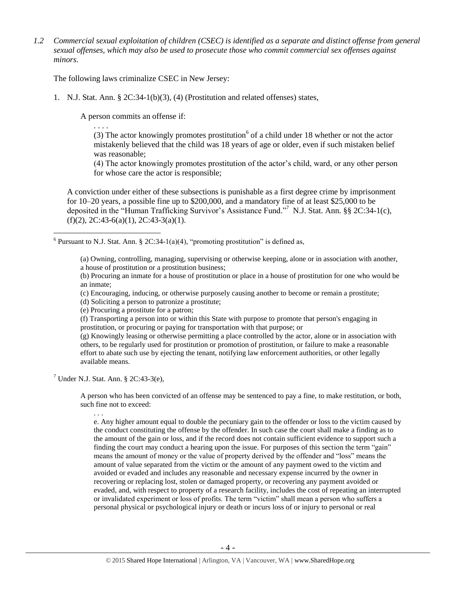*1.2 Commercial sexual exploitation of children (CSEC) is identified as a separate and distinct offense from general sexual offenses, which may also be used to prosecute those who commit commercial sex offenses against minors.*

The following laws criminalize CSEC in New Jersey:

1. N.J. Stat. Ann. § 2C:34-1(b)(3), (4) (Prostitution and related offenses) states,

A person commits an offense if:

. . . . (3) The actor knowingly promotes prostitution<sup>6</sup> of a child under 18 whether or not the actor mistakenly believed that the child was 18 years of age or older, even if such mistaken belief was reasonable;

(4) The actor knowingly promotes prostitution of the actor's child, ward, or any other person for whose care the actor is responsible;

A conviction under either of these subsections is punishable as a first degree crime by imprisonment for 10–20 years, a possible fine up to \$200,000, and a mandatory fine of at least \$25,000 to be deposited in the "Human Trafficking Survivor's Assistance Fund." <sup>7</sup> N.J. Stat. Ann. §§ 2C:34-1(c),  $(f)(2)$ , 2C:43-6(a)(1), 2C:43-3(a)(1).

<sup>6</sup> Pursuant to N.J. Stat. Ann. § 2C:34-1(a)(4), "promoting prostitution" is defined as,

(a) Owning, controlling, managing, supervising or otherwise keeping, alone or in association with another, a house of prostitution or a prostitution business;

(b) Procuring an inmate for a house of prostitution or place in a house of prostitution for one who would be an inmate;

(c) Encouraging, inducing, or otherwise purposely causing another to become or remain a prostitute;

(d) Soliciting a person to patronize a prostitute;

(e) Procuring a prostitute for a patron;

(f) Transporting a person into or within this State with purpose to promote that person's engaging in prostitution, or procuring or paying for transportation with that purpose; or

(g) Knowingly leasing or otherwise permitting a place controlled by the actor, alone or in association with others, to be regularly used for prostitution or promotion of prostitution, or failure to make a reasonable effort to abate such use by ejecting the tenant, notifying law enforcement authorities, or other legally available means.

 $^7$  Under N.J. Stat. Ann. § 2C:43-3(e),

A person who has been convicted of an offense may be sentenced to pay a fine, to make restitution, or both, such fine not to exceed:

. . .

 $\overline{a}$ 

e. Any higher amount equal to double the pecuniary gain to the offender or loss to the victim caused by the conduct constituting the offense by the offender. In such case the court shall make a finding as to the amount of the gain or loss, and if the record does not contain sufficient evidence to support such a finding the court may conduct a hearing upon the issue. For purposes of this section the term "gain" means the amount of money or the value of property derived by the offender and "loss" means the amount of value separated from the victim or the amount of any payment owed to the victim and avoided or evaded and includes any reasonable and necessary expense incurred by the owner in recovering or replacing lost, stolen or damaged property, or recovering any payment avoided or evaded, and, with respect to property of a research facility, includes the cost of repeating an interrupted or invalidated experiment or loss of profits. The term "victim" shall mean a person who suffers a personal physical or psychological injury or death or incurs loss of or injury to personal or real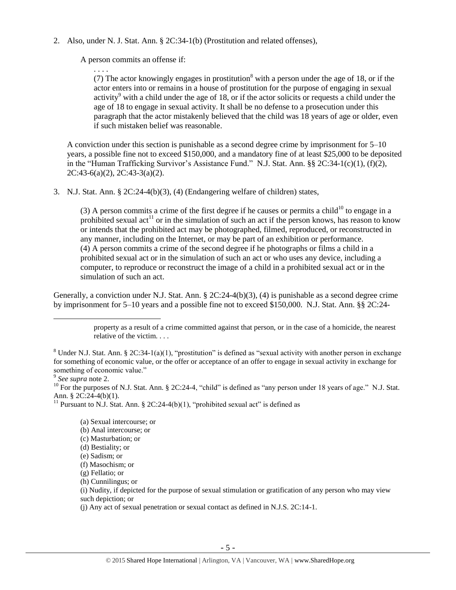2. Also, under N. J. Stat. Ann. § 2C:34-1(b) (Prostitution and related offenses),

A person commits an offense if:

. . . .

(7) The actor knowingly engages in prostitution<sup>8</sup> with a person under the age of 18, or if the actor enters into or remains in a house of prostitution for the purpose of engaging in sexual activity<sup>9</sup> with a child under the age of 18, or if the actor solicits or requests a child under the age of 18 to engage in sexual activity. It shall be no defense to a prosecution under this paragraph that the actor mistakenly believed that the child was 18 years of age or older, even if such mistaken belief was reasonable.

A conviction under this section is punishable as a second degree crime by imprisonment for 5–10 years, a possible fine not to exceed \$150,000, and a mandatory fine of at least \$25,000 to be deposited in the "Human Trafficking Survivor's Assistance Fund." N.J. Stat. Ann. §§ 2C:34-1(c)(1), (f)(2), 2C:43-6(a)(2), 2C:43-3(a)(2).

3. N.J. Stat. Ann. § 2C:24-4(b)(3), (4) (Endangering welfare of children) states,

<span id="page-4-1"></span><span id="page-4-0"></span>(3) A person commits a crime of the first degree if he causes or permits a child<sup>10</sup> to engage in a prohibited sexual act<sup>11</sup> or in the simulation of such an act if the person knows, has reason to know or intends that the prohibited act may be photographed, filmed, reproduced, or reconstructed in any manner, including on the Internet, or may be part of an exhibition or performance. (4) A person commits a crime of the second degree if he photographs or films a child in a prohibited sexual act or in the simulation of such an act or who uses any device, including a computer, to reproduce or reconstruct the image of a child in a prohibited sexual act or in the simulation of such an act.

Generally, a conviction under N.J. Stat. Ann. § 2C:24-4(b)(3), (4) is punishable as a second degree crime by imprisonment for 5–10 years and a possible fine not to exceed \$150,000. N.J. Stat. Ann. §§ 2C:24-

 $\overline{a}$ 

<sup>10</sup> For the purposes of N.J. Stat. Ann. § 2C:24-4, "child" is defined as "any person under 18 years of age." N.J. Stat. Ann. § 2C:24-4(b)(1).

<sup>11</sup> Pursuant to N.J. Stat. Ann. § 2C:24-4(b)(1), "prohibited sexual act" is defined as

(a) Sexual intercourse; or (b) Anal intercourse; or (c) Masturbation; or (d) Bestiality; or (e) Sadism; or (f) Masochism; or (g) Fellatio; or (h) Cunnilingus; or (i) Nudity, if depicted for the purpose of sexual stimulation or gratification of any person who may view such depiction; or

(j) Any act of sexual penetration or sexual contact as defined in N.J.S. 2C:14-1.

property as a result of a crime committed against that person, or in the case of a homicide, the nearest relative of the victim. . . .

<sup>&</sup>lt;sup>8</sup> Under N.J. Stat. Ann. § 2C:34-1(a)(1), "prostitution" is defined as "sexual activity with another person in exchange for something of economic value, or the offer or acceptance of an offer to engage in sexual activity in exchange for something of economic value."

<sup>9</sup> *See supra* note [2.](#page-0-0)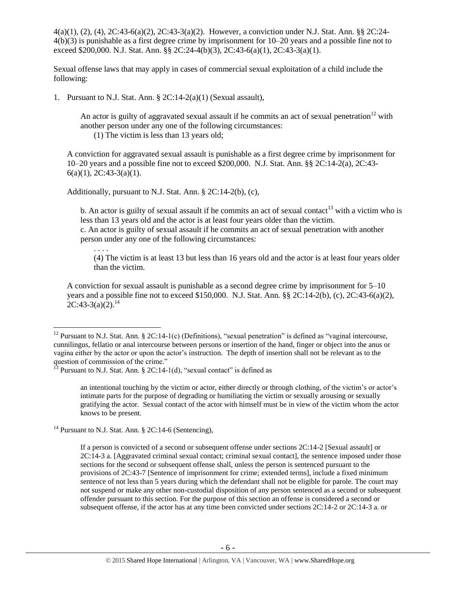4(a)(1), (2), (4), 2C:43-6(a)(2), 2C:43-3(a)(2). However, a conviction under N.J. Stat. Ann. §§ 2C:24- 4(b)(3) is punishable as a first degree crime by imprisonment for 10–20 years and a possible fine not to exceed \$200,000. N.J. Stat. Ann. §§ 2C:24-4(b)(3), 2C:43-6(a)(1), 2C:43-3(a)(1).

Sexual offense laws that may apply in cases of commercial sexual exploitation of a child include the following:

1. Pursuant to N.J. Stat. Ann. § 2C:14-2(a)(1) (Sexual assault),

An actor is guilty of aggravated sexual assault if he commits an act of sexual penetration<sup>12</sup> with another person under any one of the following circumstances:

<span id="page-5-1"></span>(1) The victim is less than 13 years old;

A conviction for aggravated sexual assault is punishable as a first degree crime by imprisonment for 10–20 years and a possible fine not to exceed \$200,000. N.J. Stat. Ann. §§ 2C:14-2(a), 2C:43-  $6(a)(1), 2C:43-3(a)(1).$ 

Additionally, pursuant to N.J. Stat. Ann. § 2C:14-2(b), (c),

b. An actor is guilty of sexual assault if he commits an act of sexual contact<sup>13</sup> with a victim who is less than 13 years old and the actor is at least four years older than the victim.

c. An actor is guilty of sexual assault if he commits an act of sexual penetration with another person under any one of the following circumstances: . . . .

<span id="page-5-2"></span>(4) The victim is at least 13 but less than 16 years old and the actor is at least four years older than the victim.

<span id="page-5-0"></span>A conviction for sexual assault is punishable as a second degree crime by imprisonment for 5–10 years and a possible fine not to exceed \$150,000. N.J. Stat. Ann. §§ 2C:14-2(b), (c), 2C:43-6(a)(2),  $2C:43-3(a)(2)$ <sup>14</sup>

an intentional touching by the victim or actor, either directly or through clothing, of the victim's or actor's intimate parts for the purpose of degrading or humiliating the victim or sexually arousing or sexually gratifying the actor. Sexual contact of the actor with himself must be in view of the victim whom the actor knows to be present.

<sup>14</sup> Pursuant to N.J. Stat. Ann. § 2C:14-6 (Sentencing),

 $\overline{a}$ 

If a person is convicted of a second or subsequent offense under sections 2C:14-2 [Sexual assault] or 2C:14-3 a. [Aggravated criminal sexual contact; criminal sexual contact], the sentence imposed under those sections for the second or subsequent offense shall, unless the person is sentenced pursuant to the provisions of 2C:43-7 [Sentence of imprisonment for crime; extended terms], include a fixed minimum sentence of not less than 5 years during which the defendant shall not be eligible for parole. The court may not suspend or make any other non-custodial disposition of any person sentenced as a second or subsequent offender pursuant to this section. For the purpose of this section an offense is considered a second or subsequent offense, if the actor has at any time been convicted under sections 2C:14-2 or 2C:14-3 a. or

<sup>&</sup>lt;sup>12</sup> Pursuant to N.J. Stat. Ann. § 2C:14-1(c) (Definitions), "sexual penetration" is defined as "vaginal intercourse, cunnilingus, fellatio or anal intercourse between persons or insertion of the hand, finger or object into the anus or vagina either by the actor or upon the actor's instruction. The depth of insertion shall not be relevant as to the question of commission of the crime."

 $1^3$  Pursuant to N.J. Stat. Ann. § 2C:14-1(d), "sexual contact" is defined as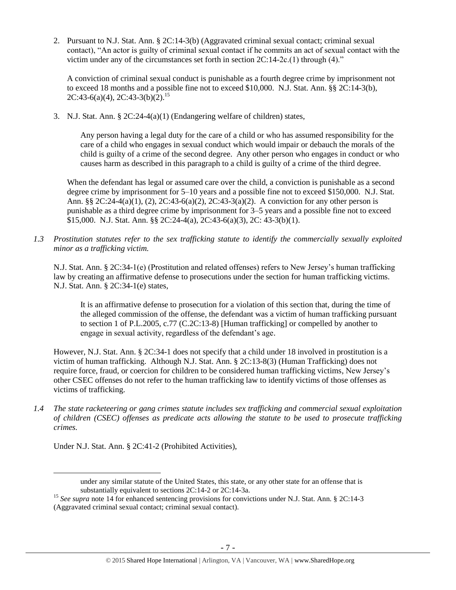2. Pursuant to N.J. Stat. Ann. § 2C:14-3(b) (Aggravated criminal sexual contact; criminal sexual contact), "An actor is guilty of criminal sexual contact if he commits an act of sexual contact with the victim under any of the circumstances set forth in section 2C:14-2c.(1) through (4)."

A conviction of criminal sexual conduct is punishable as a fourth degree crime by imprisonment not to exceed 18 months and a possible fine not to exceed \$10,000. N.J. Stat. Ann. §§ 2C:14-3(b),  $2C:43-6(a)(4)$ ,  $2C:43-3(b)(2)$ .<sup>15</sup>

3. N.J. Stat. Ann. § 2C:24-4(a)(1) (Endangering welfare of children) states,

Any person having a legal duty for the care of a child or who has assumed responsibility for the care of a child who engages in sexual conduct which would impair or debauch the morals of the child is guilty of a crime of the second degree. Any other person who engages in conduct or who causes harm as described in this paragraph to a child is guilty of a crime of the third degree.

When the defendant has legal or assumed care over the child, a conviction is punishable as a second degree crime by imprisonment for 5–10 years and a possible fine not to exceed \$150,000. N.J. Stat. Ann. §§  $2C:24-4(a)(1)$ ,  $(2)$ ,  $2C:43-6(a)(2)$ ,  $2C:43-3(a)(2)$ . A conviction for any other person is punishable as a third degree crime by imprisonment for 3–5 years and a possible fine not to exceed \$15,000. N.J. Stat. Ann. §§ 2C:24-4(a), 2C:43-6(a)(3), 2C: 43-3(b)(1).

*1.3 Prostitution statutes refer to the sex trafficking statute to identify the commercially sexually exploited minor as a trafficking victim.* 

N.J. Stat. Ann. § 2C:34-1(e) (Prostitution and related offenses) refers to New Jersey's human trafficking law by creating an affirmative defense to prosecutions under the section for human trafficking victims. N.J. Stat. Ann. § 2C:34-1(e) states,

It is an affirmative defense to prosecution for a violation of this section that, during the time of the alleged commission of the offense, the defendant was a victim of human trafficking pursuant to section 1 of P.L.2005, c.77 (C.2C:13-8) [Human trafficking] or compelled by another to engage in sexual activity, regardless of the defendant's age.

However, N.J. Stat. Ann. § 2C:34-1 does not specify that a child under 18 involved in prostitution is a victim of human trafficking. Although N.J. Stat. Ann. § 2C:13-8(3) (Human Trafficking) does not require force, fraud, or coercion for children to be considered human trafficking victims, New Jersey's other CSEC offenses do not refer to the human trafficking law to identify victims of those offenses as victims of trafficking.

*1.4 The state racketeering or gang crimes statute includes sex trafficking and commercial sexual exploitation of children (CSEC) offenses as predicate acts allowing the statute to be used to prosecute trafficking crimes.* 

Under N.J. Stat. Ann. § 2C:41-2 (Prohibited Activities),

under any similar statute of the United States, this state, or any other state for an offense that is substantially equivalent to sections 2C:14-2 or 2C:14-3a.

<sup>&</sup>lt;sup>15</sup> See supra note [14](#page-5-0) for enhanced sentencing provisions for convictions under N.J. Stat. Ann. § 2C:14-3 (Aggravated criminal sexual contact; criminal sexual contact).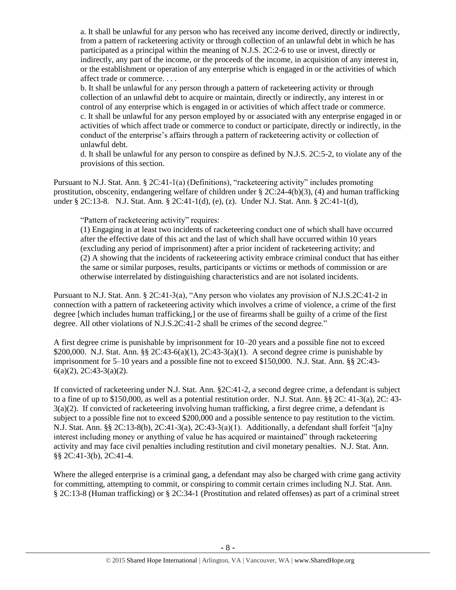a. It shall be unlawful for any person who has received any income derived, directly or indirectly, from a pattern of racketeering activity or through collection of an unlawful debt in which he has participated as a principal within the meaning of N.J.S. 2C:2-6 to use or invest, directly or indirectly, any part of the income, or the proceeds of the income, in acquisition of any interest in, or the establishment or operation of any enterprise which is engaged in or the activities of which affect trade or commerce. . . .

b. It shall be unlawful for any person through a pattern of racketeering activity or through collection of an unlawful debt to acquire or maintain, directly or indirectly, any interest in or control of any enterprise which is engaged in or activities of which affect trade or commerce. c. It shall be unlawful for any person employed by or associated with any enterprise engaged in or activities of which affect trade or commerce to conduct or participate, directly or indirectly, in the conduct of the enterprise's affairs through a pattern of racketeering activity or collection of unlawful debt.

d. It shall be unlawful for any person to conspire as defined by N.J.S. 2C:5-2, to violate any of the provisions of this section.

Pursuant to N.J. Stat. Ann.  $\S 2C:41-1(a)$  (Definitions), "racketeering activity" includes promoting prostitution, obscenity, endangering welfare of children under  $\S 2C:24-4(b)(3)$ , (4) and human trafficking under § 2C:13-8. N.J. Stat. Ann. § 2C:41-1(d), (e), (z). Under N.J. Stat. Ann. § 2C:41-1(d),

#### "Pattern of racketeering activity" requires:

(1) Engaging in at least two incidents of racketeering conduct one of which shall have occurred after the effective date of this act and the last of which shall have occurred within 10 years (excluding any period of imprisonment) after a prior incident of racketeering activity; and (2) A showing that the incidents of racketeering activity embrace criminal conduct that has either the same or similar purposes, results, participants or victims or methods of commission or are otherwise interrelated by distinguishing characteristics and are not isolated incidents.

Pursuant to N.J. Stat. Ann. § 2C:41-3(a), "Any person who violates any provision of N.J.S.2C:41-2 in connection with a pattern of racketeering activity which involves a crime of violence, a crime of the first degree [which includes human trafficking,] or the use of firearms shall be guilty of a crime of the first degree. All other violations of N.J.S.2C:41-2 shall be crimes of the second degree."

A first degree crime is punishable by imprisonment for 10–20 years and a possible fine not to exceed \$200,000. N.J. Stat. Ann. §§ 2C:43-6(a)(1), 2C:43-3(a)(1). A second degree crime is punishable by imprisonment for 5–10 years and a possible fine not to exceed \$150,000. N.J. Stat. Ann. §§ 2C:43- 6(a)(2), 2C:43-3(a)(2).

If convicted of racketeering under N.J. Stat. Ann. §2C:41-2, a second degree crime, a defendant is subject to a fine of up to \$150,000, as well as a potential restitution order. N.J. Stat. Ann. §§ 2C: 41-3(a), 2C: 43- 3(a)(2). If convicted of racketeering involving human trafficking, a first degree crime, a defendant is subject to a possible fine not to exceed \$200,000 and a possible sentence to pay restitution to the victim. N.J. Stat. Ann. §§ 2C:13-8(b), 2C:41-3(a), 2C:43-3(a)(1). Additionally, a defendant shall forfeit "[a]ny interest including money or anything of value he has acquired or maintained" through racketeering activity and may face civil penalties including restitution and civil monetary penalties. N.J. Stat. Ann. §§ 2C:41-3(b), 2C:41-4.

Where the alleged enterprise is a criminal gang, a defendant may also be charged with crime gang activity for committing, attempting to commit, or conspiring to commit certain crimes including N.J. Stat. Ann. § 2C:13-8 (Human trafficking) or § 2C:34-1 (Prostitution and related offenses) as part of a criminal street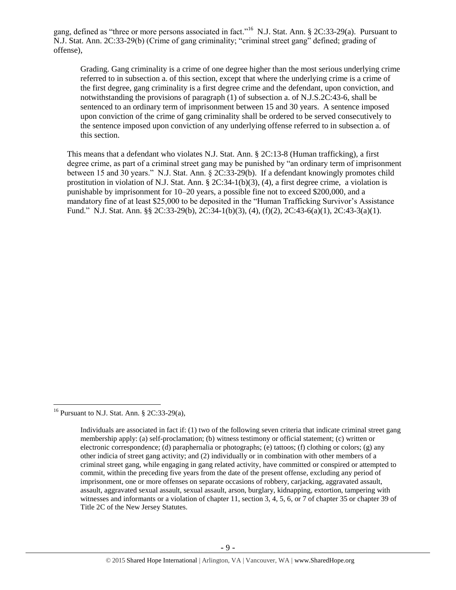gang, defined as "three or more persons associated in fact."<sup>16</sup> N.J. Stat. Ann. § 2C:33-29(a). Pursuant to N.J. Stat. Ann. 2C:33-29(b) (Crime of gang criminality; "criminal street gang" defined; grading of offense),

Grading. Gang criminality is a crime of one degree higher than the most serious underlying crime referred to in subsection a. of this section, except that where the underlying crime is a crime of the first degree, gang criminality is a first degree crime and the defendant, upon conviction, and notwithstanding the provisions of paragraph (1) of subsection a. of N.J.S.2C:43-6, shall be sentenced to an ordinary term of imprisonment between 15 and 30 years. A sentence imposed upon conviction of the crime of gang criminality shall be ordered to be served consecutively to the sentence imposed upon conviction of any underlying offense referred to in subsection a. of this section.

This means that a defendant who violates N.J. Stat. Ann. § 2C:13-8 (Human trafficking), a first degree crime, as part of a criminal street gang may be punished by "an ordinary term of imprisonment between 15 and 30 years." N.J. Stat. Ann. § 2C:33-29(b). If a defendant knowingly promotes child prostitution in violation of N.J. Stat. Ann. § 2C:34-1(b)(3), (4), a first degree crime, a violation is punishable by imprisonment for 10–20 years, a possible fine not to exceed \$200,000, and a mandatory fine of at least \$25,000 to be deposited in the "Human Trafficking Survivor's Assistance Fund." N.J. Stat. Ann. §§ 2C:33-29(b), 2C:34-1(b)(3), (4), (f)(2), 2C:43-6(a)(1), 2C:43-3(a)(1).

<sup>&</sup>lt;sup>16</sup> Pursuant to N.J. Stat. Ann. § 2C:33-29(a),

Individuals are associated in fact if: (1) two of the following seven criteria that indicate criminal street gang membership apply: (a) self-proclamation; (b) witness testimony or official statement; (c) written or electronic correspondence; (d) paraphernalia or photographs; (e) tattoos; (f) clothing or colors; (g) any other indicia of street gang activity; and (2) individually or in combination with other members of a criminal street gang, while engaging in gang related activity, have committed or conspired or attempted to commit, within the preceding five years from the date of the present offense, excluding any period of imprisonment, one or more offenses on separate occasions of robbery, carjacking, aggravated assault, assault, aggravated sexual assault, sexual assault, arson, burglary, kidnapping, extortion, tampering with witnesses and informants or a violation of chapter 11, section 3, 4, 5, 6, or 7 of chapter 35 or chapter 39 of Title 2C of the New Jersey Statutes.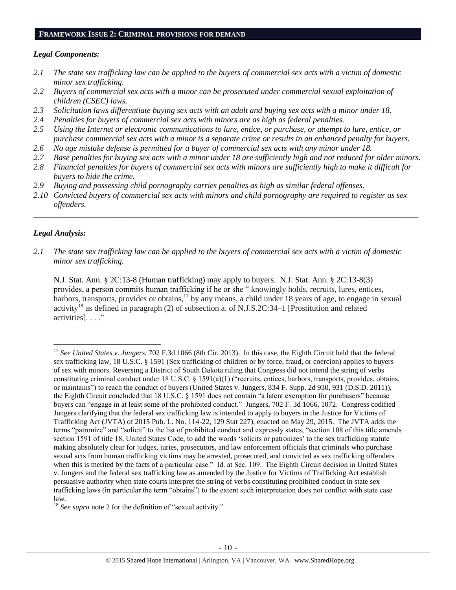#### **FRAMEWORK ISSUE 2: CRIMINAL PROVISIONS FOR DEMAND**

#### *Legal Components:*

- *2.1 The state sex trafficking law can be applied to the buyers of commercial sex acts with a victim of domestic minor sex trafficking.*
- *2.2 Buyers of commercial sex acts with a minor can be prosecuted under commercial sexual exploitation of children (CSEC) laws.*
- *2.3 Solicitation laws differentiate buying sex acts with an adult and buying sex acts with a minor under 18.*
- *2.4 Penalties for buyers of commercial sex acts with minors are as high as federal penalties.*
- *2.5 Using the Internet or electronic communications to lure, entice, or purchase, or attempt to lure, entice, or purchase commercial sex acts with a minor is a separate crime or results in an enhanced penalty for buyers.*
- *2.6 No age mistake defense is permitted for a buyer of commercial sex acts with any minor under 18.*
- *2.7 Base penalties for buying sex acts with a minor under 18 are sufficiently high and not reduced for older minors.*
- *2.8 Financial penalties for buyers of commercial sex acts with minors are sufficiently high to make it difficult for buyers to hide the crime.*

\_\_\_\_\_\_\_\_\_\_\_\_\_\_\_\_\_\_\_\_\_\_\_\_\_\_\_\_\_\_\_\_\_\_\_\_\_\_\_\_\_\_\_\_\_\_\_\_\_\_\_\_\_\_\_\_\_\_\_\_\_\_\_\_\_\_\_\_\_\_\_\_\_\_\_\_\_\_\_\_\_\_\_\_\_\_\_\_\_\_\_\_\_\_

- *2.9 Buying and possessing child pornography carries penalties as high as similar federal offenses.*
- *2.10 Convicted buyers of commercial sex acts with minors and child pornography are required to register as sex offenders.*

#### *Legal Analysis:*

 $\overline{a}$ 

*2.1 The state sex trafficking law can be applied to the buyers of commercial sex acts with a victim of domestic minor sex trafficking.*

N.J. Stat. Ann. § 2C:13-8 (Human trafficking) may apply to buyers. N.J. Stat. Ann. § 2C:13-8(3) provides, a person commits human trafficking if he or she " knowingly holds, recruits, lures, entices, harbors, transports, provides or obtains,<sup>17</sup> by any means, a child under 18 years of age, to engage in sexual activity<sup>18</sup> as defined in paragraph (2) of subsection a. of N.J.S.2C:34–1 [Prostitution and related activities]. . . ."

<sup>17</sup> *See United States v. Jungers*, 702 F.3d 1066 (8th Cir. 2013). In this case, the Eighth Circuit held that the federal sex trafficking law, 18 U.S.C. § 1591 (Sex trafficking of children or by force, fraud, or coercion) applies to buyers of sex with minors. Reversing a District of South Dakota ruling that Congress did not intend the string of verbs constituting criminal conduct under 18 U.S.C. § 1591(a)(1) ("recruits, entices, harbors, transports, provides, obtains, or maintains") to reach the conduct of buyers (United States v. Jungers, 834 F. Supp. 2d 930, 931 (D.S.D. 2011)), the Eighth Circuit concluded that 18 U.S.C. § 1591 does not contain "a latent exemption for purchasers" because buyers can "engage in at least some of the prohibited conduct." Jungers, 702 F. 3d 1066, 1072. Congress codified Jungers clarifying that the federal sex trafficking law is intended to apply to buyers in the Justice for Victims of Trafficking Act (JVTA) of 2015 Pub. L. No. 114-22, 129 Stat 227), enacted on May 29, 2015. The JVTA adds the terms "patronize" and "solicit" to the list of prohibited conduct and expressly states, "section 108 of this title amends section 1591 of title 18, United States Code, to add the words 'solicits or patronizes' to the sex trafficking statute making absolutely clear for judges, juries, prosecutors, and law enforcement officials that criminals who purchase sexual acts from human trafficking victims may be arrested, prosecuted, and convicted as sex trafficking offenders when this is merited by the facts of a particular case." Id. at Sec. 109. The Eighth Circuit decision in United States v. Jungers and the federal sex trafficking law as amended by the Justice for Victims of Trafficking Act establish persuasive authority when state courts interpret the string of verbs constituting prohibited conduct in state sex trafficking laws (in particular the term "obtains") to the extent such interpretation does not conflict with state case law.

<sup>&</sup>lt;sup>18</sup> *See supra* note [2](#page-0-0) for the definition of "sexual activity."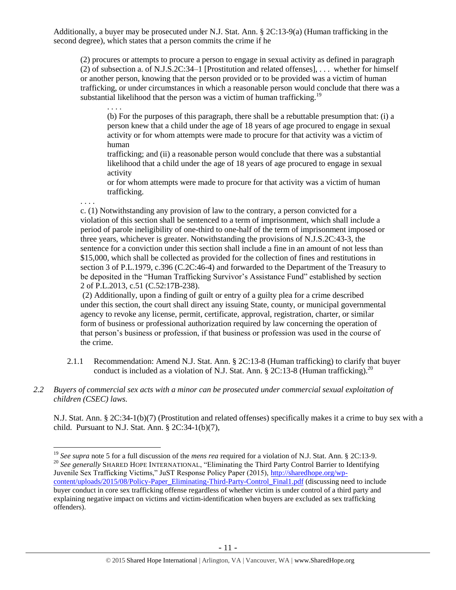Additionally, a buyer may be prosecuted under N.J. Stat. Ann. § 2C:13-9(a) (Human trafficking in the second degree), which states that a person commits the crime if he

. . . .

. . . .

 $\overline{a}$ 

(2) procures or attempts to procure a person to engage in sexual activity as defined in paragraph (2) of subsection a. of N.J.S.2C:34–1 [Prostitution and related offenses], . . . whether for himself or another person, knowing that the person provided or to be provided was a victim of human trafficking, or under circumstances in which a reasonable person would conclude that there was a substantial likelihood that the person was a victim of human trafficking.<sup>19</sup>

(b) For the purposes of this paragraph, there shall be a rebuttable presumption that: (i) a person knew that a child under the age of 18 years of age procured to engage in sexual activity or for whom attempts were made to procure for that activity was a victim of human

trafficking; and (ii) a reasonable person would conclude that there was a substantial likelihood that a child under the age of 18 years of age procured to engage in sexual activity

or for whom attempts were made to procure for that activity was a victim of human trafficking.

c. (1) Notwithstanding any provision of law to the contrary, a person convicted for a violation of this section shall be sentenced to a term of imprisonment, which shall include a period of parole ineligibility of one-third to one-half of the term of imprisonment imposed or three years, whichever is greater. Notwithstanding the provisions of N.J.S.2C:43-3, the sentence for a conviction under this section shall include a fine in an amount of not less than \$15,000, which shall be collected as provided for the collection of fines and restitutions in section 3 of P.L.1979, c.396 (C.2C:46-4) and forwarded to the Department of the Treasury to be deposited in the "Human Trafficking Survivor's Assistance Fund" established by section 2 of P.L.2013, c.51 (C.52:17B-238).

(2) Additionally, upon a finding of guilt or entry of a guilty plea for a crime described under this section, the court shall direct any issuing State, county, or municipal governmental agency to revoke any license, permit, certificate, approval, registration, charter, or similar form of business or professional authorization required by law concerning the operation of that person's business or profession, if that business or profession was used in the course of the crime.

- 2.1.1 Recommendation: Amend N.J. Stat. Ann. § 2C:13-8 (Human trafficking) to clarify that buyer conduct is included as a violation of N.J. Stat. Ann. § 2C:13-8 (Human trafficking).<sup>20</sup>
- *2.2 Buyers of commercial sex acts with a minor can be prosecuted under commercial sexual exploitation of children (CSEC) laws.*

N.J. Stat. Ann. § 2C:34-1(b)(7) (Prostitution and related offenses) specifically makes it a crime to buy sex with a child. Pursuant to N.J. Stat. Ann.  $\S 2C:34-1(b)(7)$ ,

<sup>19</sup> *See supra* note [5](#page-2-0) for a full discussion of the *mens rea* required for a violation of N.J. Stat. Ann. § 2C:13-9. <sup>20</sup> See generally SHARED HOPE INTERNATIONAL, "Eliminating the Third Party Control Barrier to Identifying Juvenile Sex Trafficking Victims," JuST Response Policy Paper (2015), [http://sharedhope.org/wp](http://sharedhope.org/wp-content/uploads/2015/08/Policy-Paper_Eliminating-Third-Party-Control_Final1.pdf)[content/uploads/2015/08/Policy-Paper\\_Eliminating-Third-Party-Control\\_Final1.pdf](http://sharedhope.org/wp-content/uploads/2015/08/Policy-Paper_Eliminating-Third-Party-Control_Final1.pdf) (discussing need to include buyer conduct in core sex trafficking offense regardless of whether victim is under control of a third party and explaining negative impact on victims and victim-identification when buyers are excluded as sex trafficking offenders).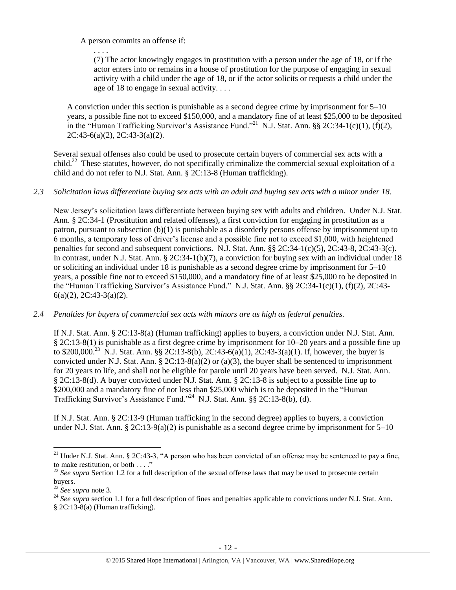A person commits an offense if:

. . . .

(7) The actor knowingly engages in prostitution with a person under the age of 18, or if the actor enters into or remains in a house of prostitution for the purpose of engaging in sexual activity with a child under the age of 18, or if the actor solicits or requests a child under the age of 18 to engage in sexual activity. . . .

A conviction under this section is punishable as a second degree crime by imprisonment for 5–10 years, a possible fine not to exceed \$150,000, and a mandatory fine of at least \$25,000 to be deposited in the "Human Trafficking Survivor's Assistance Fund."<sup>21</sup> N.J. Stat. Ann. §§ 2C:34-1(c)(1), (f)(2), 2C:43-6(a)(2), 2C:43-3(a)(2).

Several sexual offenses also could be used to prosecute certain buyers of commercial sex acts with a child.<sup>22</sup> These statutes, however, do not specifically criminalize the commercial sexual exploitation of a child and do not refer to N.J. Stat. Ann. § 2C:13-8 (Human trafficking).

# *2.3 Solicitation laws differentiate buying sex acts with an adult and buying sex acts with a minor under 18.*

New Jersey's solicitation laws differentiate between buying sex with adults and children. Under N.J. Stat. Ann. § 2C:34-1 (Prostitution and related offenses), a first conviction for engaging in prostitution as a patron, pursuant to subsection (b)(1) is punishable as a disorderly persons offense by imprisonment up to 6 months, a temporary loss of driver's license and a possible fine not to exceed \$1,000, with heightened penalties for second and subsequent convictions. N.J. Stat. Ann. §§ 2C:34-1(c)(5), 2C:43-8, 2C:43-3(c). In contrast, under N.J. Stat. Ann. § 2C:34-1(b)(7), a conviction for buying sex with an individual under 18 or soliciting an individual under 18 is punishable as a second degree crime by imprisonment for 5–10 years, a possible fine not to exceed \$150,000, and a mandatory fine of at least \$25,000 to be deposited in the "Human Trafficking Survivor's Assistance Fund." N.J. Stat. Ann. §§ 2C:34-1(c)(1), (f)(2), 2C:43- 6(a)(2), 2C:43-3(a)(2).

# *2.4 Penalties for buyers of commercial sex acts with minors are as high as federal penalties.*

If N.J. Stat. Ann. § 2C:13-8(a) (Human trafficking) applies to buyers, a conviction under N.J. Stat. Ann. § 2C:13-8(1) is punishable as a first degree crime by imprisonment for 10–20 years and a possible fine up to \$200,000.<sup>23</sup> N.J. Stat. Ann. §§ 2C:13-8(b), 2C:43-6(a)(1), 2C:43-3(a)(1). If, however, the buyer is convicted under N.J. Stat. Ann. § 2C:13-8(a)(2) or (a)(3), the buyer shall be sentenced to imprisonment for 20 years to life, and shall not be eligible for parole until 20 years have been served. N.J. Stat. Ann. § 2C:13-8(d). A buyer convicted under N.J. Stat. Ann. § 2C:13-8 is subject to a possible fine up to \$200,000 and a mandatory fine of not less than \$25,000 which is to be deposited in the "Human Trafficking Survivor's Assistance Fund."<sup>24</sup> N.J. Stat. Ann. §§ 2C:13-8(b), (d).

If N.J. Stat. Ann. § 2C:13-9 (Human trafficking in the second degree) applies to buyers, a conviction under N.J. Stat. Ann. §  $2C:13-9(a)(2)$  is punishable as a second degree crime by imprisonment for  $5-10$ 

<sup>&</sup>lt;sup>21</sup> Under N.J. Stat. Ann. § 2C:43-3, "A person who has been convicted of an offense may be sentenced to pay a fine, to make restitution, or both . . . ."

<sup>&</sup>lt;sup>22</sup> See supra Section 1.2 for a full description of the sexual offense laws that may be used to prosecute certain buyers.

<sup>23</sup> *See supra* note [3.](#page-1-0)

<sup>&</sup>lt;sup>24</sup> See supra section 1.1 for a full description of fines and penalties applicable to convictions under N.J. Stat. Ann.

<sup>§</sup> 2C:13-8(a) (Human trafficking).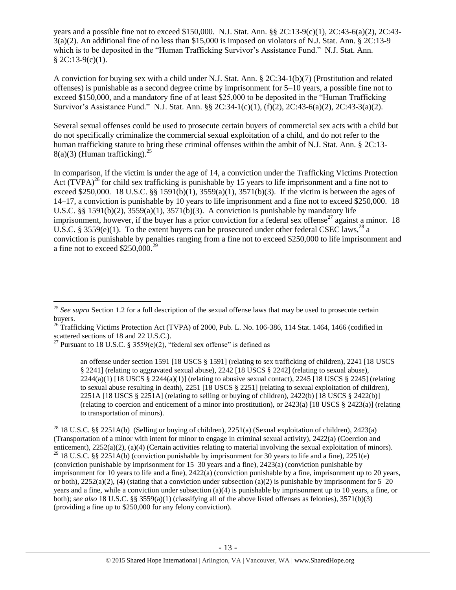years and a possible fine not to exceed \$150,000. N.J. Stat. Ann. §§ 2C:13-9(c)(1), 2C:43-6(a)(2), 2C:43- 3(a)(2). An additional fine of no less than \$15,000 is imposed on violators of N.J. Stat. Ann. § 2C:13-9 which is to be deposited in the "Human Trafficking Survivor's Assistance Fund." N.J. Stat. Ann.  $$2C:13-9(c)(1).$ 

A conviction for buying sex with a child under N.J. Stat. Ann. § 2C:34-1(b)(7) (Prostitution and related offenses) is punishable as a second degree crime by imprisonment for 5–10 years, a possible fine not to exceed \$150,000, and a mandatory fine of at least \$25,000 to be deposited in the "Human Trafficking Survivor's Assistance Fund." N.J. Stat. Ann. §§ 2C:34-1(c)(1), (f)(2), 2C:43-6(a)(2), 2C:43-3(a)(2).

Several sexual offenses could be used to prosecute certain buyers of commercial sex acts with a child but do not specifically criminalize the commercial sexual exploitation of a child, and do not refer to the human trafficking statute to bring these criminal offenses within the ambit of N.J. Stat. Ann. § 2C:13-  $8(a)(3)$  (Human trafficking).<sup>25</sup>

<span id="page-12-1"></span><span id="page-12-0"></span>In comparison, if the victim is under the age of 14, a conviction under the Trafficking Victims Protection Act  $(TVPA)^{26}$  for child sex trafficking is punishable by 15 years to life imprisonment and a fine not to exceed \$250,000. 18 U.S.C. §§ 1591(b)(1),  $3559(a)(1)$ ,  $3571(b)(3)$ . If the victim is between the ages of 14–17, a conviction is punishable by 10 years to life imprisonment and a fine not to exceed \$250,000. 18 U.S.C. §§ 1591(b)(2),  $3559(a)(1)$ ,  $3571(b)(3)$ . A conviction is punishable by mandatory life imprisonment, however, if the buyer has a prior conviction for a federal sex offense<sup>27</sup> against a minor. 18 U.S.C. § 3559(e)(1). To the extent buyers can be prosecuted under other federal CSEC laws,<sup>28</sup> a conviction is punishable by penalties ranging from a fine not to exceed \$250,000 to life imprisonment and a fine not to exceed  $$250,000.<sup>29</sup>$ 

<sup>&</sup>lt;sup>25</sup> See supra Section 1.2 for a full description of the sexual offense laws that may be used to prosecute certain buyers.

<sup>&</sup>lt;sup>26</sup> Trafficking Victims Protection Act (TVPA) of 2000, Pub. L. No. 106-386, 114 Stat. 1464, 1466 (codified in scattered sections of 18 and 22 U.S.C.).

<sup>&</sup>lt;sup>27</sup> Pursuant to 18 U.S.C. § 3559 $(e)(2)$ , "federal sex offense" is defined as

an offense under section 1591 [18 USCS § 1591] (relating to sex trafficking of children), 2241 [18 USCS § 2241] (relating to aggravated sexual abuse), 2242 [18 USCS § 2242] (relating to sexual abuse),  $2244(a)(1)$  [18 USCS §  $2244(a)(1)$ ] (relating to abusive sexual contact),  $2245$  [18 USCS § 2245] (relating to sexual abuse resulting in death), 2251 [18 USCS § 2251] (relating to sexual exploitation of children), 2251A [18 USCS  $\S$  2251A] (relating to selling or buying of children), 2422(b) [18 USCS  $\S$  2422(b)] (relating to coercion and enticement of a minor into prostitution), or 2423(a) [18 USCS § 2423(a)] (relating to transportation of minors).

<sup>&</sup>lt;sup>28</sup> 18 U.S.C. §§ 2251A(b) (Selling or buying of children), 2251(a) (Sexual exploitation of children), 2423(a) (Transportation of a minor with intent for minor to engage in criminal sexual activity), 2422(a) (Coercion and enticement), 2252(a)(2), (a)(4) (Certain activities relating to material involving the sexual exploitation of minors). <sup>29</sup> 18 U.S.C. §§ 2251A(b) (conviction punishable by imprisonment for 30 years to life and a fine), 2251(e) (conviction punishable by imprisonment for 15–30 years and a fine), 2423(a) (conviction punishable by imprisonment for 10 years to life and a fine), 2422(a) (conviction punishable by a fine, imprisonment up to 20 years, or both),  $2252(a)(2)$ , (4) (stating that a conviction under subsection (a)(2) is punishable by imprisonment for 5–20 years and a fine, while a conviction under subsection (a)(4) is punishable by imprisonment up to 10 years, a fine, or both); *see also* 18 U.S.C. §§ 3559(a)(1) (classifying all of the above listed offenses as felonies), 3571(b)(3) (providing a fine up to \$250,000 for any felony conviction).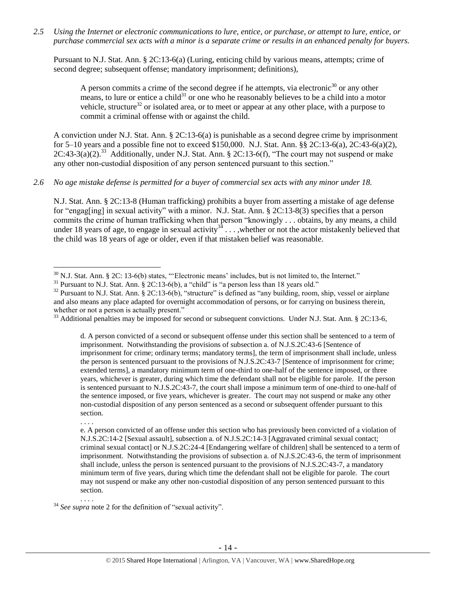*2.5 Using the Internet or electronic communications to lure, entice, or purchase, or attempt to lure, entice, or purchase commercial sex acts with a minor is a separate crime or results in an enhanced penalty for buyers.*

Pursuant to N.J. Stat. Ann. § 2C:13-6(a) (Luring, enticing child by various means, attempts; crime of second degree; subsequent offense; mandatory imprisonment; definitions),

A person commits a crime of the second degree if he attempts, via electronic<sup>30</sup> or any other means, to lure or entice a child<sup>31</sup> or one who he reasonably believes to be a child into a motor vehicle, structure<sup>32</sup> or isolated area, or to meet or appear at any other place, with a purpose to commit a criminal offense with or against the child.

<span id="page-13-0"></span>A conviction under N.J. Stat. Ann. § 2C:13-6(a) is punishable as a second degree crime by imprisonment for 5–10 years and a possible fine not to exceed \$150,000. N.J. Stat. Ann. §§ 2C:13-6(a), 2C:43-6(a)(2),  $2C:43-3(a)(2).^{33}$  Additionally, under N.J. Stat. Ann. § 2C:13-6(f), "The court may not suspend or make any other non-custodial disposition of any person sentenced pursuant to this section."

#### *2.6 No age mistake defense is permitted for a buyer of commercial sex acts with any minor under 18.*

N.J. Stat. Ann. § 2C:13-8 (Human trafficking) prohibits a buyer from asserting a mistake of age defense for "engag[ing] in sexual activity" with a minor. N.J. Stat. Ann. § 2C:13-8(3) specifies that a person commits the crime of human trafficking when that person "knowingly . . . obtains, by any means, a child under 18 years of age, to engage in sexual activity<sup>34</sup> . . . ,whether or not the actor mistakenly believed that the child was 18 years of age or older, even if that mistaken belief was reasonable.

<sup>33</sup> Additional penalties may be imposed for second or subsequent convictions. Under N.J. Stat. Ann. § 2C:13-6,

d. A person convicted of a second or subsequent offense under this section shall be sentenced to a term of imprisonment. Notwithstanding the provisions of subsection a. of N.J.S.2C:43-6 [Sentence of imprisonment for crime; ordinary terms; mandatory terms], the term of imprisonment shall include, unless the person is sentenced pursuant to the provisions of N.J.S.2C:43-7 [Sentence of imprisonment for crime; extended terms], a mandatory minimum term of one-third to one-half of the sentence imposed, or three years, whichever is greater, during which time the defendant shall not be eligible for parole. If the person is sentenced pursuant to N.J.S.2C:43-7, the court shall impose a minimum term of one-third to one-half of the sentence imposed, or five years, whichever is greater. The court may not suspend or make any other non-custodial disposition of any person sentenced as a second or subsequent offender pursuant to this section.

e. A person convicted of an offense under this section who has previously been convicted of a violation of N.J.S.2C:14-2 [Sexual assault], subsection a. of N.J.S.2C:14-3 [Aggravated criminal sexual contact; criminal sexual contact] or N.J.S.2C:24-4 [Endangering welfare of children] shall be sentenced to a term of imprisonment. Notwithstanding the provisions of subsection a. of N.J.S.2C:43-6, the term of imprisonment shall include, unless the person is sentenced pursuant to the provisions of N.J.S.2C:43-7, a mandatory minimum term of five years, during which time the defendant shall not be eligible for parole. The court may not suspend or make any other non-custodial disposition of any person sentenced pursuant to this section.

 $\overline{a}$ 

. . . .

. . . .

 $30$  N.J. Stat. Ann. § 2C: 13-6(b) states, "'Electronic means' includes, but is not limited to, the Internet."

 $31$  Pursuant to N.J. Stat. Ann. § 2C:13-6(b), a "child" is "a person less than 18 years old."

<sup>&</sup>lt;sup>32</sup> Pursuant to N.J. Stat. Ann. § 2C:13-6(b), "structure" is defined as "any building, room, ship, vessel or airplane and also means any place adapted for overnight accommodation of persons, or for carrying on business therein, whether or not a person is actually present."

<sup>&</sup>lt;sup>34</sup> See supra note [2](#page-0-0) for the definition of "sexual activity".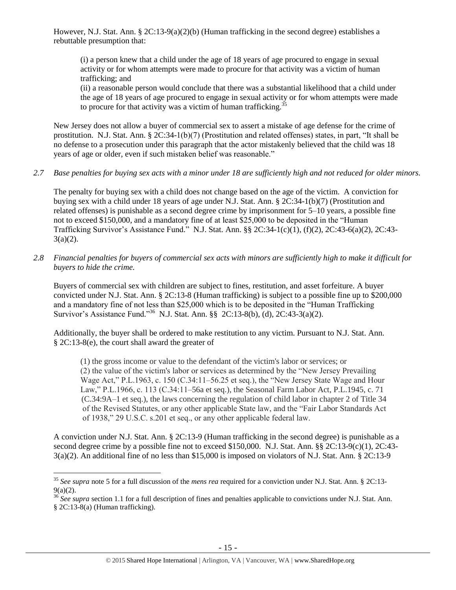However, N.J. Stat. Ann. § 2C:13-9(a)(2)(b) (Human trafficking in the second degree) establishes a rebuttable presumption that:

(i) a person knew that a child under the age of 18 years of age procured to engage in sexual activity or for whom attempts were made to procure for that activity was a victim of human trafficking; and

(ii) a reasonable person would conclude that there was a substantial likelihood that a child under the age of 18 years of age procured to engage in sexual activity or for whom attempts were made to procure for that activity was a victim of human trafficking.<sup>3</sup>

New Jersey does not allow a buyer of commercial sex to assert a mistake of age defense for the crime of prostitution. N.J. Stat. Ann. § 2C:34-1(b)(7) (Prostitution and related offenses) states, in part, "It shall be no defense to a prosecution under this paragraph that the actor mistakenly believed that the child was 18 years of age or older, even if such mistaken belief was reasonable."

*2.7 Base penalties for buying sex acts with a minor under 18 are sufficiently high and not reduced for older minors.*

The penalty for buying sex with a child does not change based on the age of the victim. A conviction for buying sex with a child under 18 years of age under N.J. Stat. Ann. § 2C:34-1(b)(7) (Prostitution and related offenses) is punishable as a second degree crime by imprisonment for 5–10 years, a possible fine not to exceed \$150,000, and a mandatory fine of at least \$25,000 to be deposited in the "Human Trafficking Survivor's Assistance Fund." N.J. Stat. Ann. §§ 2C:34-1(c)(1), (f)(2), 2C:43-6(a)(2), 2C:43-  $3(a)(2)$ .

*2.8 Financial penalties for buyers of commercial sex acts with minors are sufficiently high to make it difficult for buyers to hide the crime.* 

Buyers of commercial sex with children are subject to fines, restitution, and asset forfeiture. A buyer convicted under N.J. Stat. Ann. § 2C:13-8 (Human trafficking) is subject to a possible fine up to \$200,000 and a mandatory fine of not less than \$25,000 which is to be deposited in the "Human Trafficking Survivor's Assistance Fund."<sup>36</sup> N.J. Stat. Ann. §§ 2C:13-8(b), (d), 2C:43-3(a)(2).

Additionally, the buyer shall be ordered to make restitution to any victim. Pursuant to N.J. Stat. Ann. § 2C:13-8(e), the court shall award the greater of

(1) the gross income or value to the defendant of the victim's labor or services; or (2) the value of the victim's labor or services as determined by the "New Jersey Prevailing Wage Act," P.L.1963, c. 150 (C.34:11–56.25 et seq.), the "New Jersey State Wage and Hour Law," P.L.1966, c. 113 (C.34:11–56a et seq.), the Seasonal Farm Labor Act, P.L.1945, c. 71 (C.34:9A–1 et seq.), the laws concerning the regulation of child labor in chapter 2 of Title 34 of the Revised Statutes, or any other applicable State law, and the "Fair Labor Standards Act of 1938," 29 U.S.C. s.201 et seq., or any other applicable federal law.

A conviction under N.J. Stat. Ann. § 2C:13-9 (Human trafficking in the second degree) is punishable as a second degree crime by a possible fine not to exceed \$150,000. N.J. Stat. Ann. §§ 2C:13-9(c)(1), 2C:43-3(a)(2). An additional fine of no less than \$15,000 is imposed on violators of N.J. Stat. Ann. § 2C:13-9

 $\overline{a}$ <sup>35</sup> *See supra* note [5](#page-2-0) for a full discussion of the *mens rea* required for a conviction under N.J. Stat. Ann. § 2C:13-  $9(a)(2)$ .

<sup>36</sup> *See supra* section 1.1 for a full description of fines and penalties applicable to convictions under N.J. Stat. Ann. § 2C:13-8(a) (Human trafficking).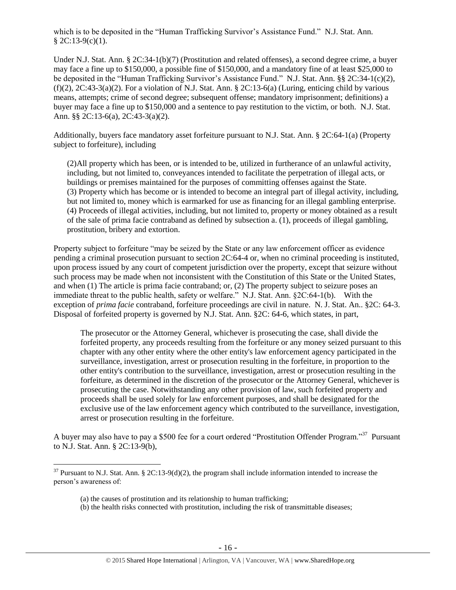which is to be deposited in the "Human Trafficking Survivor's Assistance Fund." N.J. Stat. Ann.  $$2C:13-9(c)(1).$ 

Under N.J. Stat. Ann. § 2C:34-1(b)(7) (Prostitution and related offenses), a second degree crime, a buyer may face a fine up to \$150,000, a possible fine of \$150,000, and a mandatory fine of at least \$25,000 to be deposited in the "Human Trafficking Survivor's Assistance Fund." N.J. Stat. Ann. §§ 2C:34-1(c)(2),  $(f)(2)$ ,  $2C:43-3(a)(2)$ . For a violation of N.J. Stat. Ann. §  $2C:13-6(a)$  (Luring, enticing child by various means, attempts; crime of second degree; subsequent offense; mandatory imprisonment; definitions) a buyer may face a fine up to \$150,000 and a sentence to pay restitution to the victim, or both. N.J. Stat. Ann. §§ 2C:13-6(a), 2C:43-3(a)(2).

Additionally, buyers face mandatory asset forfeiture pursuant to N.J. Stat. Ann. § 2C:64-1(a) (Property subject to forfeiture), including

(2)All property which has been, or is intended to be, utilized in furtherance of an unlawful activity, including, but not limited to, conveyances intended to facilitate the perpetration of illegal acts, or buildings or premises maintained for the purposes of committing offenses against the State. (3) Property which has become or is intended to become an integral part of illegal activity, including, but not limited to, money which is earmarked for use as financing for an illegal gambling enterprise. (4) Proceeds of illegal activities, including, but not limited to, property or money obtained as a result of the sale of prima facie contraband as defined by subsection a. (1), proceeds of illegal gambling, prostitution, bribery and extortion.

Property subject to forfeiture "may be seized by the State or any law enforcement officer as evidence pending a criminal prosecution pursuant to section 2C:64-4 or, when no criminal proceeding is instituted, upon process issued by any court of competent jurisdiction over the property, except that seizure without such process may be made when not inconsistent with the Constitution of this State or the United States, and when (1) The article is prima facie contraband; or, (2) The property subject to seizure poses an immediate threat to the public health, safety or welfare." N.J. Stat. Ann. §2C:64-1(b). With the exception of *prima facie* contraband, forfeiture proceedings are civil in nature. N. J. Stat. An.. §2C: 64-3. Disposal of forfeited property is governed by N.J. Stat. Ann. §2C: 64-6, which states, in part,

The prosecutor or the Attorney General, whichever is prosecuting the case, shall divide the forfeited property, any proceeds resulting from the forfeiture or any money seized pursuant to this chapter with any other entity where the other entity's law enforcement agency participated in the surveillance, investigation, arrest or prosecution resulting in the forfeiture, in proportion to the other entity's contribution to the surveillance, investigation, arrest or prosecution resulting in the forfeiture, as determined in the discretion of the prosecutor or the Attorney General, whichever is prosecuting the case. Notwithstanding any other provision of law, such forfeited property and proceeds shall be used solely for law enforcement purposes, and shall be designated for the exclusive use of the law enforcement agency which contributed to the surveillance, investigation, arrest or prosecution resulting in the forfeiture.

A buyer may also have to pay a \$500 fee for a court ordered "Prostitution Offender Program."<sup>37</sup> Pursuant to N.J. Stat. Ann. § 2C:13-9(b),

 $37$  Pursuant to N.J. Stat. Ann. § 2C:13-9(d)(2), the program shall include information intended to increase the person's awareness of:

<sup>(</sup>a) the causes of prostitution and its relationship to human trafficking;

<sup>(</sup>b) the health risks connected with prostitution, including the risk of transmittable diseases;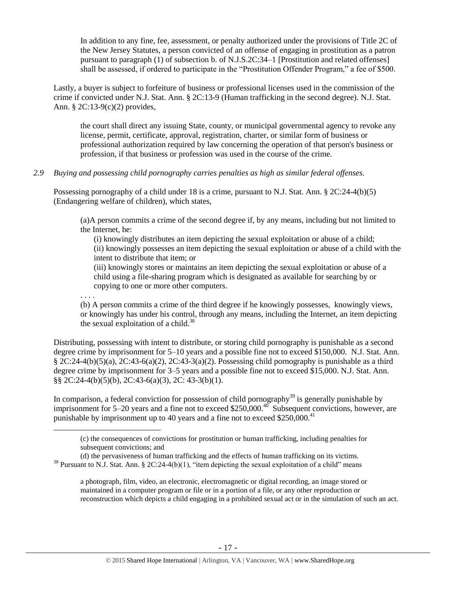In addition to any fine, fee, assessment, or penalty authorized under the provisions of Title 2C of the New Jersey Statutes, a person convicted of an offense of engaging in prostitution as a patron pursuant to paragraph (1) of subsection b. of N.J.S.2C:34–1 [Prostitution and related offenses] shall be assessed, if ordered to participate in the "Prostitution Offender Program," a fee of \$500.

Lastly, a buyer is subject to forfeiture of business or professional licenses used in the commission of the crime if convicted under N.J. Stat. Ann. § 2C:13-9 (Human trafficking in the second degree). N.J. Stat. Ann. § 2C:13-9(c)(2) provides,

the court shall direct any issuing State, county, or municipal governmental agency to revoke any license, permit, certificate, approval, registration, charter, or similar form of business or professional authorization required by law concerning the operation of that person's business or profession, if that business or profession was used in the course of the crime.

#### *2.9 Buying and possessing child pornography carries penalties as high as similar federal offenses.*

Possessing pornography of a child under 18 is a crime, pursuant to N.J. Stat. Ann. § 2C:24-4(b)(5) (Endangering welfare of children), which states,

(a)A person commits a crime of the second degree if, by any means, including but not limited to the Internet, he:

(i) knowingly distributes an item depicting the sexual exploitation or abuse of a child; (ii) knowingly possesses an item depicting the sexual exploitation or abuse of a child with the intent to distribute that item; or

(iii) knowingly stores or maintains an item depicting the sexual exploitation or abuse of a child using a file-sharing program which is designated as available for searching by or copying to one or more other computers.

. . . .

 $\overline{a}$ 

(b) A person commits a crime of the third degree if he knowingly possesses, knowingly views, or knowingly has under his control, through any means, including the Internet, an item depicting the sexual exploitation of a child.<sup>38</sup>

Distributing, possessing with intent to distribute, or storing child pornography is punishable as a second degree crime by imprisonment for 5–10 years and a possible fine not to exceed \$150,000. N.J. Stat. Ann.  $\S 2C:24-4(b)(5)(a)$ ,  $2C:43-6(a)(2)$ ,  $2C:43-3(a)(2)$ . Possessing child pornography is punishable as a third degree crime by imprisonment for 3–5 years and a possible fine not to exceed \$15,000. N.J. Stat. Ann. §§ 2C:24-4(b)(5)(b), 2C:43-6(a)(3), 2C: 43-3(b)(1).

In comparison, a federal conviction for possession of child pornography<sup>39</sup> is generally punishable by imprisonment for 5–20 years and a fine not to exceed \$250,000.<sup>40</sup> Subsequent convictions, however, are punishable by imprisonment up to 40 years and a fine not to exceed  $$250,000.<sup>41</sup>$ 

a photograph, film, video, an electronic, electromagnetic or digital recording, an image stored or maintained in a computer program or file or in a portion of a file, or any other reproduction or reconstruction which depicts a child engaging in a prohibited sexual act or in the simulation of such an act.

<sup>(</sup>c) the consequences of convictions for prostitution or human trafficking, including penalties for subsequent convictions; and

<sup>(</sup>d) the pervasiveness of human trafficking and the effects of human trafficking on its victims.  $38$  Pursuant to N.J. Stat. Ann. § 2C:24-4(b)(1), "item depicting the sexual exploitation of a child" means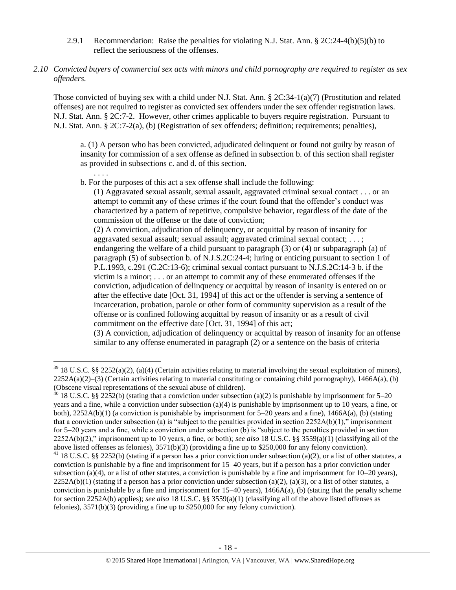- 2.9.1 Recommendation: Raise the penalties for violating N.J. Stat. Ann.  $\S 2C:24-4(b)(5)(b)$  to reflect the seriousness of the offenses.
- *2.10 Convicted buyers of commercial sex acts with minors and child pornography are required to register as sex offenders.*

Those convicted of buying sex with a child under N.J. Stat. Ann. § 2C:34-1(a)(7) (Prostitution and related offenses) are not required to register as convicted sex offenders under the sex offender registration laws. N.J. Stat. Ann. § 2C:7-2. However, other crimes applicable to buyers require registration. Pursuant to N.J. Stat. Ann. § 2C:7-2(a), (b) (Registration of sex offenders; definition; requirements; penalties),

a. (1) A person who has been convicted, adjudicated delinquent or found not guilty by reason of insanity for commission of a sex offense as defined in subsection b. of this section shall register as provided in subsections c. and d. of this section.

. . . .

 $\overline{a}$ 

b. For the purposes of this act a sex offense shall include the following:

(1) Aggravated sexual assault, sexual assault, aggravated criminal sexual contact . . . or an attempt to commit any of these crimes if the court found that the offender's conduct was characterized by a pattern of repetitive, compulsive behavior, regardless of the date of the commission of the offense or the date of conviction;

(2) A conviction, adjudication of delinquency, or acquittal by reason of insanity for aggravated sexual assault; sexual assault; aggravated criminal sexual contact; . . . ; endangering the welfare of a child pursuant to paragraph (3) or (4) or subparagraph (a) of paragraph (5) of subsection b. of N.J.S.2C:24-4; luring or enticing pursuant to section 1 of P.L.1993, c.291 (C.2C:13-6); criminal sexual contact pursuant to N.J.S.2C:14-3 b. if the victim is a minor; . . . or an attempt to commit any of these enumerated offenses if the conviction, adjudication of delinquency or acquittal by reason of insanity is entered on or after the effective date [Oct. 31, 1994] of this act or the offender is serving a sentence of incarceration, probation, parole or other form of community supervision as a result of the offense or is confined following acquittal by reason of insanity or as a result of civil commitment on the effective date [Oct. 31, 1994] of this act;

(3) A conviction, adjudication of delinquency or acquittal by reason of insanity for an offense similar to any offense enumerated in paragraph (2) or a sentence on the basis of criteria

 $39$  18 U.S.C. §§ 2252(a)(2), (a)(4) (Certain activities relating to material involving the sexual exploitation of minors),  $2252A(a)(2)$ –(3) (Certain activities relating to material constituting or containing child pornography), 1466A(a), (b) (Obscene visual representations of the sexual abuse of children).

<sup>&</sup>lt;sup>40</sup> 18 U.S.C. §§ 2252(b) (stating that a conviction under subsection (a)(2) is punishable by imprisonment for 5–20 years and a fine, while a conviction under subsection (a)(4) is punishable by imprisonment up to 10 years, a fine, or both),  $2252A(b)(1)$  (a conviction is punishable by imprisonment for  $5-20$  years and a fine),  $1466A(a)$ , (b) (stating that a conviction under subsection (a) is "subject to the penalties provided in section  $2252A(b)(1)$ ," imprisonment for 5–20 years and a fine, while a conviction under subsection (b) is "subject to the penalties provided in section 2252A(b)(2)," imprisonment up to 10 years, a fine, or both); *see also* 18 U.S.C. §§ 3559(a)(1) (classifying all of the above listed offenses as felonies), 3571(b)(3) (providing a fine up to \$250,000 for any felony conviction).

<sup>&</sup>lt;sup>41</sup> 18 U.S.C. §§ 2252(b) (stating if a person has a prior conviction under subsection (a)(2), or a list of other statutes, a conviction is punishable by a fine and imprisonment for 15–40 years, but if a person has a prior conviction under subsection (a)(4), or a list of other statutes, a conviction is punishable by a fine and imprisonment for  $10-20$  years),  $2252A(b)(1)$  (stating if a person has a prior conviction under subsection (a)(2), (a)(3), or a list of other statutes, a conviction is punishable by a fine and imprisonment for  $15-40$  years),  $1466A(a)$ , (b) (stating that the penalty scheme for section 2252A(b) applies); *see also* 18 U.S.C. §§ 3559(a)(1) (classifying all of the above listed offenses as felonies), 3571(b)(3) (providing a fine up to \$250,000 for any felony conviction).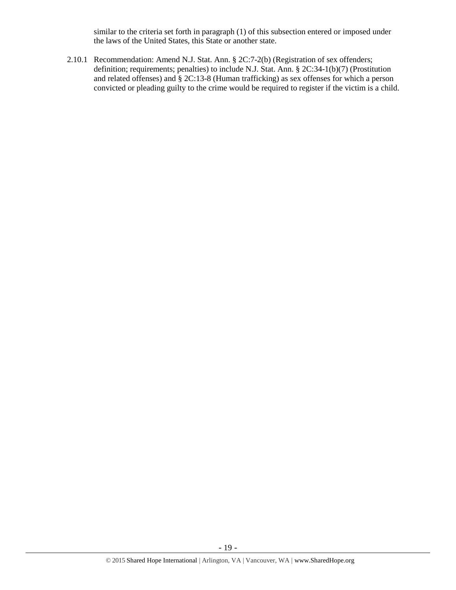similar to the criteria set forth in paragraph (1) of this subsection entered or imposed under the laws of the United States, this State or another state.

2.10.1 Recommendation: Amend N.J. Stat. Ann. § 2C:7-2(b) (Registration of sex offenders; definition; requirements; penalties) to include N.J. Stat. Ann. § 2C:34-1(b)(7) (Prostitution and related offenses) and § 2C:13-8 (Human trafficking) as sex offenses for which a person convicted or pleading guilty to the crime would be required to register if the victim is a child.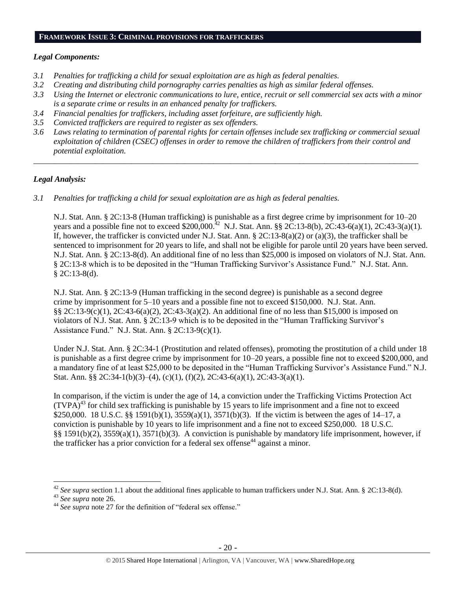#### **FRAMEWORK ISSUE 3: CRIMINAL PROVISIONS FOR TRAFFICKERS**

#### *Legal Components:*

- *3.1 Penalties for trafficking a child for sexual exploitation are as high as federal penalties.*
- *3.2 Creating and distributing child pornography carries penalties as high as similar federal offenses.*
- *3.3 Using the Internet or electronic communications to lure, entice, recruit or sell commercial sex acts with a minor is a separate crime or results in an enhanced penalty for traffickers.*
- *3.4 Financial penalties for traffickers, including asset forfeiture, are sufficiently high.*
- *3.5 Convicted traffickers are required to register as sex offenders.*
- *3.6 Laws relating to termination of parental rights for certain offenses include sex trafficking or commercial sexual exploitation of children (CSEC) offenses in order to remove the children of traffickers from their control and potential exploitation.*

*\_\_\_\_\_\_\_\_\_\_\_\_\_\_\_\_\_\_\_\_\_\_\_\_\_\_\_\_\_\_\_\_\_\_\_\_\_\_\_\_\_\_\_\_\_\_\_\_\_\_\_\_\_\_\_\_\_\_\_\_\_\_\_\_\_\_\_\_\_\_\_\_\_\_\_\_\_\_\_\_\_\_\_\_\_\_\_\_\_\_\_\_\_\_*

# *Legal Analysis:*

*3.1 Penalties for trafficking a child for sexual exploitation are as high as federal penalties.* 

N.J. Stat. Ann. § 2C:13-8 (Human trafficking) is punishable as a first degree crime by imprisonment for 10–20 years and a possible fine not to exceed \$200,000.<sup>42</sup> N.J. Stat. Ann. §§ 2C:13-8(b), 2C:43-6(a)(1), 2C:43-3(a)(1). If, however, the trafficker is convicted under N.J. Stat. Ann.  $\S 2C:13-8(a)(2)$  or (a)(3), the trafficker shall be sentenced to imprisonment for 20 years to life, and shall not be eligible for parole until 20 years have been served. N.J. Stat. Ann. § 2C:13-8(d). An additional fine of no less than \$25,000 is imposed on violators of N.J. Stat. Ann. § 2C:13-8 which is to be deposited in the "Human Trafficking Survivor's Assistance Fund." N.J. Stat. Ann.  $$2C:13-8(d).$ 

N.J. Stat. Ann. § 2C:13-9 (Human trafficking in the second degree) is punishable as a second degree crime by imprisonment for 5–10 years and a possible fine not to exceed \$150,000. N.J. Stat. Ann. §§ 2C:13-9(c)(1), 2C:43-6(a)(2), 2C:43-3(a)(2). An additional fine of no less than \$15,000 is imposed on violators of N.J. Stat. Ann. § 2C:13-9 which is to be deposited in the "Human Trafficking Survivor's Assistance Fund." N.J. Stat. Ann. § 2C:13-9(c)(1).

Under N.J. Stat. Ann. § 2C:34-1 (Prostitution and related offenses), promoting the prostitution of a child under 18 is punishable as a first degree crime by imprisonment for 10–20 years, a possible fine not to exceed \$200,000, and a mandatory fine of at least \$25,000 to be deposited in the "Human Trafficking Survivor's Assistance Fund." N.J. Stat. Ann. §§ 2C:34-1(b)(3)–(4), (c)(1), (f)(2), 2C:43-6(a)(1), 2C:43-3(a)(1).

In comparison, if the victim is under the age of 14, a conviction under the Trafficking Victims Protection Act  $(TVPA)<sup>43</sup>$  for child sex trafficking is punishable by 15 years to life imprisonment and a fine not to exceed \$250,000. 18 U.S.C. §§ 1591(b)(1),  $3559(a)(1)$ ,  $3571(b)(3)$ . If the victim is between the ages of 14–17, a conviction is punishable by 10 years to life imprisonment and a fine not to exceed \$250,000. 18 U.S.C. §§ 1591(b)(2), 3559(a)(1), 3571(b)(3). A conviction is punishable by mandatory life imprisonment, however, if the trafficker has a prior conviction for a federal sex offense<sup>44</sup> against a minor.

 $42$  *See supra* section 1.1 about the additional fines applicable to human traffickers under N.J. Stat. Ann. § 2C:13-8(d).

<sup>43</sup> *See supra* note [26.](#page-12-0)

<sup>44</sup> *See supra* note [27](#page-12-1) for the definition of "federal sex offense."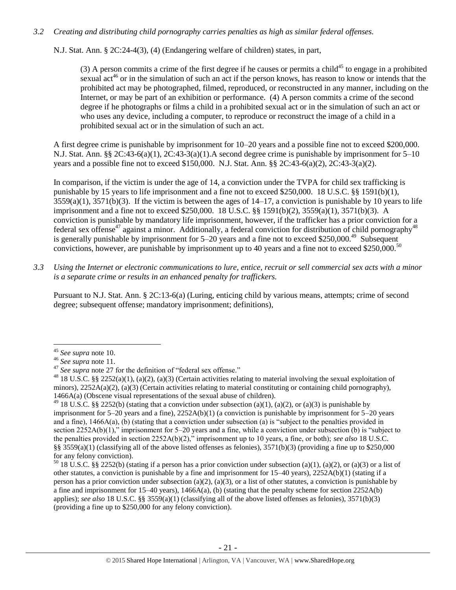### *3.2 Creating and distributing child pornography carries penalties as high as similar federal offenses.*

N.J. Stat. Ann. § 2C:24-4(3), (4) (Endangering welfare of children) states, in part,

(3) A person commits a crime of the first degree if he causes or permits a child<sup>45</sup> to engage in a prohibited sexual act<sup>46</sup> or in the simulation of such an act if the person knows, has reason to know or intends that the prohibited act may be photographed, filmed, reproduced, or reconstructed in any manner, including on the Internet, or may be part of an exhibition or performance. (4) A person commits a crime of the second degree if he photographs or films a child in a prohibited sexual act or in the simulation of such an act or who uses any device, including a computer, to reproduce or reconstruct the image of a child in a prohibited sexual act or in the simulation of such an act.

A first degree crime is punishable by imprisonment for 10–20 years and a possible fine not to exceed \$200,000. N.J. Stat. Ann. §§ 2C:43-6(a)(1), 2C:43-3(a)(1). A second degree crime is punishable by imprisonment for  $5-10$ years and a possible fine not to exceed \$150,000. N.J. Stat. Ann. §§ 2C:43-6(a)(2), 2C:43-3(a)(2).

In comparison, if the victim is under the age of 14, a conviction under the TVPA for child sex trafficking is punishable by 15 years to life imprisonment and a fine not to exceed \$250,000. 18 U.S.C. §§ 1591(b)(1),  $3559(a)(1)$ ,  $3571(b)(3)$ . If the victim is between the ages of  $14-17$ , a conviction is punishable by 10 years to life imprisonment and a fine not to exceed \$250,000. 18 U.S.C. §§ 1591(b)(2), 3559(a)(1), 3571(b)(3). A conviction is punishable by mandatory life imprisonment, however, if the trafficker has a prior conviction for a federal sex offense<sup>47</sup> against a minor. Additionally, a federal conviction for distribution of child pornography<sup>48</sup> is generally punishable by imprisonment for  $5-20$  years and a fine not to exceed \$250,000.<sup>49</sup> Subsequent convictions, however, are punishable by imprisonment up to 40 years and a fine not to exceed \$250,000.<sup>50</sup>

*3.3 Using the Internet or electronic communications to lure, entice, recruit or sell commercial sex acts with a minor is a separate crime or results in an enhanced penalty for traffickers.*

Pursuant to N.J. Stat. Ann. § 2C:13-6(a) (Luring, enticing child by various means, attempts; crime of second degree; subsequent offense; mandatory imprisonment; definitions),

<sup>45</sup> *See supra* note [10.](#page-4-0)

<sup>46</sup> *See supra* note [11.](#page-4-1)

<sup>47</sup> *See supra* note [27](#page-12-1) for the definition of "federal sex offense."

<sup>&</sup>lt;sup>48</sup> 18 U.S.C. §§ 2252(a)(1), (a)(2), (a)(3) (Certain activities relating to material involving the sexual exploitation of minors),  $2252A(a)(2)$ , (a)(3) (Certain activities relating to material constituting or containing child pornography), 1466A(a) (Obscene visual representations of the sexual abuse of children).

<sup>&</sup>lt;sup>49</sup> 18 U.S.C. §§ 2252(b) (stating that a conviction under subsection (a)(1), (a)(2), or (a)(3) is punishable by imprisonment for 5–20 years and a fine), 2252A(b)(1) (a conviction is punishable by imprisonment for 5–20 years and a fine), 1466A(a), (b) (stating that a conviction under subsection (a) is "subject to the penalties provided in section 2252A(b)(1)," imprisonment for 5–20 years and a fine, while a conviction under subsection (b) is "subject to the penalties provided in section 2252A(b)(2)," imprisonment up to 10 years, a fine, or both); *see also* 18 U.S.C. §§ 3559(a)(1) (classifying all of the above listed offenses as felonies),  $3571(b)(3)$  (providing a fine up to \$250,000 for any felony conviction).

<sup>&</sup>lt;sup>50</sup> 18 U.S.C. §§ 2252(b) (stating if a person has a prior conviction under subsection (a)(1), (a)(2), or (a)(3) or a list of other statutes, a conviction is punishable by a fine and imprisonment for  $15-40$  years),  $2252A(b)(1)$  (stating if a person has a prior conviction under subsection (a)(2), (a)(3), or a list of other statutes, a conviction is punishable by a fine and imprisonment for 15–40 years), 1466A(a), (b) (stating that the penalty scheme for section 2252A(b) applies); *see also* 18 U.S.C. §§ 3559(a)(1) (classifying all of the above listed offenses as felonies), 3571(b)(3) (providing a fine up to \$250,000 for any felony conviction).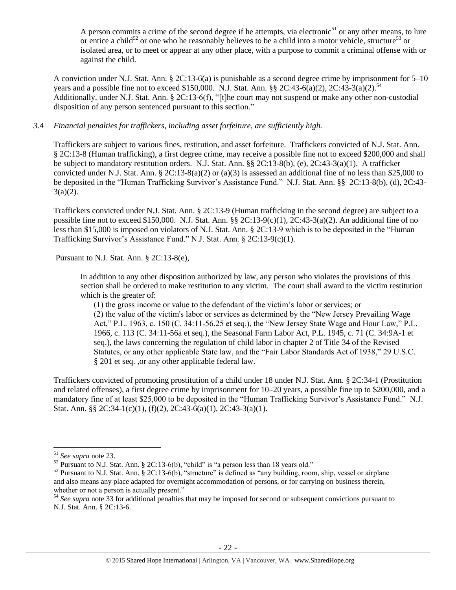A person commits a crime of the second degree if he attempts, via electronic<sup>51</sup> or any other means, to lure or entice a child<sup>52</sup> or one who he reasonably believes to be a child into a motor vehicle, structure<sup>53</sup> or isolated area, or to meet or appear at any other place, with a purpose to commit a criminal offense with or against the child.

A conviction under N.J. Stat. Ann. § 2C:13-6(a) is punishable as a second degree crime by imprisonment for 5–10 years and a possible fine not to exceed \$150,000. N.J. Stat. Ann. §§ 2C:43-6(a)(2), 2C:43-3(a)(2).<sup>54</sup> Additionally, under N.J. Stat. Ann. § 2C:13-6(f), "[t]he court may not suspend or make any other non-custodial disposition of any person sentenced pursuant to this section."

### *3.4 Financial penalties for traffickers, including asset forfeiture, are sufficiently high.*

Traffickers are subject to various fines, restitution, and asset forfeiture. Traffickers convicted of N.J. Stat. Ann. § 2C:13-8 (Human trafficking), a first degree crime, may receive a possible fine not to exceed \$200,000 and shall be subject to mandatory restitution orders. N.J. Stat. Ann. §§ 2C:13-8(b), (e), 2C:43-3(a)(1). A trafficker convicted under N.J. Stat. Ann. § 2C:13-8(a)(2) or (a)(3) is assessed an additional fine of no less than \$25,000 to be deposited in the "Human Trafficking Survivor's Assistance Fund." N.J. Stat. Ann. §§ 2C:13-8(b), (d), 2C:43-  $3(a)(2)$ .

Traffickers convicted under N.J. Stat. Ann. § 2C:13-9 (Human trafficking in the second degree) are subject to a possible fine not to exceed \$150,000. N.J. Stat. Ann. §§ 2C:13-9(c)(1), 2C:43-3(a)(2). An additional fine of no less than \$15,000 is imposed on violators of N.J. Stat. Ann. § 2C:13-9 which is to be deposited in the "Human Trafficking Survivor's Assistance Fund." N.J. Stat. Ann. § 2C:13-9(c)(1).

Pursuant to N.J. Stat. Ann. § 2C:13-8(e),

In addition to any other disposition authorized by law, any person who violates the provisions of this section shall be ordered to make restitution to any victim. The court shall award to the victim restitution which is the greater of:

(1) the gross income or value to the defendant of the victim's labor or services; or (2) the value of the victim's labor or services as determined by the "New Jersey Prevailing Wage Act," P.L. 1963, c. 150 (C. 34:11-56.25 et seq.), the "New Jersey State Wage and Hour Law," P.L. 1966, c. 113 (C. 34:11-56a et seq.), the Seasonal Farm Labor Act, P.L. 1945, c. 71 (C. 34:9A-1 et seq.), the laws concerning the regulation of child labor in chapter 2 of Title 34 of the Revised Statutes, or any other applicable State law, and the "Fair Labor Standards Act of 1938," 29 U.S.C. § 201 et seq. ,or any other applicable federal law.

Traffickers convicted of promoting prostitution of a child under 18 under N.J. Stat. Ann. § 2C:34-1 (Prostitution and related offenses), a first degree crime by imprisonment for 10–20 years, a possible fine up to \$200,000, and a mandatory fine of at least \$25,000 to be deposited in the "Human Trafficking Survivor's Assistance Fund." N.J. Stat. Ann. §§ 2C:34-1(c)(1), (f)(2), 2C:43-6(a)(1), 2C:43-3(a)(1).

<sup>51</sup> *See supra* note 23.

 $52$  Pursuant to N.J. Stat. Ann. § 2C:13-6(b), "child" is "a person less than 18 years old."

<sup>&</sup>lt;sup>53</sup> Pursuant to N.J. Stat. Ann. § 2C:13-6(b), "structure" is defined as "any building, room, ship, vessel or airplane and also means any place adapted for overnight accommodation of persons, or for carrying on business therein, whether or not a person is actually present."

<sup>54</sup> *See supra* note [33](#page-13-0) for additional penalties that may be imposed for second or subsequent convictions pursuant to N.J. Stat. Ann. § 2C:13-6.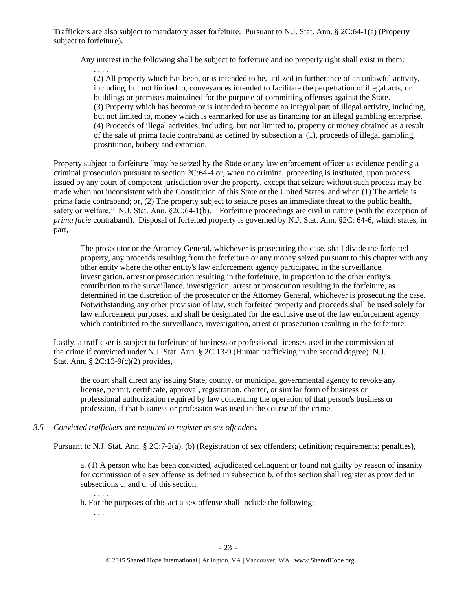Traffickers are also subject to mandatory asset forfeiture. Pursuant to N.J. Stat. Ann. § 2C:64-1(a) (Property subject to forfeiture),

Any interest in the following shall be subject to forfeiture and no property right shall exist in them:

. . . . (2) All property which has been, or is intended to be, utilized in furtherance of an unlawful activity, including, but not limited to, conveyances intended to facilitate the perpetration of illegal acts, or buildings or premises maintained for the purpose of committing offenses against the State. (3) Property which has become or is intended to become an integral part of illegal activity, including, but not limited to, money which is earmarked for use as financing for an illegal gambling enterprise. (4) Proceeds of illegal activities, including, but not limited to, property or money obtained as a result of the sale of prima facie contraband as defined by subsection a. (1), proceeds of illegal gambling, prostitution, bribery and extortion.

Property subject to forfeiture "may be seized by the State or any law enforcement officer as evidence pending a criminal prosecution pursuant to section 2C:64-4 or, when no criminal proceeding is instituted, upon process issued by any court of competent jurisdiction over the property, except that seizure without such process may be made when not inconsistent with the Constitution of this State or the United States, and when (1) The article is prima facie contraband; or, (2) The property subject to seizure poses an immediate threat to the public health, safety or welfare." N.J. Stat. Ann. §2C:64-1(b). Forfeiture proceedings are civil in nature (with the exception of *prima facie* contraband). Disposal of forfeited property is governed by N.J. Stat. Ann. §2C: 64-6, which states, in part,

The prosecutor or the Attorney General, whichever is prosecuting the case, shall divide the forfeited property, any proceeds resulting from the forfeiture or any money seized pursuant to this chapter with any other entity where the other entity's law enforcement agency participated in the surveillance, investigation, arrest or prosecution resulting in the forfeiture, in proportion to the other entity's contribution to the surveillance, investigation, arrest or prosecution resulting in the forfeiture, as determined in the discretion of the prosecutor or the Attorney General, whichever is prosecuting the case. Notwithstanding any other provision of law, such forfeited property and proceeds shall be used solely for law enforcement purposes, and shall be designated for the exclusive use of the law enforcement agency which contributed to the surveillance, investigation, arrest or prosecution resulting in the forfeiture.

Lastly, a trafficker is subject to forfeiture of business or professional licenses used in the commission of the crime if convicted under N.J. Stat. Ann. § 2C:13-9 (Human trafficking in the second degree). N.J. Stat. Ann. § 2C:13-9(c)(2) provides,

the court shall direct any issuing State, county, or municipal governmental agency to revoke any license, permit, certificate, approval, registration, charter, or similar form of business or professional authorization required by law concerning the operation of that person's business or profession, if that business or profession was used in the course of the crime.

# *3.5 Convicted traffickers are required to register as sex offenders.*

Pursuant to N.J. Stat. Ann. § 2C:7-2(a), (b) (Registration of sex offenders; definition; requirements; penalties),

a. (1) A person who has been convicted, adjudicated delinquent or found not guilty by reason of insanity for commission of a sex offense as defined in subsection b. of this section shall register as provided in subsections c. and d. of this section.

b. For the purposes of this act a sex offense shall include the following:

. . .

. . . .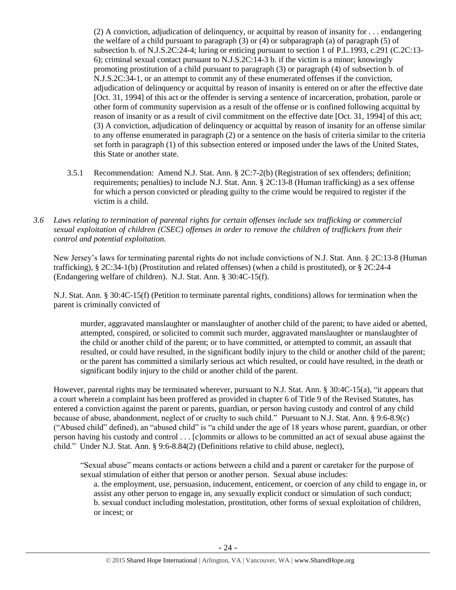(2) A conviction, adjudication of delinquency, or acquittal by reason of insanity for . . . endangering the welfare of a child pursuant to paragraph (3) or (4) or subparagraph (a) of paragraph (5) of subsection b. of N.J.S.2C:24-4; luring or enticing pursuant to section 1 of P.L.1993, c.291 (C.2C:13- 6); criminal sexual contact pursuant to N.J.S.2C:14-3 b. if the victim is a minor; knowingly promoting prostitution of a child pursuant to paragraph (3) or paragraph (4) of subsection b. of N.J.S.2C:34-1, or an attempt to commit any of these enumerated offenses if the conviction, adjudication of delinquency or acquittal by reason of insanity is entered on or after the effective date [Oct. 31, 1994] of this act or the offender is serving a sentence of incarceration, probation, parole or other form of community supervision as a result of the offense or is confined following acquittal by reason of insanity or as a result of civil commitment on the effective date [Oct. 31, 1994] of this act; (3) A conviction, adjudication of delinquency or acquittal by reason of insanity for an offense similar to any offense enumerated in paragraph (2) or a sentence on the basis of criteria similar to the criteria set forth in paragraph (1) of this subsection entered or imposed under the laws of the United States, this State or another state.

- 3.5.1 Recommendation: Amend N.J. Stat. Ann. § 2C:7-2(b) (Registration of sex offenders; definition; requirements; penalties) to include N.J. Stat. Ann. § 2C:13-8 (Human trafficking) as a sex offense for which a person convicted or pleading guilty to the crime would be required to register if the victim is a child.
- *3.6 Laws relating to termination of parental rights for certain offenses include sex trafficking or commercial sexual exploitation of children (CSEC) offenses in order to remove the children of traffickers from their control and potential exploitation.*

New Jersey's laws for terminating parental rights do not include convictions of N.J. Stat. Ann. § 2C:13-8 (Human trafficking), § 2C:34-1(b) (Prostitution and related offenses) (when a child is prostituted), or § 2C:24-4 (Endangering welfare of children). N.J. Stat. Ann. § 30:4C-15(f).

N.J. Stat. Ann. § 30:4C-15(f) (Petition to terminate parental rights, conditions) allows for termination when the parent is criminally convicted of

murder, aggravated manslaughter or manslaughter of another child of the parent; to have aided or abetted, attempted, conspired, or solicited to commit such murder, aggravated manslaughter or manslaughter of the child or another child of the parent; or to have committed, or attempted to commit, an assault that resulted, or could have resulted, in the significant bodily injury to the child or another child of the parent; or the parent has committed a similarly serious act which resulted, or could have resulted, in the death or significant bodily injury to the child or another child of the parent.

However, parental rights may be terminated wherever, pursuant to N.J. Stat. Ann. § 30:4C-15(a), "it appears that a court wherein a complaint has been proffered as provided in chapter 6 of Title 9 of the Revised Statutes, has entered a conviction against the parent or parents, guardian, or person having custody and control of any child because of abuse, abandonment, neglect of or cruelty to such child." Pursuant to N.J. Stat. Ann. § 9:6-8.9(c) ("Abused child" defined), an "abused child" is "a child under the age of 18 years whose parent, guardian, or other person having his custody and control . . . [c]ommits or allows to be committed an act of sexual abuse against the child." Under N.J. Stat. Ann. § 9:6-8.84(2) (Definitions relative to child abuse, neglect),

"Sexual abuse" means contacts or actions between a child and a parent or caretaker for the purpose of sexual stimulation of either that person or another person. Sexual abuse includes:

a. the employment, use, persuasion, inducement, enticement, or coercion of any child to engage in, or assist any other person to engage in, any sexually explicit conduct or simulation of such conduct; b. sexual conduct including molestation, prostitution, other forms of sexual exploitation of children, or incest; or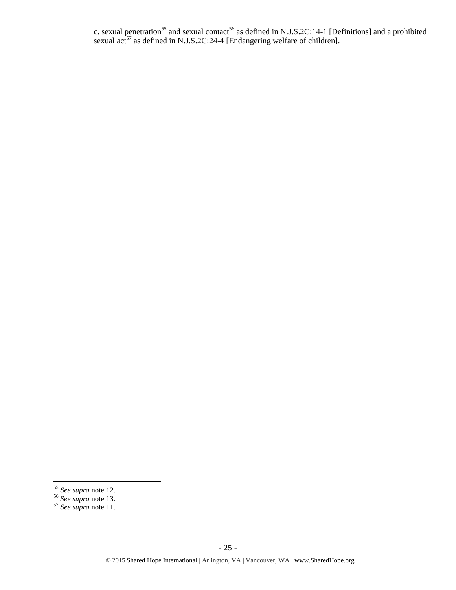c. sexual penetration<sup>55</sup> and sexual contact<sup>56</sup> as defined in N.J.S.2C:14-1 [Definitions] and a prohibited sexual act<sup>57</sup> as defined in N.J.S.2C:24-4 [Endangering welfare of children].

<sup>56</sup> *See supra* note [13.](#page-5-2)

 $\overline{a}$ <sup>55</sup> *See supra* note [12.](#page-5-1)

<sup>57</sup> *See supra* note [11.](#page-4-1)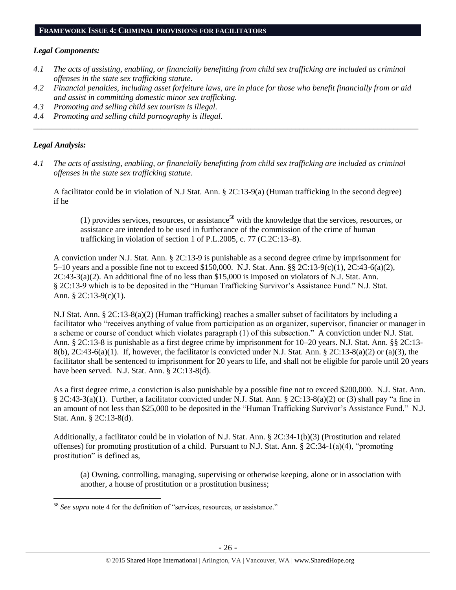## **FRAMEWORK ISSUE 4: CRIMINAL PROVISIONS FOR FACILITATORS**

### *Legal Components:*

- *4.1 The acts of assisting, enabling, or financially benefitting from child sex trafficking are included as criminal offenses in the state sex trafficking statute.*
- *4.2 Financial penalties, including asset forfeiture laws, are in place for those who benefit financially from or aid and assist in committing domestic minor sex trafficking.*

*\_\_\_\_\_\_\_\_\_\_\_\_\_\_\_\_\_\_\_\_\_\_\_\_\_\_\_\_\_\_\_\_\_\_\_\_\_\_\_\_\_\_\_\_\_\_\_\_\_\_\_\_\_\_\_\_\_\_\_\_\_\_\_\_\_\_\_\_\_\_\_\_\_\_\_\_\_\_\_\_\_\_\_\_\_\_\_\_\_\_\_\_\_\_*

- *4.3 Promoting and selling child sex tourism is illegal.*
- *4.4 Promoting and selling child pornography is illegal.*

## *Legal Analysis:*

 $\overline{a}$ 

*4.1 The acts of assisting, enabling, or financially benefitting from child sex trafficking are included as criminal offenses in the state sex trafficking statute.*

A facilitator could be in violation of N.J Stat. Ann. § 2C:13-9(a) (Human trafficking in the second degree) if he

(1) provides services, resources, or assistance<sup>58</sup> with the knowledge that the services, resources, or assistance are intended to be used in furtherance of the commission of the crime of human trafficking in violation of section 1 of P.L.2005, c. 77 (C.2C:13–8).

A conviction under N.J. Stat. Ann. § 2C:13-9 is punishable as a second degree crime by imprisonment for 5–10 years and a possible fine not to exceed \$150,000. N.J. Stat. Ann. §§ 2C:13-9(c)(1), 2C:43-6(a)(2), 2C:43-3(a)(2). An additional fine of no less than \$15,000 is imposed on violators of N.J. Stat. Ann. § 2C:13-9 which is to be deposited in the "Human Trafficking Survivor's Assistance Fund." N.J. Stat. Ann. § 2C:13-9(c)(1).

N.J Stat. Ann. § 2C:13-8(a)(2) (Human trafficking) reaches a smaller subset of facilitators by including a facilitator who "receives anything of value from participation as an organizer, supervisor, financier or manager in a scheme or course of conduct which violates paragraph (1) of this subsection." A conviction under N.J. Stat. Ann. § 2C:13-8 is punishable as a first degree crime by imprisonment for 10–20 years. N.J. Stat. Ann. §§ 2C:13- 8(b), 2C:43-6(a)(1). If, however, the facilitator is convicted under N.J. Stat. Ann. § 2C:13-8(a)(2) or (a)(3), the facilitator shall be sentenced to imprisonment for 20 years to life, and shall not be eligible for parole until 20 years have been served. N.J. Stat. Ann. § 2C:13-8(d).

As a first degree crime, a conviction is also punishable by a possible fine not to exceed \$200,000. N.J. Stat. Ann. § 2C:43-3(a)(1). Further, a facilitator convicted under N.J. Stat. Ann. § 2C:13-8(a)(2) or (3) shall pay "a fine in an amount of not less than \$25,000 to be deposited in the "Human Trafficking Survivor's Assistance Fund." N.J. Stat. Ann. § 2C:13-8(d).

Additionally, a facilitator could be in violation of N.J. Stat. Ann. § 2C:34-1(b)(3) (Prostitution and related offenses) for promoting prostitution of a child. Pursuant to N.J. Stat. Ann.  $\S 2C:34-1(a)(4)$ , "promoting prostitution" is defined as,

(a) Owning, controlling, managing, supervising or otherwise keeping, alone or in association with another, a house of prostitution or a prostitution business;

<sup>&</sup>lt;sup>58</sup> See supra note [4](#page-2-1) for the definition of "services, resources, or assistance."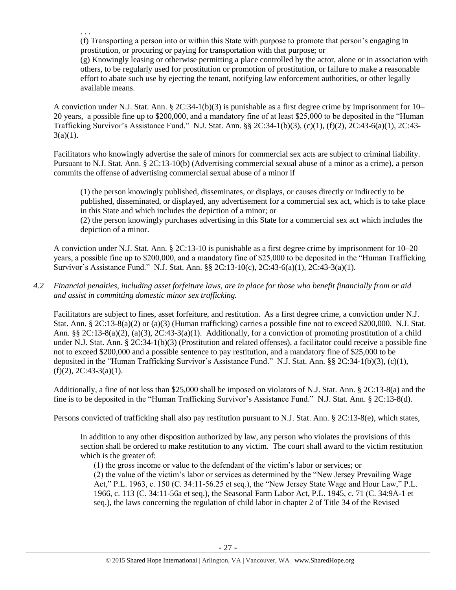. . . (f) Transporting a person into or within this State with purpose to promote that person's engaging in prostitution, or procuring or paying for transportation with that purpose; or

(g) Knowingly leasing or otherwise permitting a place controlled by the actor, alone or in association with others, to be regularly used for prostitution or promotion of prostitution, or failure to make a reasonable effort to abate such use by ejecting the tenant, notifying law enforcement authorities, or other legally available means.

A conviction under N.J. Stat. Ann. § 2C:34-1(b)(3) is punishable as a first degree crime by imprisonment for 10– 20 years, a possible fine up to \$200,000, and a mandatory fine of at least \$25,000 to be deposited in the "Human Trafficking Survivor's Assistance Fund." N.J. Stat. Ann. §§ 2C:34-1(b)(3), (c)(1), (f)(2), 2C:43-6(a)(1), 2C:43-  $3(a)(1)$ .

Facilitators who knowingly advertise the sale of minors for commercial sex acts are subject to criminal liability. Pursuant to N.J. Stat. Ann. § 2C:13-10(b) (Advertising commercial sexual abuse of a minor as a crime), a person commits the offense of advertising commercial sexual abuse of a minor if

(1) the person knowingly published, disseminates, or displays, or causes directly or indirectly to be published, disseminated, or displayed, any advertisement for a commercial sex act, which is to take place in this State and which includes the depiction of a minor; or

(2) the person knowingly purchases advertising in this State for a commercial sex act which includes the depiction of a minor.

A conviction under N.J. Stat. Ann. § 2C:13-10 is punishable as a first degree crime by imprisonment for 10–20 years, a possible fine up to \$200,000, and a mandatory fine of \$25,000 to be deposited in the "Human Trafficking Survivor's Assistance Fund." N.J. Stat. Ann. §§ 2C:13-10(c), 2C:43-6(a)(1), 2C:43-3(a)(1).

# *4.2 Financial penalties, including asset forfeiture laws, are in place for those who benefit financially from or aid and assist in committing domestic minor sex trafficking.*

Facilitators are subject to fines, asset forfeiture, and restitution. As a first degree crime, a conviction under N.J. Stat. Ann. § 2C:13-8(a)(2) or (a)(3) (Human trafficking) carries a possible fine not to exceed \$200,000. N.J. Stat. Ann. §§ 2C:13-8(a)(2), (a)(3), 2C:43-3(a)(1). Additionally, for a conviction of promoting prostitution of a child under N.J. Stat. Ann. § 2C:34-1(b)(3) (Prostitution and related offenses), a facilitator could receive a possible fine not to exceed \$200,000 and a possible sentence to pay restitution, and a mandatory fine of \$25,000 to be deposited in the "Human Trafficking Survivor's Assistance Fund." N.J. Stat. Ann. §§ 2C:34-1(b)(3), (c)(1),  $(f)(2)$ , 2C:43-3(a)(1).

Additionally, a fine of not less than \$25,000 shall be imposed on violators of N.J. Stat. Ann. § 2C:13-8(a) and the fine is to be deposited in the "Human Trafficking Survivor's Assistance Fund." N.J. Stat. Ann. § 2C:13-8(d).

Persons convicted of trafficking shall also pay restitution pursuant to N.J. Stat. Ann. § 2C:13-8(e), which states,

In addition to any other disposition authorized by law, any person who violates the provisions of this section shall be ordered to make restitution to any victim. The court shall award to the victim restitution which is the greater of:

(1) the gross income or value to the defendant of the victim's labor or services; or (2) the value of the victim's labor or services as determined by the "New Jersey Prevailing Wage Act," P.L. 1963, c. 150 (C. 34:11-56.25 et seq.), the "New Jersey State Wage and Hour Law," P.L. 1966, c. 113 (C. 34:11-56a et seq.), the Seasonal Farm Labor Act, P.L. 1945, c. 71 (C. 34:9A-1 et seq.), the laws concerning the regulation of child labor in chapter 2 of Title 34 of the Revised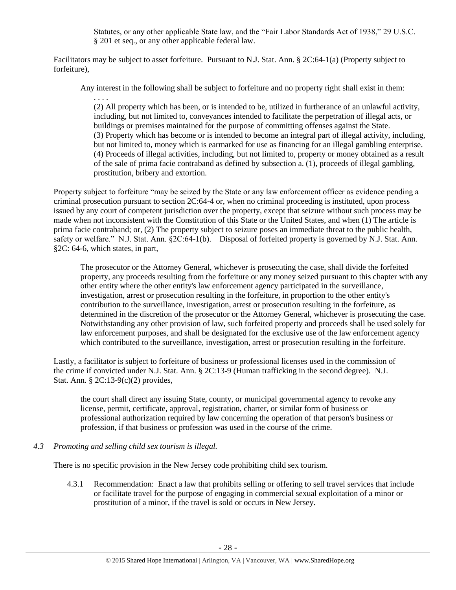Statutes, or any other applicable State law, and the "Fair Labor Standards Act of 1938," 29 U.S.C. § 201 et seq., or any other applicable federal law.

Facilitators may be subject to asset forfeiture. Pursuant to N.J. Stat. Ann. § 2C:64-1(a) (Property subject to forfeiture),

Any interest in the following shall be subject to forfeiture and no property right shall exist in them:

. . . . (2) All property which has been, or is intended to be, utilized in furtherance of an unlawful activity, including, but not limited to, conveyances intended to facilitate the perpetration of illegal acts, or buildings or premises maintained for the purpose of committing offenses against the State. (3) Property which has become or is intended to become an integral part of illegal activity, including, but not limited to, money which is earmarked for use as financing for an illegal gambling enterprise. (4) Proceeds of illegal activities, including, but not limited to, property or money obtained as a result of the sale of prima facie contraband as defined by subsection a. (1), proceeds of illegal gambling, prostitution, bribery and extortion.

Property subject to forfeiture "may be seized by the State or any law enforcement officer as evidence pending a criminal prosecution pursuant to section 2C:64-4 or, when no criminal proceeding is instituted, upon process issued by any court of competent jurisdiction over the property, except that seizure without such process may be made when not inconsistent with the Constitution of this State or the United States, and when (1) The article is prima facie contraband; or, (2) The property subject to seizure poses an immediate threat to the public health, safety or welfare." N.J. Stat. Ann. §2C:64-1(b). Disposal of forfeited property is governed by N.J. Stat. Ann. §2C: 64-6, which states, in part,

The prosecutor or the Attorney General, whichever is prosecuting the case, shall divide the forfeited property, any proceeds resulting from the forfeiture or any money seized pursuant to this chapter with any other entity where the other entity's law enforcement agency participated in the surveillance, investigation, arrest or prosecution resulting in the forfeiture, in proportion to the other entity's contribution to the surveillance, investigation, arrest or prosecution resulting in the forfeiture, as determined in the discretion of the prosecutor or the Attorney General, whichever is prosecuting the case. Notwithstanding any other provision of law, such forfeited property and proceeds shall be used solely for law enforcement purposes, and shall be designated for the exclusive use of the law enforcement agency which contributed to the surveillance, investigation, arrest or prosecution resulting in the forfeiture.

Lastly, a facilitator is subject to forfeiture of business or professional licenses used in the commission of the crime if convicted under N.J. Stat. Ann. § 2C:13-9 (Human trafficking in the second degree). N.J. Stat. Ann. § 2C:13-9(c)(2) provides,

the court shall direct any issuing State, county, or municipal governmental agency to revoke any license, permit, certificate, approval, registration, charter, or similar form of business or professional authorization required by law concerning the operation of that person's business or profession, if that business or profession was used in the course of the crime.

#### *4.3 Promoting and selling child sex tourism is illegal.*

There is no specific provision in the New Jersey code prohibiting child sex tourism.

4.3.1 Recommendation: Enact a law that prohibits selling or offering to sell travel services that include or facilitate travel for the purpose of engaging in commercial sexual exploitation of a minor or prostitution of a minor, if the travel is sold or occurs in New Jersey.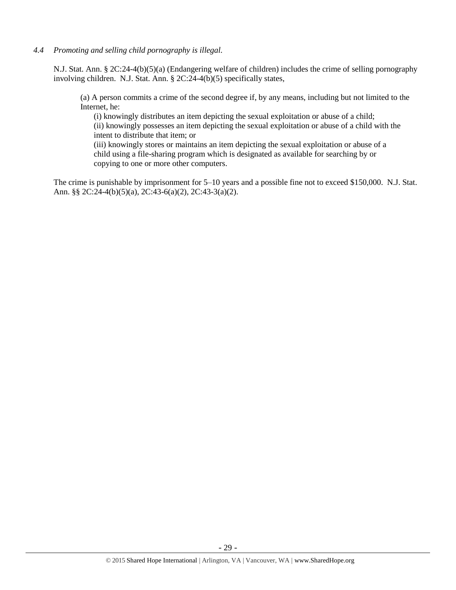*4.4 Promoting and selling child pornography is illegal.*

N.J. Stat. Ann. § 2C:24-4(b)(5)(a) (Endangering welfare of children) includes the crime of selling pornography involving children. N.J. Stat. Ann. § 2C:24-4(b)(5) specifically states,

(a) A person commits a crime of the second degree if, by any means, including but not limited to the Internet, he:

(i) knowingly distributes an item depicting the sexual exploitation or abuse of a child; (ii) knowingly possesses an item depicting the sexual exploitation or abuse of a child with the intent to distribute that item; or

(iii) knowingly stores or maintains an item depicting the sexual exploitation or abuse of a child using a file-sharing program which is designated as available for searching by or copying to one or more other computers.

The crime is punishable by imprisonment for 5–10 years and a possible fine not to exceed \$150,000. N.J. Stat. Ann. §§ 2C:24-4(b)(5)(a), 2C:43-6(a)(2), 2C:43-3(a)(2).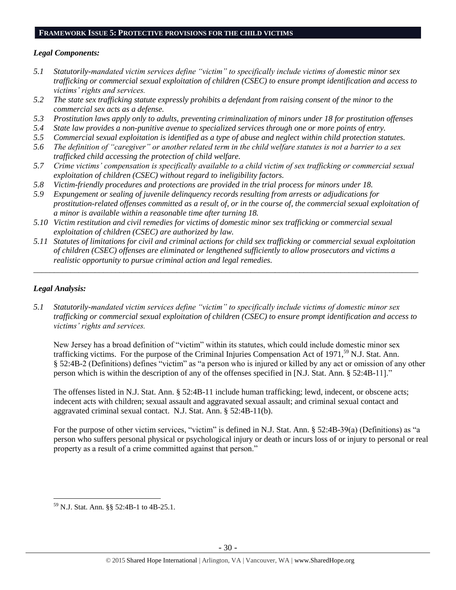#### **FRAMEWORK ISSUE 5: PROTECTIVE PROVISIONS FOR THE CHILD VICTIMS**

## *Legal Components:*

- *5.1 Statutorily-mandated victim services define "victim" to specifically include victims of domestic minor sex trafficking or commercial sexual exploitation of children (CSEC) to ensure prompt identification and access to victims' rights and services.*
- *5.2 The state sex trafficking statute expressly prohibits a defendant from raising consent of the minor to the commercial sex acts as a defense.*
- *5.3 Prostitution laws apply only to adults, preventing criminalization of minors under 18 for prostitution offenses*
- *5.4 State law provides a non-punitive avenue to specialized services through one or more points of entry.*
- *5.5 Commercial sexual exploitation is identified as a type of abuse and neglect within child protection statutes.*
- *5.6 The definition of "caregiver" or another related term in the child welfare statutes is not a barrier to a sex trafficked child accessing the protection of child welfare.*
- *5.7 Crime victims' compensation is specifically available to a child victim of sex trafficking or commercial sexual exploitation of children (CSEC) without regard to ineligibility factors.*
- *5.8 Victim-friendly procedures and protections are provided in the trial process for minors under 18.*
- *5.9 Expungement or sealing of juvenile delinquency records resulting from arrests or adjudications for prostitution-related offenses committed as a result of, or in the course of, the commercial sexual exploitation of a minor is available within a reasonable time after turning 18.*
- *5.10 Victim restitution and civil remedies for victims of domestic minor sex trafficking or commercial sexual exploitation of children (CSEC) are authorized by law.*
- *5.11 Statutes of limitations for civil and criminal actions for child sex trafficking or commercial sexual exploitation of children (CSEC) offenses are eliminated or lengthened sufficiently to allow prosecutors and victims a realistic opportunity to pursue criminal action and legal remedies.*

*\_\_\_\_\_\_\_\_\_\_\_\_\_\_\_\_\_\_\_\_\_\_\_\_\_\_\_\_\_\_\_\_\_\_\_\_\_\_\_\_\_\_\_\_\_\_\_\_\_\_\_\_\_\_\_\_\_\_\_\_\_\_\_\_\_\_\_\_\_\_\_\_\_\_\_\_\_\_\_\_\_\_\_\_\_\_\_\_\_\_\_\_\_\_*

## *Legal Analysis:*

*5.1 Statutorily-mandated victim services define "victim" to specifically include victims of domestic minor sex trafficking or commercial sexual exploitation of children (CSEC) to ensure prompt identification and access to victims' rights and services.*

New Jersey has a broad definition of "victim" within its statutes, which could include domestic minor sex trafficking victims. For the purpose of the Criminal Injuries Compensation Act of  $1971<sup>59</sup>$  N.J. Stat. Ann. § 52:4B-2 (Definitions) defines "victim" as "a person who is injured or killed by any act or omission of any other person which is within the description of any of the offenses specified in [N.J. Stat. Ann. § 52:4B-11]."

The offenses listed in N.J. Stat. Ann. § 52:4B-11 include human trafficking; lewd, indecent, or obscene acts; indecent acts with children; sexual assault and aggravated sexual assault; and criminal sexual contact and aggravated criminal sexual contact. N.J. Stat. Ann. § 52:4B-11(b).

For the purpose of other victim services, "victim" is defined in N.J. Stat. Ann. § 52:4B-39(a) (Definitions) as "a person who suffers personal physical or psychological injury or death or incurs loss of or injury to personal or real property as a result of a crime committed against that person."

 $\overline{a}$ <sup>59</sup> N.J. Stat. Ann. §§ 52:4B-1 to 4B-25.1.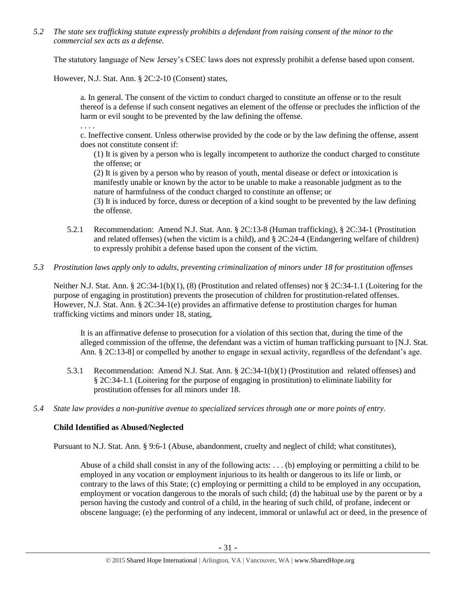*5.2 The state sex trafficking statute expressly prohibits a defendant from raising consent of the minor to the commercial sex acts as a defense.*

The statutory language of New Jersey's CSEC laws does not expressly prohibit a defense based upon consent.

However, N.J. Stat. Ann. § 2C:2-10 (Consent) states,

a. In general. The consent of the victim to conduct charged to constitute an offense or to the result thereof is a defense if such consent negatives an element of the offense or precludes the infliction of the harm or evil sought to be prevented by the law defining the offense.

. . . .

c. Ineffective consent. Unless otherwise provided by the code or by the law defining the offense, assent does not constitute consent if:

(1) It is given by a person who is legally incompetent to authorize the conduct charged to constitute the offense; or

(2) It is given by a person who by reason of youth, mental disease or defect or intoxication is manifestly unable or known by the actor to be unable to make a reasonable judgment as to the nature of harmfulness of the conduct charged to constitute an offense; or

(3) It is induced by force, duress or deception of a kind sought to be prevented by the law defining the offense.

5.2.1 Recommendation: Amend N.J. Stat. Ann. § 2C:13-8 (Human trafficking), § 2C:34-1 (Prostitution and related offenses) (when the victim is a child), and  $\S 2C:24-4$  (Endangering welfare of children) to expressly prohibit a defense based upon the consent of the victim.

## *5.3 Prostitution laws apply only to adults, preventing criminalization of minors under 18 for prostitution offenses*

Neither N.J. Stat. Ann. § 2C:34-1(b)(1), (8) (Prostitution and related offenses) nor § 2C:34-1.1 (Loitering for the purpose of engaging in prostitution) prevents the prosecution of children for prostitution-related offenses. However, N.J. Stat. Ann. § 2C:34-1(e) provides an affirmative defense to prostitution charges for human trafficking victims and minors under 18, stating,

It is an affirmative defense to prosecution for a violation of this section that, during the time of the alleged commission of the offense, the defendant was a victim of human trafficking pursuant to [N.J. Stat. Ann. § 2C:13-8] or compelled by another to engage in sexual activity, regardless of the defendant's age.

- 5.3.1 Recommendation: Amend N.J. Stat. Ann. § 2C:34-1(b)(1) (Prostitution and related offenses) and § 2C:34-1.1 (Loitering for the purpose of engaging in prostitution) to eliminate liability for prostitution offenses for all minors under 18.
- *5.4 State law provides a non-punitive avenue to specialized services through one or more points of entry.*

# **Child Identified as Abused/Neglected**

Pursuant to N.J. Stat. Ann. § 9:6-1 (Abuse, abandonment, cruelty and neglect of child; what constitutes),

Abuse of a child shall consist in any of the following acts: . . . (b) employing or permitting a child to be employed in any vocation or employment injurious to its health or dangerous to its life or limb, or contrary to the laws of this State; (c) employing or permitting a child to be employed in any occupation, employment or vocation dangerous to the morals of such child; (d) the habitual use by the parent or by a person having the custody and control of a child, in the hearing of such child, of profane, indecent or obscene language; (e) the performing of any indecent, immoral or unlawful act or deed, in the presence of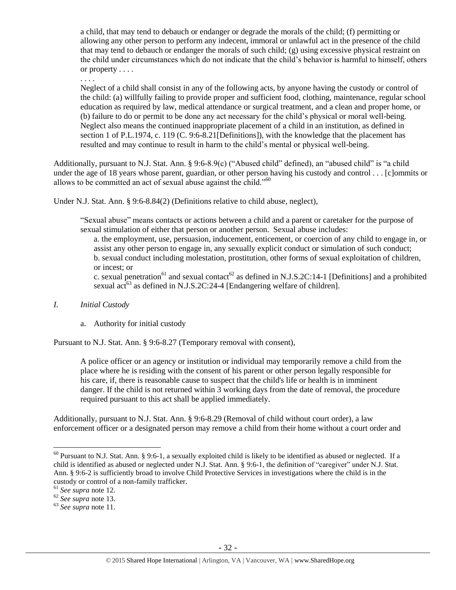a child, that may tend to debauch or endanger or degrade the morals of the child; (f) permitting or allowing any other person to perform any indecent, immoral or unlawful act in the presence of the child that may tend to debauch or endanger the morals of such child; (g) using excessive physical restraint on the child under circumstances which do not indicate that the child's behavior is harmful to himself, others or property . . . .

. . . .

Neglect of a child shall consist in any of the following acts, by anyone having the custody or control of the child: (a) willfully failing to provide proper and sufficient food, clothing, maintenance, regular school education as required by law, medical attendance or surgical treatment, and a clean and proper home, or (b) failure to do or permit to be done any act necessary for the child's physical or moral well-being. Neglect also means the continued inappropriate placement of a child in an institution, as defined in section 1 of P.L.1974, c. 119 (C. 9:6-8.21 [Definitions]), with the knowledge that the placement has resulted and may continue to result in harm to the child's mental or physical well-being.

Additionally, pursuant to N.J. Stat. Ann. § 9:6-8.9(c) ("Abused child" defined), an "abused child" is "a child under the age of 18 years whose parent, guardian, or other person having his custody and control . . . [c]ommits or allows to be committed an act of sexual abuse against the child."<sup>60</sup>

Under N.J. Stat. Ann. § 9:6-8.84(2) (Definitions relative to child abuse, neglect),

"Sexual abuse" means contacts or actions between a child and a parent or caretaker for the purpose of sexual stimulation of either that person or another person. Sexual abuse includes:

a. the employment, use, persuasion, inducement, enticement, or coercion of any child to engage in, or assist any other person to engage in, any sexually explicit conduct or simulation of such conduct; b. sexual conduct including molestation, prostitution, other forms of sexual exploitation of children, or incest; or

c. sexual penetration<sup>61</sup> and sexual contact<sup>62</sup> as defined in N.J.S.2C:14-1 [Definitions] and a prohibited sexual act<sup>63</sup> as defined in N.J.S.2C:24-4 [Endangering welfare of children].

#### *I. Initial Custody*

# a. Authority for initial custody

Pursuant to N.J. Stat. Ann. § 9:6-8.27 (Temporary removal with consent),

A police officer or an agency or institution or individual may temporarily remove a child from the place where he is residing with the consent of his parent or other person legally responsible for his care, if, there is reasonable cause to suspect that the child's life or health is in imminent danger. If the child is not returned within 3 working days from the date of removal, the procedure required pursuant to this act shall be applied immediately.

Additionally, pursuant to N.J. Stat. Ann. § 9:6-8.29 (Removal of child without court order), a law enforcement officer or a designated person may remove a child from their home without a court order and

 $60$  Pursuant to N.J. Stat. Ann. § 9:6-1, a sexually exploited child is likely to be identified as abused or neglected. If a child is identified as abused or neglected under N.J. Stat. Ann. § 9:6-1, the definition of "caregiver" under N.J. Stat. Ann. § 9:6-2 is sufficiently broad to involve Child Protective Services in investigations where the child is in the custody or control of a non-family trafficker.

<sup>61</sup> *See supra* note [12.](#page-5-1)

<sup>62</sup> *See supra* note [13.](#page-5-2)

<sup>63</sup> *See supra* note [11.](#page-4-1)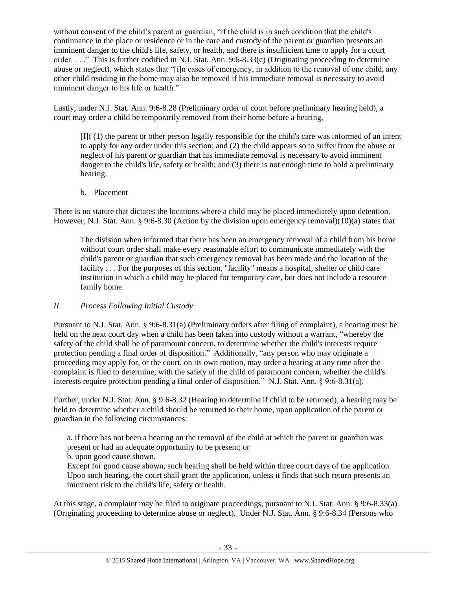without consent of the child's parent or guardian, "if the child is in such condition that the child's continuance in the place or residence or in the care and custody of the parent or guardian presents an imminent danger to the child's life, safety, or health, and there is insufficient time to apply for a court order. . . ." This is further codified in N.J. Stat. Ann. 9:6-8.33(c) (Originating proceeding to determine abuse or neglect), which states that "[i]n cases of emergency, in addition to the removal of one child, any other child residing in the home may also be removed if his immediate removal is necessary to avoid imminent danger to his life or health."

Lastly, under N.J. Stat. Ann. 9:6-8.28 (Preliminary order of court before preliminary hearing held), a court may order a child be temporarily removed from their home before a hearing,

[I]f (1) the parent or other person legally responsible for the child's care was informed of an intent to apply for any order under this section; and (2) the child appears so to suffer from the abuse or neglect of his parent or guardian that his immediate removal is necessary to avoid imminent danger to the child's life, safety or health; and (3) there is not enough time to hold a preliminary hearing.

b. Placement

There is no statute that dictates the locations where a child may be placed immediately upon detention. However, N.J. Stat. Ann. § 9:6-8.30 (Action by the division upon emergency removal)(10)(a) states that

The division when informed that there has been an emergency removal of a child from his home without court order shall make every reasonable effort to communicate immediately with the child's parent or guardian that such emergency removal has been made and the location of the facility . . . For the purposes of this section, "facility" means a hospital, shelter or child care institution in which a child may be placed for temporary care, but does not include a resource family home.

# *II. Process Following Initial Custody*

Pursuant to N.J. Stat. Ann. § 9:6-8.31(a) (Preliminary orders after filing of complaint), a hearing must be held on the next court day when a child has been taken into custody without a warrant, "whereby the safety of the child shall be of paramount concern, to determine whether the child's interests require protection pending a final order of disposition." Additionally, "any person who may originate a proceeding may apply for, or the court, on its own motion, may order a hearing at any time after the complaint is filed to determine, with the safety of the child of paramount concern, whether the child's interests require protection pending a final order of disposition." N.J. Stat. Ann. § 9:6-8.31(a).

Further, under N.J. Stat. Ann. § 9:6-8.32 (Hearing to determine if child to be returned), a hearing may be held to determine whether a child should be returned to their home, upon application of the parent or guardian in the following circumstances:

a. if there has not been a hearing on the removal of the child at which the parent or guardian was present or had an adequate opportunity to be present; or

b. upon good cause shown.

Except for good cause shown, such hearing shall be held within three court days of the application. Upon such hearing, the court shall grant the application, unless it finds that such return presents an imminent risk to the child's life, safety or health.

At this stage, a complaint may be filed to originate proceedings, pursuant to N.J. Stat. Ann. § 9:6-8.33(a) (Originating proceeding to determine abuse or neglect). Under N.J. Stat. Ann. § 9:6-8.34 (Persons who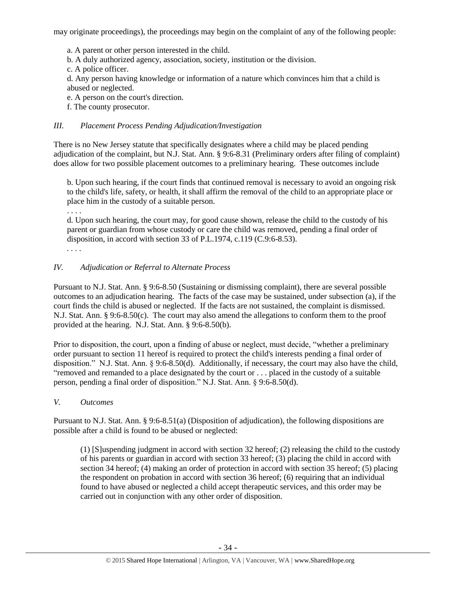may originate proceedings), the proceedings may begin on the complaint of any of the following people:

a. A parent or other person interested in the child.

b. A duly authorized agency, association, society, institution or the division.

c. A police officer.

d. Any person having knowledge or information of a nature which convinces him that a child is abused or neglected.

e. A person on the court's direction.

f. The county prosecutor.

## *III. Placement Process Pending Adjudication/Investigation*

There is no New Jersey statute that specifically designates where a child may be placed pending adjudication of the complaint, but N.J. Stat. Ann. § 9:6-8.31 (Preliminary orders after filing of complaint) does allow for two possible placement outcomes to a preliminary hearing. These outcomes include

b. Upon such hearing, if the court finds that continued removal is necessary to avoid an ongoing risk to the child's life, safety, or health, it shall affirm the removal of the child to an appropriate place or place him in the custody of a suitable person.

. . . .

d. Upon such hearing, the court may, for good cause shown, release the child to the custody of his parent or guardian from whose custody or care the child was removed, pending a final order of disposition, in accord with section 33 of P.L.1974, c.119 (C.9:6-8.53).

*. . . .*

## *IV. Adjudication or Referral to Alternate Process*

Pursuant to N.J. Stat. Ann. § 9:6-8.50 (Sustaining or dismissing complaint), there are several possible outcomes to an adjudication hearing. The facts of the case may be sustained, under subsection (a), if the court finds the child is abused or neglected. If the facts are not sustained, the complaint is dismissed. N.J. Stat. Ann. § 9:6-8.50(c). The court may also amend the allegations to conform them to the proof provided at the hearing. N.J. Stat. Ann. § 9:6-8.50(b).

Prior to disposition, the court, upon a finding of abuse or neglect, must decide, "whether a preliminary order pursuant to section 11 hereof is required to protect the child's interests pending a final order of disposition." N.J. Stat. Ann. § 9:6-8.50(d). Additionally, if necessary, the court may also have the child, "removed and remanded to a place designated by the court or . . . placed in the custody of a suitable person, pending a final order of disposition." N.J. Stat. Ann. § 9:6-8.50(d).

#### *V. Outcomes*

Pursuant to N.J. Stat. Ann. § 9:6-8.51(a) (Disposition of adjudication), the following dispositions are possible after a child is found to be abused or neglected:

(1) [S]uspending judgment in accord with section 32 hereof; (2) releasing the child to the custody of his parents or guardian in accord with section 33 hereof; (3) placing the child in accord with section 34 hereof; (4) making an order of protection in accord with section 35 hereof; (5) placing the respondent on probation in accord with section 36 hereof; (6) requiring that an individual found to have abused or neglected a child accept therapeutic services, and this order may be carried out in conjunction with any other order of disposition.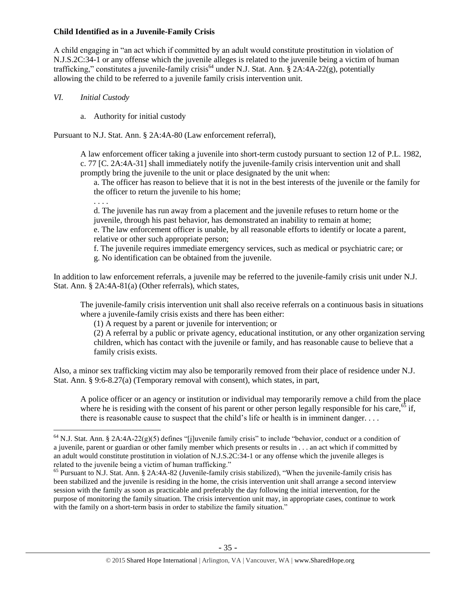### **Child Identified as in a Juvenile-Family Crisis**

A child engaging in "an act which if committed by an adult would constitute prostitution in violation of N.J.S.2C:34-1 or any offense which the juvenile alleges is related to the juvenile being a victim of human trafficking," constitutes a juvenile-family crisis<sup>64</sup> under N.J. Stat. Ann.  $\S$  2A:4A-22(g), potentially allowing the child to be referred to a juvenile family crisis intervention unit.

- *VI. Initial Custody*
	- a. Authority for initial custody

Pursuant to N.J. Stat. Ann. § 2A:4A-80 (Law enforcement referral),

A law enforcement officer taking a juvenile into short-term custody pursuant to section 12 of P.L. 1982, c. 77 [C. 2A:4A-31] shall immediately notify the juvenile-family crisis intervention unit and shall promptly bring the juvenile to the unit or place designated by the unit when:

a. The officer has reason to believe that it is not in the best interests of the juvenile or the family for the officer to return the juvenile to his home;

. . . .

 $\overline{a}$ 

d. The juvenile has run away from a placement and the juvenile refuses to return home or the juvenile, through his past behavior, has demonstrated an inability to remain at home;

e. The law enforcement officer is unable, by all reasonable efforts to identify or locate a parent, relative or other such appropriate person;

f. The juvenile requires immediate emergency services, such as medical or psychiatric care; or g. No identification can be obtained from the juvenile.

In addition to law enforcement referrals, a juvenile may be referred to the juvenile-family crisis unit under N.J. Stat. Ann. § 2A:4A-81(a) (Other referrals), which states,

The juvenile-family crisis intervention unit shall also receive referrals on a continuous basis in situations where a juvenile-family crisis exists and there has been either:

(1) A request by a parent or juvenile for intervention; or

(2) A referral by a public or private agency, educational institution, or any other organization serving children, which has contact with the juvenile or family, and has reasonable cause to believe that a family crisis exists.

Also, a minor sex trafficking victim may also be temporarily removed from their place of residence under N.J. Stat. Ann. § 9:6-8.27(a) (Temporary removal with consent), which states, in part,

A police officer or an agency or institution or individual may temporarily remove a child from the place where he is residing with the consent of his parent or other person legally responsible for his care,<sup>65</sup> if, there is reasonable cause to suspect that the child's life or health is in imminent danger. . . .

 $64$  N.J. Stat. Ann. § 2A:4A-22(g)(5) defines "[j]uvenile family crisis" to include "behavior, conduct or a condition of a juvenile, parent or guardian or other family member which presents or results in . . . an act which if committed by an adult would constitute prostitution in violation of N.J.S.2C:34-1 or any offense which the juvenile alleges is related to the juvenile being a victim of human trafficking."

 $<sup>65</sup>$  Pursuant to N.J. Stat. Ann. § 2A:4A-82 (Juvenile-family crisis stabilized), "When the juvenile-family crisis has</sup> been stabilized and the juvenile is residing in the home, the crisis intervention unit shall arrange a second interview session with the family as soon as practicable and preferably the day following the initial intervention, for the purpose of monitoring the family situation. The crisis intervention unit may, in appropriate cases, continue to work with the family on a short-term basis in order to stabilize the family situation."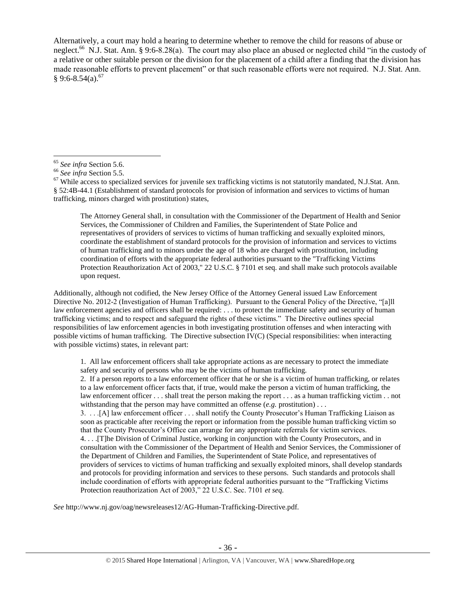Alternatively, a court may hold a hearing to determine whether to remove the child for reasons of abuse or neglect.<sup>66</sup> N.J. Stat. Ann. § 9:6-8.28(a). The court may also place an abused or neglected child "in the custody of a relative or other suitable person or the division for the placement of a child after a finding that the division has made reasonable efforts to prevent placement" or that such reasonable efforts were not required. N.J. Stat. Ann.  $§ 9:6-8.54(a).^{67}$ 

 $\overline{a}$ 

The Attorney General shall, in consultation with the Commissioner of the Department of Health and Senior Services, the Commissioner of Children and Families, the Superintendent of State Police and representatives of providers of services to victims of human trafficking and sexually exploited minors, coordinate the establishment of standard protocols for the provision of information and services to victims of human trafficking and to minors under the age of 18 who are charged with prostitution, including coordination of efforts with the appropriate federal authorities pursuant to the "Trafficking Victims Protection Reauthorization Act of 2003," 22 U.S.C. § 7101 et seq. and shall make such protocols available upon request.

Additionally, although not codified, the New Jersey Office of the Attorney General issued Law Enforcement Directive No. 2012-2 (Investigation of Human Trafficking). Pursuant to the General Policy of the Directive, "[a]ll law enforcement agencies and officers shall be required: . . . to protect the immediate safety and security of human trafficking victims; and to respect and safeguard the rights of these victims." The Directive outlines special responsibilities of law enforcement agencies in both investigating prostitution offenses and when interacting with possible victims of human trafficking. The Directive subsection  $\overline{IV}(C)$  (Special responsibilities: when interacting with possible victims) states, in relevant part:

1. All law enforcement officers shall take appropriate actions as are necessary to protect the immediate safety and security of persons who may be the victims of human trafficking.

2. If a person reports to a law enforcement officer that he or she is a victim of human trafficking, or relates to a law enforcement officer facts that, if true, would make the person a victim of human trafficking, the law enforcement officer . . . shall treat the person making the report . . . as a human trafficking victim . . not withstanding that the person may have committed an offense (*e.g.* prostitution) . . .

3. . . .[A] law enforcement officer . . . shall notify the County Prosecutor's Human Trafficking Liaison as soon as practicable after receiving the report or information from the possible human trafficking victim so that the County Prosecutor's Office can arrange for any appropriate referrals for victim services.

4. . . .[T]he Division of Criminal Justice, working in conjunction with the County Prosecutors, and in consultation with the Commissioner of the Department of Health and Senior Services, the Commissioner of the Department of Children and Families, the Superintendent of State Police, and representatives of providers of services to victims of human trafficking and sexually exploited minors, shall develop standards and protocols for providing information and services to these persons. Such standards and protocols shall include coordination of efforts with appropriate federal authorities pursuant to the "Trafficking Victims Protection reauthorization Act of 2003," 22 U.S.C. Sec. 7101 *et seq.*

*See* http://www.nj.gov/oag/newsreleases12/AG-Human-Trafficking-Directive.pdf.

<sup>65</sup> *See infra* Section 5.6.

<sup>66</sup> *See infra* Section 5.5.

 $67$  While access to specialized services for juvenile sex trafficking victims is not statutorily mandated, N.J.Stat. Ann. § 52:4B-44.1 (Establishment of standard protocols for provision of information and services to victims of human trafficking, minors charged with prostitution) states,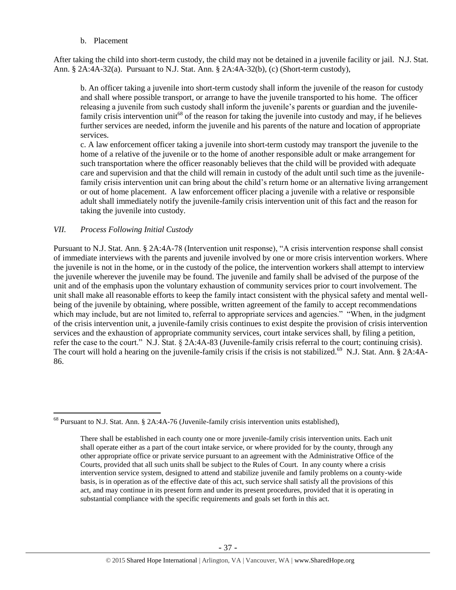b. Placement

After taking the child into short-term custody, the child may not be detained in a juvenile facility or jail. N.J. Stat. Ann. § 2A:4A-32(a). Pursuant to N.J. Stat. Ann. § 2A:4A-32(b), (c) (Short-term custody),

b. An officer taking a juvenile into short-term custody shall inform the juvenile of the reason for custody and shall where possible transport, or arrange to have the juvenile transported to his home. The officer releasing a juvenile from such custody shall inform the juvenile's parents or guardian and the juvenilefamily crisis intervention unit<sup>68</sup> of the reason for taking the juvenile into custody and may, if he believes further services are needed, inform the juvenile and his parents of the nature and location of appropriate services.

c. A law enforcement officer taking a juvenile into short-term custody may transport the juvenile to the home of a relative of the juvenile or to the home of another responsible adult or make arrangement for such transportation where the officer reasonably believes that the child will be provided with adequate care and supervision and that the child will remain in custody of the adult until such time as the juvenilefamily crisis intervention unit can bring about the child's return home or an alternative living arrangement or out of home placement. A law enforcement officer placing a juvenile with a relative or responsible adult shall immediately notify the juvenile-family crisis intervention unit of this fact and the reason for taking the juvenile into custody.

#### *VII. Process Following Initial Custody*

 $\overline{a}$ 

Pursuant to N.J. Stat. Ann. § 2A:4A-78 (Intervention unit response), "A crisis intervention response shall consist of immediate interviews with the parents and juvenile involved by one or more crisis intervention workers. Where the juvenile is not in the home, or in the custody of the police, the intervention workers shall attempt to interview the juvenile wherever the juvenile may be found. The juvenile and family shall be advised of the purpose of the unit and of the emphasis upon the voluntary exhaustion of community services prior to court involvement. The unit shall make all reasonable efforts to keep the family intact consistent with the physical safety and mental wellbeing of the juvenile by obtaining, where possible, written agreement of the family to accept recommendations which may include, but are not limited to, referral to appropriate services and agencies." "When, in the judgment of the crisis intervention unit, a juvenile-family crisis continues to exist despite the provision of crisis intervention services and the exhaustion of appropriate community services, court intake services shall, by filing a petition, refer the case to the court." N.J. Stat. § 2A:4A-83 (Juvenile-family crisis referral to the court; continuing crisis). The court will hold a hearing on the juvenile-family crisis if the crisis is not stabilized.<sup>69</sup> N.J. Stat. Ann. § 2A:4A-86.

<sup>&</sup>lt;sup>68</sup> Pursuant to N.J. Stat. Ann. § 2A:4A-76 (Juvenile-family crisis intervention units established),

There shall be established in each county one or more juvenile-family crisis intervention units. Each unit shall operate either as a part of the court intake service, or where provided for by the county, through any other appropriate office or private service pursuant to an agreement with the Administrative Office of the Courts, provided that all such units shall be subject to the Rules of Court. In any county where a crisis intervention service system, designed to attend and stabilize juvenile and family problems on a county-wide basis, is in operation as of the effective date of this act, such service shall satisfy all the provisions of this act, and may continue in its present form and under its present procedures, provided that it is operating in substantial compliance with the specific requirements and goals set forth in this act.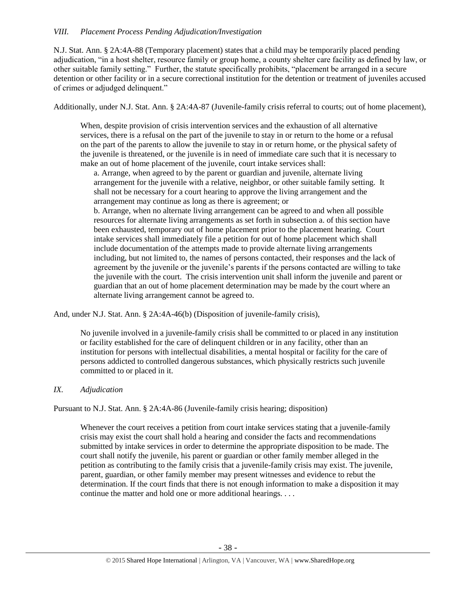### *VIII. Placement Process Pending Adjudication/Investigation*

N.J. Stat. Ann. § 2A:4A-88 (Temporary placement) states that a child may be temporarily placed pending adjudication, "in a host shelter, resource family or group home, a county shelter care facility as defined by law, or other suitable family setting." Further, the statute specifically prohibits, "placement be arranged in a secure detention or other facility or in a secure correctional institution for the detention or treatment of juveniles accused of crimes or adjudged delinquent."

Additionally, under N.J. Stat. Ann. § 2A:4A-87 (Juvenile-family crisis referral to courts; out of home placement),

When, despite provision of crisis intervention services and the exhaustion of all alternative services, there is a refusal on the part of the juvenile to stay in or return to the home or a refusal on the part of the parents to allow the juvenile to stay in or return home, or the physical safety of the juvenile is threatened, or the juvenile is in need of immediate care such that it is necessary to make an out of home placement of the juvenile, court intake services shall:

a. Arrange, when agreed to by the parent or guardian and juvenile, alternate living arrangement for the juvenile with a relative, neighbor, or other suitable family setting. It shall not be necessary for a court hearing to approve the living arrangement and the arrangement may continue as long as there is agreement; or

b. Arrange, when no alternate living arrangement can be agreed to and when all possible resources for alternate living arrangements as set forth in subsection a. of this section have been exhausted, temporary out of home placement prior to the placement hearing. Court intake services shall immediately file a petition for out of home placement which shall include documentation of the attempts made to provide alternate living arrangements including, but not limited to, the names of persons contacted, their responses and the lack of agreement by the juvenile or the juvenile's parents if the persons contacted are willing to take the juvenile with the court. The crisis intervention unit shall inform the juvenile and parent or guardian that an out of home placement determination may be made by the court where an alternate living arrangement cannot be agreed to.

And, under N.J. Stat. Ann. § 2A:4A-46(b) (Disposition of juvenile-family crisis),

No juvenile involved in a juvenile-family crisis shall be committed to or placed in any institution or facility established for the care of delinquent children or in any facility, other than an institution for persons with intellectual disabilities, a mental hospital or facility for the care of persons addicted to controlled dangerous substances, which physically restricts such juvenile committed to or placed in it.

#### *IX. Adjudication*

Pursuant to N.J. Stat. Ann. § 2A:4A-86 (Juvenile-family crisis hearing; disposition)

Whenever the court receives a petition from court intake services stating that a juvenile-family crisis may exist the court shall hold a hearing and consider the facts and recommendations submitted by intake services in order to determine the appropriate disposition to be made. The court shall notify the juvenile, his parent or guardian or other family member alleged in the petition as contributing to the family crisis that a juvenile-family crisis may exist. The juvenile, parent, guardian, or other family member may present witnesses and evidence to rebut the determination. If the court finds that there is not enough information to make a disposition it may continue the matter and hold one or more additional hearings. . . .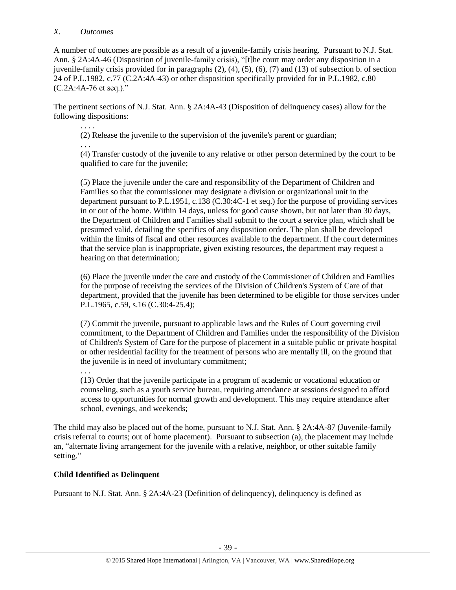### *X. Outcomes*

. . . .

. . .

A number of outcomes are possible as a result of a juvenile-family crisis hearing. Pursuant to N.J. Stat. Ann. § 2A:4A-46 (Disposition of juvenile-family crisis), "[t]he court may order any disposition in a juvenile-family crisis provided for in paragraphs (2), (4), (5), (6), (7) and (13) of subsection b. of section 24 of P.L[.1982, c.77](http://njlaw.rutgers.edu/cgi-bin/njstats/getnjstat.cgi?yr=1982&chap=77) (C.2A:4A-43) or other disposition specifically provided for in P.L[.1982, c.80](http://njlaw.rutgers.edu/cgi-bin/njstats/getnjstat.cgi?yr=1982&chap=80) (C.2A:4A-76 et seq.)."

The pertinent sections of N.J. Stat. Ann. § 2A:4A-43 (Disposition of delinquency cases) allow for the following dispositions:

(2) Release the juvenile to the supervision of the juvenile's parent or guardian;

(4) Transfer custody of the juvenile to any relative or other person determined by the court to be qualified to care for the juvenile;

(5) Place the juvenile under the care and responsibility of the Department of Children and Families so that the commissioner may designate a division or organizational unit in the department pursuant to P.L[.1951, c.138](http://njlaw.rutgers.edu/cgi-bin/njstats/getnjstat.cgi?yr=1951&chap=138) (C.30:4C-1 et seq.) for the purpose of providing services in or out of the home. Within 14 days, unless for good cause shown, but not later than 30 days, the Department of Children and Families shall submit to the court a service plan, which shall be presumed valid, detailing the specifics of any disposition order. The plan shall be developed within the limits of fiscal and other resources available to the department. If the court determines that the service plan is inappropriate, given existing resources, the department may request a hearing on that determination;

(6) Place the juvenile under the care and custody of the Commissioner of Children and Families for the purpose of receiving the services of the Division of Children's System of Care of that department, provided that the juvenile has been determined to be eligible for those services under P.L[.1965, c.59,](http://njlaw.rutgers.edu/cgi-bin/njstats/getnjstat.cgi?yr=1965&chap=59) s.16 (C.30:4-25.4);

(7) Commit the juvenile, pursuant to applicable laws and the Rules of Court governing civil commitment, to the Department of Children and Families under the responsibility of the Division of Children's System of Care for the purpose of placement in a suitable public or private hospital or other residential facility for the treatment of persons who are mentally ill, on the ground that the juvenile is in need of involuntary commitment;

. . . (13) Order that the juvenile participate in a program of academic or vocational education or counseling, such as a youth service bureau, requiring attendance at sessions designed to afford access to opportunities for normal growth and development. This may require attendance after school, evenings, and weekends;

The child may also be placed out of the home, pursuant to N.J. Stat. Ann. § 2A:4A-87 (Juvenile-family crisis referral to courts; out of home placement). Pursuant to subsection (a), the placement may include an, "alternate living arrangement for the juvenile with a relative, neighbor, or other suitable family setting."

# **Child Identified as Delinquent**

Pursuant to N.J. Stat. Ann. § 2A:4A-23 (Definition of delinquency), delinquency is defined as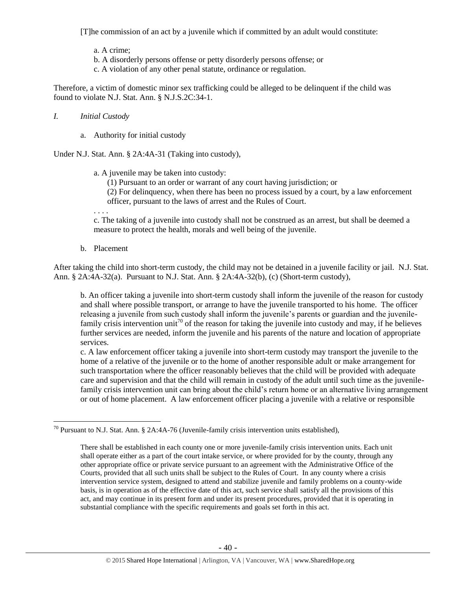[T]he commission of an act by a juvenile which if committed by an adult would constitute:

a. A crime;

b. A disorderly persons offense or petty disorderly persons offense; or

c. A violation of any other penal statute, ordinance or regulation.

Therefore, a victim of domestic minor sex trafficking could be alleged to be delinquent if the child was found to violate N.J. Stat. Ann. § N.J.S.2C:34-1.

## *I. Initial Custody*

a. Authority for initial custody

Under N.J. Stat. Ann. § 2A:4A-31 (Taking into custody),

a. A juvenile may be taken into custody:

(1) Pursuant to an order or warrant of any court having jurisdiction; or

(2) For delinquency, when there has been no process issued by a court, by a law enforcement officer, pursuant to the laws of arrest and the Rules of Court.

. . . .

c. The taking of a juvenile into custody shall not be construed as an arrest, but shall be deemed a measure to protect the health, morals and well being of the juvenile.

b. Placement

After taking the child into short-term custody, the child may not be detained in a juvenile facility or jail. N.J. Stat. Ann. § 2A:4A-32(a). Pursuant to N.J. Stat. Ann. § 2A:4A-32(b), (c) (Short-term custody),

b. An officer taking a juvenile into short-term custody shall inform the juvenile of the reason for custody and shall where possible transport, or arrange to have the juvenile transported to his home. The officer releasing a juvenile from such custody shall inform the juvenile's parents or guardian and the juvenilefamily crisis intervention unit<sup>70</sup> of the reason for taking the juvenile into custody and may, if he believes further services are needed, inform the juvenile and his parents of the nature and location of appropriate services.

c. A law enforcement officer taking a juvenile into short-term custody may transport the juvenile to the home of a relative of the juvenile or to the home of another responsible adult or make arrangement for such transportation where the officer reasonably believes that the child will be provided with adequate care and supervision and that the child will remain in custody of the adult until such time as the juvenilefamily crisis intervention unit can bring about the child's return home or an alternative living arrangement or out of home placement. A law enforcement officer placing a juvenile with a relative or responsible

 $\overline{a}$ <sup>70</sup> Pursuant to N.J. Stat. Ann. § 2A:4A-76 (Juvenile-family crisis intervention units established),

There shall be established in each county one or more juvenile-family crisis intervention units. Each unit shall operate either as a part of the court intake service, or where provided for by the county, through any other appropriate office or private service pursuant to an agreement with the Administrative Office of the Courts, provided that all such units shall be subject to the Rules of Court. In any county where a crisis intervention service system, designed to attend and stabilize juvenile and family problems on a county-wide basis, is in operation as of the effective date of this act, such service shall satisfy all the provisions of this act, and may continue in its present form and under its present procedures, provided that it is operating in substantial compliance with the specific requirements and goals set forth in this act.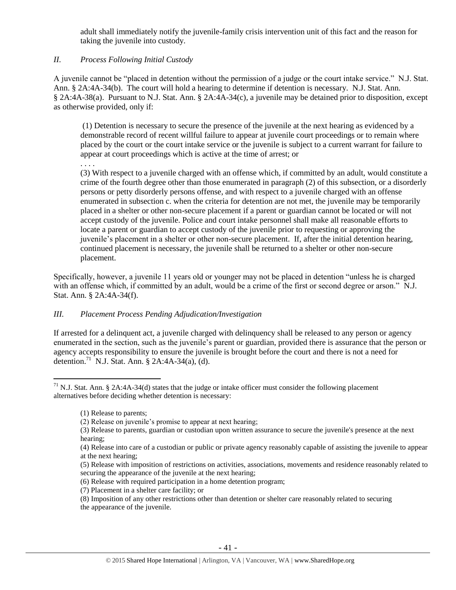adult shall immediately notify the juvenile-family crisis intervention unit of this fact and the reason for taking the juvenile into custody.

# *II. Process Following Initial Custody*

. . . .

A juvenile cannot be "placed in detention without the permission of a judge or the court intake service." N.J. Stat. Ann. § 2A:4A-34(b). The court will hold a hearing to determine if detention is necessary. N.J. Stat. Ann. § 2A:4A-38(a). Pursuant to N.J. Stat. Ann. § 2A:4A-34(c), a juvenile may be detained prior to disposition, except as otherwise provided, only if:

(1) Detention is necessary to secure the presence of the juvenile at the next hearing as evidenced by a demonstrable record of recent willful failure to appear at juvenile court proceedings or to remain where placed by the court or the court intake service or the juvenile is subject to a current warrant for failure to appear at court proceedings which is active at the time of arrest; or

(3) With respect to a juvenile charged with an offense which, if committed by an adult, would constitute a crime of the fourth degree other than those enumerated in paragraph (2) of this subsection, or a disorderly persons or petty disorderly persons offense, and with respect to a juvenile charged with an offense enumerated in subsection c. when the criteria for detention are not met, the juvenile may be temporarily placed in a shelter or other non-secure placement if a parent or guardian cannot be located or will not accept custody of the juvenile. Police and court intake personnel shall make all reasonable efforts to locate a parent or guardian to accept custody of the juvenile prior to requesting or approving the juvenile's placement in a shelter or other non-secure placement. If, after the initial detention hearing, continued placement is necessary, the juvenile shall be returned to a shelter or other non-secure placement.

Specifically, however, a juvenile 11 years old or younger may not be placed in detention "unless he is charged with an offense which, if committed by an adult, would be a crime of the first or second degree or arson." N.J. Stat. Ann. § 2A:4A-34(f).

# *III. Placement Process Pending Adjudication/Investigation*

If arrested for a delinquent act, a juvenile charged with delinquency shall be released to any person or agency enumerated in the section, such as the juvenile's parent or guardian, provided there is assurance that the person or agency accepts responsibility to ensure the juvenile is brought before the court and there is not a need for detention.<sup>71</sup> N.J. Stat. Ann. § 2A:4A-34(a), (d).

 $\overline{a}$ 

(5) Release with imposition of restrictions on activities, associations, movements and residence reasonably related to securing the appearance of the juvenile at the next hearing;

(7) Placement in a shelter care facility; or

 $71$  N.J. Stat. Ann. § 2A:4A-34(d) states that the judge or intake officer must consider the following placement alternatives before deciding whether detention is necessary:

<sup>(1)</sup> Release to parents;

<sup>(2)</sup> Release on juvenile's promise to appear at next hearing;

<sup>(3)</sup> Release to parents, guardian or custodian upon written assurance to secure the juvenile's presence at the next hearing;

<sup>(4)</sup> Release into care of a custodian or public or private agency reasonably capable of assisting the juvenile to appear at the next hearing;

<sup>(6)</sup> Release with required participation in a home detention program;

<sup>(8)</sup> Imposition of any other restrictions other than detention or shelter care reasonably related to securing the appearance of the juvenile.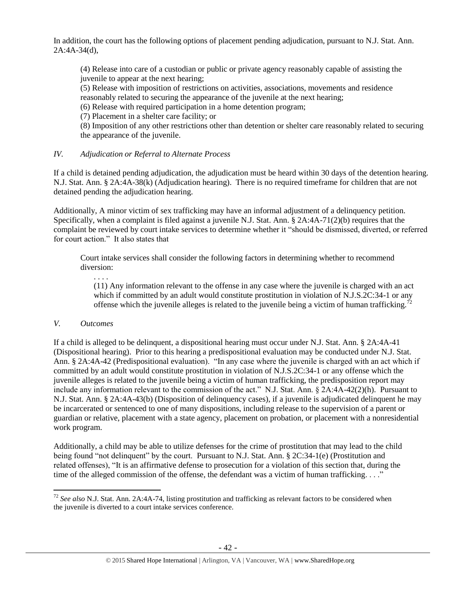In addition, the court has the following options of placement pending adjudication, pursuant to N.J. Stat. Ann. 2A:4A-34(d),

(4) Release into care of a custodian or public or private agency reasonably capable of assisting the juvenile to appear at the next hearing;

(5) Release with imposition of restrictions on activities, associations, movements and residence

reasonably related to securing the appearance of the juvenile at the next hearing;

(6) Release with required participation in a home detention program;

(7) Placement in a shelter care facility; or

(8) Imposition of any other restrictions other than detention or shelter care reasonably related to securing the appearance of the juvenile.

# *IV. Adjudication or Referral to Alternate Process*

If a child is detained pending adjudication, the adjudication must be heard within 30 days of the detention hearing. N.J. Stat. Ann. § 2A:4A-38(k) (Adjudication hearing). There is no required timeframe for children that are not detained pending the adjudication hearing.

Additionally, A minor victim of sex trafficking may have an informal adjustment of a delinquency petition. Specifically, when a complaint is filed against a juvenile N.J. Stat. Ann. § 2A:4A-71(2)(b) requires that the complaint be reviewed by court intake services to determine whether it "should be dismissed, diverted, or referred for court action." It also states that

Court intake services shall consider the following factors in determining whether to recommend diversion:

. . . .

(11) Any information relevant to the offense in any case where the juvenile is charged with an act which if committed by an adult would constitute prostitution in violation of N.J.S.2C:34-1 or any offense which the juvenile alleges is related to the juvenile being a victim of human trafficking.<sup>72</sup>

# *V. Outcomes*

 $\overline{a}$ 

If a child is alleged to be delinquent, a dispositional hearing must occur under N.J. Stat. Ann. § 2A:4A-41 (Dispositional hearing). Prior to this hearing a predispositional evaluation may be conducted under N.J. Stat. Ann. § 2A:4A-42 (Predispositional evaluation). "In any case where the juvenile is charged with an act which if committed by an adult would constitute prostitution in violation of N.J.S.2C:34-1 or any offense which the juvenile alleges is related to the juvenile being a victim of human trafficking, the predisposition report may include any information relevant to the commission of the act." N.J. Stat. Ann. § 2A:4A-42(2)(h). Pursuant to N.J. Stat. Ann. § 2A:4A-43(b) (Disposition of delinquency cases), if a juvenile is adjudicated delinquent he may be incarcerated or sentenced to one of many dispositions, including release to the supervision of a parent or guardian or relative, placement with a state agency, placement on probation, or placement with a nonresidential work program.

Additionally, a child may be able to utilize defenses for the crime of prostitution that may lead to the child being found "not delinquent" by the court. Pursuant to N.J. Stat. Ann. § 2C:34-1(e) (Prostitution and related offenses), "It is an affirmative defense to prosecution for a violation of this section that, during the time of the alleged commission of the offense, the defendant was a victim of human trafficking. . . ."

<sup>72</sup> *See also* N.J. Stat. Ann. 2A:4A-74, listing prostitution and trafficking as relevant factors to be considered when the juvenile is diverted to a court intake services conference.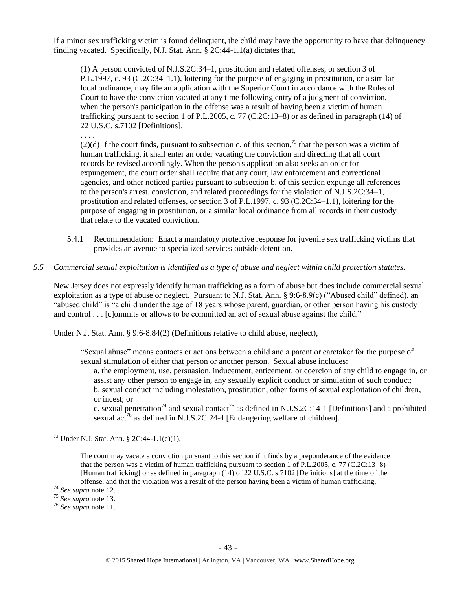If a minor sex trafficking victim is found delinquent, the child may have the opportunity to have that delinquency finding vacated. Specifically, N.J. Stat. Ann. § 2C:44-1.1(a) dictates that,

(1) A person convicted of N.J.S.2C:34–1, prostitution and related offenses, or section 3 of P.L.1997, c. 93 (C.2C:34–1.1), loitering for the purpose of engaging in prostitution, or a similar local ordinance, may file an application with the Superior Court in accordance with the Rules of Court to have the conviction vacated at any time following entry of a judgment of conviction, when the person's participation in the offense was a result of having been a victim of human trafficking pursuant to section 1 of P.L.2005, c. 77 (C.2C:13–8) or as defined in paragraph (14) of 22 U.S.C. s.7102 [Definitions].

. . . .

 $(2)(d)$  If the court finds, pursuant to subsection c. of this section,<sup>73</sup> that the person was a victim of human trafficking, it shall enter an order vacating the conviction and directing that all court records be revised accordingly. When the person's application also seeks an order for expungement, the court order shall require that any court, law enforcement and correctional agencies, and other noticed parties pursuant to subsection b. of this section expunge all references to the person's arrest, conviction, and related proceedings for the violation of N.J.S.2C:34–1, prostitution and related offenses, or section 3 of P.L.1997, c. 93 (C.2C:34–1.1), loitering for the purpose of engaging in prostitution, or a similar local ordinance from all records in their custody that relate to the vacated conviction.

- 5.4.1 Recommendation: Enact a mandatory protective response for juvenile sex trafficking victims that provides an avenue to specialized services outside detention.
- *5.5 Commercial sexual exploitation is identified as a type of abuse and neglect within child protection statutes.*

New Jersey does not expressly identify human trafficking as a form of abuse but does include commercial sexual exploitation as a type of abuse or neglect. Pursuant to N.J. Stat. Ann. § 9:6-8.9(c) ("Abused child" defined), an "abused child" is "a child under the age of 18 years whose parent, guardian, or other person having his custody and control . . . [c]ommits or allows to be committed an act of sexual abuse against the child."

Under N.J. Stat. Ann. § 9:6-8.84(2) (Definitions relative to child abuse, neglect),

"Sexual abuse" means contacts or actions between a child and a parent or caretaker for the purpose of sexual stimulation of either that person or another person. Sexual abuse includes:

a. the employment, use, persuasion, inducement, enticement, or coercion of any child to engage in, or assist any other person to engage in, any sexually explicit conduct or simulation of such conduct; b. sexual conduct including molestation, prostitution, other forms of sexual exploitation of children, or incest; or

c. sexual penetration<sup>74</sup> and sexual contact<sup>75</sup> as defined in N.J.S.2C:14-1 [Definitions] and a prohibited sexual  $\arctan{76}$  as defined in N.J.S.2C:24-4 [Endangering welfare of children].

The court may vacate a conviction pursuant to this section if it finds by a preponderance of the evidence that the person was a victim of human trafficking pursuant to section 1 of P.L.2005, c. 77 (C.2C:13–8) [Human trafficking] or as defined in paragraph (14) of 22 U.S.C. s.7102 [Definitions] at the time of the offense, and that the violation was a result of the person having been a victim of human trafficking.

<sup>73</sup> Under N.J. Stat. Ann. § 2C:44-1.1(c)(1),

<sup>74</sup> *See supra* note [12.](#page-5-1)

<sup>75</sup> *See supra* note [13.](#page-5-2)

<sup>76</sup> *See supra* note [11.](#page-4-1)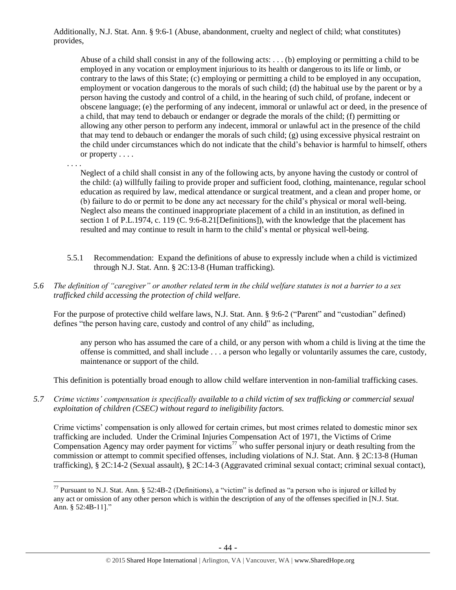Additionally, N.J. Stat. Ann. § 9:6-1 (Abuse, abandonment, cruelty and neglect of child; what constitutes) provides,

Abuse of a child shall consist in any of the following acts: . . . (b) employing or permitting a child to be employed in any vocation or employment injurious to its health or dangerous to its life or limb, or contrary to the laws of this State; (c) employing or permitting a child to be employed in any occupation, employment or vocation dangerous to the morals of such child; (d) the habitual use by the parent or by a person having the custody and control of a child, in the hearing of such child, of profane, indecent or obscene language; (e) the performing of any indecent, immoral or unlawful act or deed, in the presence of a child, that may tend to debauch or endanger or degrade the morals of the child; (f) permitting or allowing any other person to perform any indecent, immoral or unlawful act in the presence of the child that may tend to debauch or endanger the morals of such child; (g) using excessive physical restraint on the child under circumstances which do not indicate that the child's behavior is harmful to himself, others or property . . . .

. . . .

 $\overline{a}$ 

Neglect of a child shall consist in any of the following acts, by anyone having the custody or control of the child: (a) willfully failing to provide proper and sufficient food, clothing, maintenance, regular school education as required by law, medical attendance or surgical treatment, and a clean and proper home, or (b) failure to do or permit to be done any act necessary for the child's physical or moral well-being. Neglect also means the continued inappropriate placement of a child in an institution, as defined in section 1 of P.L.1974, c. 119 (C. 9:6-8.21[Definitions]), with the knowledge that the placement has resulted and may continue to result in harm to the child's mental or physical well-being.

- 5.5.1 Recommendation: Expand the definitions of abuse to expressly include when a child is victimized through N.J. Stat. Ann. § 2C:13-8 (Human trafficking).
- *5.6 The definition of "caregiver" or another related term in the child welfare statutes is not a barrier to a sex trafficked child accessing the protection of child welfare.*

For the purpose of protective child welfare laws, N.J. Stat. Ann. § 9:6-2 ("Parent" and "custodian" defined) defines "the person having care, custody and control of any child" as including,

any person who has assumed the care of a child, or any person with whom a child is living at the time the offense is committed, and shall include . . . a person who legally or voluntarily assumes the care, custody, maintenance or support of the child.

This definition is potentially broad enough to allow child welfare intervention in non-familial trafficking cases.

*5.7 Crime victims' compensation is specifically available to a child victim of sex trafficking or commercial sexual exploitation of children (CSEC) without regard to ineligibility factors.*

Crime victims' compensation is only allowed for certain crimes, but most crimes related to domestic minor sex trafficking are included. Under the Criminal Injuries Compensation Act of 1971, the Victims of Crime Compensation Agency may order payment for victims<sup>77</sup> who suffer personal injury or death resulting from the commission or attempt to commit specified offenses, including violations of N.J. Stat. Ann. § 2C:13-8 (Human trafficking), § 2C:14-2 (Sexual assault), § 2C:14-3 (Aggravated criminal sexual contact; criminal sexual contact),

 $^{77}$  Pursuant to N.J. Stat. Ann. § 52:4B-2 (Definitions), a "victim" is defined as "a person who is injured or killed by any act or omission of any other person which is within the description of any of the offenses specified in [N.J. Stat. Ann. § 52:4B-11]."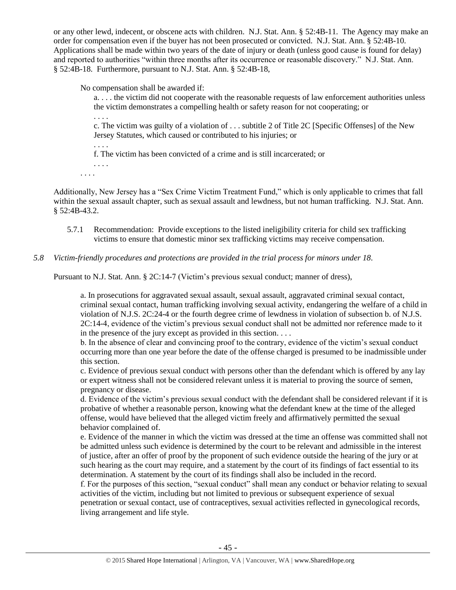or any other lewd, indecent, or obscene acts with children. N.J. Stat. Ann. § 52:4B-11. The Agency may make an order for compensation even if the buyer has not been prosecuted or convicted. N.J. Stat. Ann. § 52:4B-10. Applications shall be made within two years of the date of injury or death (unless good cause is found for delay) and reported to authorities "within three months after its occurrence or reasonable discovery." N.J. Stat. Ann. § 52:4B-18. Furthermore, pursuant to N.J. Stat. Ann. § 52:4B-18,

No compensation shall be awarded if:

a. . . . the victim did not cooperate with the reasonable requests of law enforcement authorities unless the victim demonstrates a compelling health or safety reason for not cooperating; or

. . . .

. . . .

c. The victim was guilty of a violation of . . . subtitle 2 of Title 2C [Specific Offenses] of the New Jersey Statutes, which caused or contributed to his injuries; or

f. The victim has been convicted of a crime and is still incarcerated; or

. . . . . . . .

Additionally, New Jersey has a "Sex Crime Victim Treatment Fund," which is only applicable to crimes that fall within the sexual assault chapter, such as sexual assault and lewdness, but not human trafficking. N.J. Stat. Ann. § 52:4B-43.2.

5.7.1 Recommendation: Provide exceptions to the listed ineligibility criteria for child sex trafficking victims to ensure that domestic minor sex trafficking victims may receive compensation.

## *5.8 Victim-friendly procedures and protections are provided in the trial process for minors under 18.*

Pursuant to N.J. Stat. Ann. § 2C:14-7 (Victim's previous sexual conduct; manner of dress),

a. In prosecutions for aggravated sexual assault, sexual assault, aggravated criminal sexual contact, criminal sexual contact, human trafficking involving sexual activity, endangering the welfare of a child in violation of N.J.S. 2C:24-4 or the fourth degree crime of lewdness in violation of subsection b. of N.J.S. 2C:14-4, evidence of the victim's previous sexual conduct shall not be admitted nor reference made to it in the presence of the jury except as provided in this section. . . .

b. In the absence of clear and convincing proof to the contrary, evidence of the victim's sexual conduct occurring more than one year before the date of the offense charged is presumed to be inadmissible under this section.

c. Evidence of previous sexual conduct with persons other than the defendant which is offered by any lay or expert witness shall not be considered relevant unless it is material to proving the source of semen, pregnancy or disease.

d. Evidence of the victim's previous sexual conduct with the defendant shall be considered relevant if it is probative of whether a reasonable person, knowing what the defendant knew at the time of the alleged offense, would have believed that the alleged victim freely and affirmatively permitted the sexual behavior complained of.

e. Evidence of the manner in which the victim was dressed at the time an offense was committed shall not be admitted unless such evidence is determined by the court to be relevant and admissible in the interest of justice, after an offer of proof by the proponent of such evidence outside the hearing of the jury or at such hearing as the court may require, and a statement by the court of its findings of fact essential to its determination. A statement by the court of its findings shall also be included in the record.

f. For the purposes of this section, "sexual conduct" shall mean any conduct or behavior relating to sexual activities of the victim, including but not limited to previous or subsequent experience of sexual penetration or sexual contact, use of contraceptives, sexual activities reflected in gynecological records, living arrangement and life style.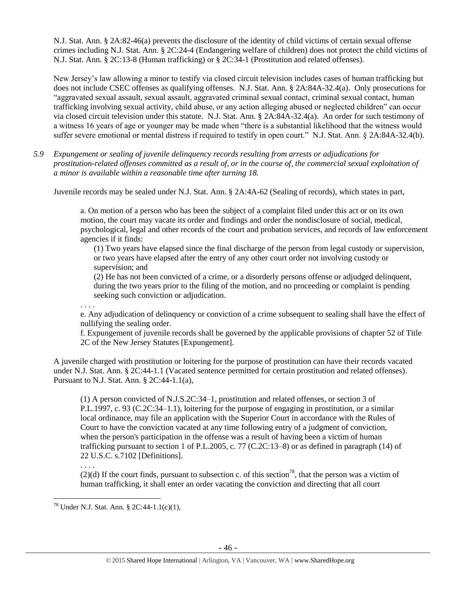N.J. Stat. Ann. § 2A:82-46(a) prevents the disclosure of the identity of child victims of certain sexual offense crimes including N.J. Stat. Ann. § 2C:24-4 (Endangering welfare of children) does not protect the child victims of N.J. Stat. Ann. § 2C:13-8 (Human trafficking) or § 2C:34-1 (Prostitution and related offenses).

New Jersey's law allowing a minor to testify via closed circuit television includes cases of human trafficking but does not include CSEC offenses as qualifying offenses. N.J. Stat. Ann. § 2A:84A-32.4(a). Only prosecutions for "aggravated sexual assault, sexual assault, aggravated criminal sexual contact, criminal sexual contact, human trafficking involving sexual activity, child abuse, or any action alleging abused or neglected children" can occur via closed circuit television under this statute. N.J. Stat. Ann. § 2A:84A-32.4(a). An order for such testimony of a witness 16 years of age or younger may be made when "there is a substantial likelihood that the witness would suffer severe emotional or mental distress if required to testify in open court." N.J. Stat. Ann. § 2A:84A-32.4(b).

*5.9 Expungement or sealing of juvenile delinquency records resulting from arrests or adjudications for prostitution-related offenses committed as a result of, or in the course of, the commercial sexual exploitation of a minor is available within a reasonable time after turning 18.*

Juvenile records may be sealed under N.J. Stat. Ann. § 2A:4A-62 (Sealing of records), which states in part,

a. On motion of a person who has been the subject of a complaint filed under this act or on its own motion, the court may vacate its order and findings and order the nondisclosure of social, medical, psychological, legal and other records of the court and probation services, and records of law enforcement agencies if it finds:

(1) Two years have elapsed since the final discharge of the person from legal custody or supervision, or two years have elapsed after the entry of any other court order not involving custody or supervision; and

(2) He has not been convicted of a crime, or a disorderly persons offense or adjudged delinquent, during the two years prior to the filing of the motion, and no proceeding or complaint is pending seeking such conviction or adjudication.

. . . . e. Any adjudication of delinquency or conviction of a crime subsequent to sealing shall have the effect of nullifying the sealing order.

f. Expungement of juvenile records shall be governed by the applicable provisions of chapter 52 of Title 2C of the New Jersey Statutes [Expungement].

A juvenile charged with prostitution or loitering for the purpose of prostitution can have their records vacated under N.J. Stat. Ann. § 2C:44-1.1 (Vacated sentence permitted for certain prostitution and related offenses). Pursuant to N.J. Stat. Ann. § 2C:44-1.1(a),

(1) A person convicted of N.J.S.2C:34–1, prostitution and related offenses, or section 3 of P.L.1997, c. 93 (C.2C:34–1.1), loitering for the purpose of engaging in prostitution, or a similar local ordinance, may file an application with the Superior Court in accordance with the Rules of Court to have the conviction vacated at any time following entry of a judgment of conviction, when the person's participation in the offense was a result of having been a victim of human trafficking pursuant to section 1 of P.L.2005, c. 77 (C.2C:13–8) or as defined in paragraph (14) of 22 U.S.C. s.7102 [Definitions].

. . . .

 $\overline{a}$ 

(2)(d) If the court finds, pursuant to subsection c. of this section<sup>78</sup>, that the person was a victim of human trafficking, it shall enter an order vacating the conviction and directing that all court

<sup>78</sup> Under N.J. Stat. Ann. § 2C:44-1.1(c)(1),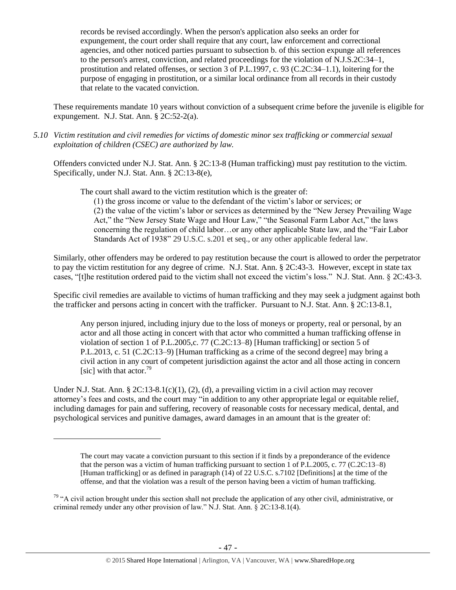records be revised accordingly. When the person's application also seeks an order for expungement, the court order shall require that any court, law enforcement and correctional agencies, and other noticed parties pursuant to subsection b. of this section expunge all references to the person's arrest, conviction, and related proceedings for the violation of N.J.S.2C:34–1, prostitution and related offenses, or section 3 of P.L.1997, c. 93 (C.2C:34–1.1), loitering for the purpose of engaging in prostitution, or a similar local ordinance from all records in their custody that relate to the vacated conviction.

These requirements mandate 10 years without conviction of a subsequent crime before the juvenile is eligible for expungement. N.J. Stat. Ann. § 2C:52-2(a).

*5.10 Victim restitution and civil remedies for victims of domestic minor sex trafficking or commercial sexual exploitation of children (CSEC) are authorized by law.* 

Offenders convicted under N.J. Stat. Ann. § 2C:13-8 (Human trafficking) must pay restitution to the victim. Specifically, under N.J. Stat. Ann. § 2C:13-8(e),

The court shall award to the victim restitution which is the greater of:

(1) the gross income or value to the defendant of the victim's labor or services; or (2) the value of the victim's labor or services as determined by the "New Jersey Prevailing Wage Act," the "New Jersey State Wage and Hour Law," "the Seasonal Farm Labor Act," the laws concerning the regulation of child labor…or any other applicable State law, and the "Fair Labor Standards Act of 1938" 29 U.S.C. s.201 et seq., or any other applicable federal law.

Similarly, other offenders may be ordered to pay restitution because the court is allowed to order the perpetrator to pay the victim restitution for any degree of crime. N.J. Stat. Ann. § 2C:43-3. However, except in state tax cases, "[t]he restitution ordered paid to the victim shall not exceed the victim's loss." N.J. Stat. Ann. § 2C:43-3.

Specific civil remedies are available to victims of human trafficking and they may seek a judgment against both the trafficker and persons acting in concert with the trafficker. Pursuant to N.J. Stat. Ann. § 2C:13-8.1,

Any person injured, including injury due to the loss of moneys or property, real or personal, by an actor and all those acting in concert with that actor who committed a human trafficking offense in violation of section 1 of P.L.2005,c. 77 (C.2C:13–8) [Human trafficking] or section 5 of P.L.2013, c. 51 (C.2C:13–9) [Human trafficking as a crime of the second degree] may bring a civil action in any court of competent jurisdiction against the actor and all those acting in concern [sic] with that actor. $79$ 

Under N.J. Stat. Ann. § 2C:13-8.1(c)(1), (2), (d), a prevailing victim in a civil action may recover attorney's fees and costs, and the court may "in addition to any other appropriate legal or equitable relief, including damages for pain and suffering, recovery of reasonable costs for necessary medical, dental, and psychological services and punitive damages, award damages in an amount that is the greater of:

The court may vacate a conviction pursuant to this section if it finds by a preponderance of the evidence that the person was a victim of human trafficking pursuant to section 1 of P.L.2005, c. 77 (C.2C:13–8) [Human trafficking] or as defined in paragraph (14) of 22 U.S.C. s.7102 [Definitions] at the time of the offense, and that the violation was a result of the person having been a victim of human trafficking.

 $79$  "A civil action brought under this section shall not preclude the application of any other civil, administrative, or criminal remedy under any other provision of law." N.J. Stat. Ann. § 2C:13-8.1(4).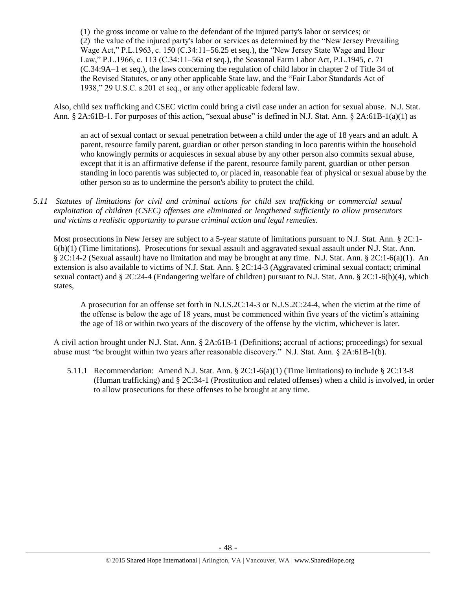(1) the gross income or value to the defendant of the injured party's labor or services; or (2) the value of the injured party's labor or services as determined by the "New Jersey Prevailing Wage Act," P.L.1963, c. 150 (C.34:11–56.25 et seq.), the "New Jersey State Wage and Hour Law," P.L.1966, c. 113 (C.34:11–56a et seq.), the Seasonal Farm Labor Act, P.L.1945, c. 71 (C.34:9A–1 et seq.), the laws concerning the regulation of child labor in chapter 2 of Title 34 of the Revised Statutes, or any other applicable State law, and the "Fair Labor Standards Act of 1938," 29 U.S.C. s.201 et seq., or any other applicable federal law.

Also, child sex trafficking and CSEC victim could bring a civil case under an action for sexual abuse. N.J. Stat. Ann. § 2A:61B-1. For purposes of this action, "sexual abuse" is defined in N.J. Stat. Ann. § 2A:61B-1(a)(1) as

an act of sexual contact or sexual penetration between a child under the age of 18 years and an adult. A parent, resource family parent, guardian or other person standing in loco parentis within the household who knowingly permits or acquiesces in sexual abuse by any other person also commits sexual abuse, except that it is an affirmative defense if the parent, resource family parent, guardian or other person standing in loco parentis was subjected to, or placed in, reasonable fear of physical or sexual abuse by the other person so as to undermine the person's ability to protect the child.

*5.11 Statutes of limitations for civil and criminal actions for child sex trafficking or commercial sexual exploitation of children (CSEC) offenses are eliminated or lengthened sufficiently to allow prosecutors and victims a realistic opportunity to pursue criminal action and legal remedies.*

Most prosecutions in New Jersey are subject to a 5-year statute of limitations pursuant to N.J. Stat. Ann. § 2C:1- 6(b)(1) (Time limitations). Prosecutions for sexual assault and aggravated sexual assault under N.J. Stat. Ann. § 2C:14-2 (Sexual assault) have no limitation and may be brought at any time. N.J. Stat. Ann. § 2C:1-6(a)(1). An extension is also available to victims of N.J. Stat. Ann. § 2C:14-3 (Aggravated criminal sexual contact; criminal sexual contact) and § 2C:24-4 (Endangering welfare of children) pursuant to N.J. Stat. Ann. § 2C:1-6(b)(4), which states,

A prosecution for an offense set forth in N.J.S.2C:14-3 or N.J.S.2C:24-4, when the victim at the time of the offense is below the age of 18 years, must be commenced within five years of the victim's attaining the age of 18 or within two years of the discovery of the offense by the victim, whichever is later.

A civil action brought under N.J. Stat. Ann. § 2A:61B-1 (Definitions; accrual of actions; proceedings) for sexual abuse must "be brought within two years after reasonable discovery." N.J. Stat. Ann. § 2A:61B-1(b).

5.11.1 Recommendation: Amend N.J. Stat. Ann. § 2C:1-6(a)(1) (Time limitations) to include § 2C:13-8 (Human trafficking) and § 2C:34-1 (Prostitution and related offenses) when a child is involved, in order to allow prosecutions for these offenses to be brought at any time.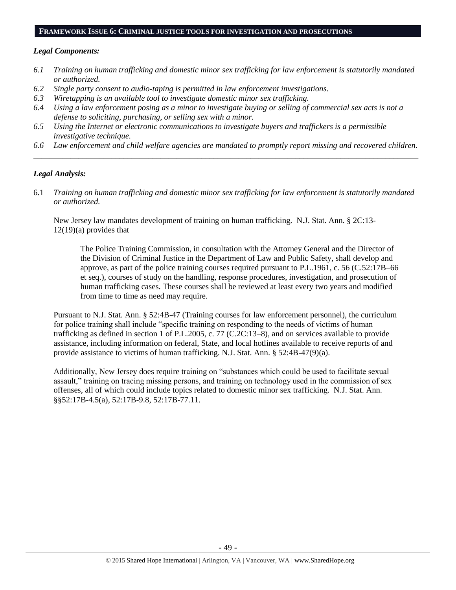#### **FRAMEWORK ISSUE 6: CRIMINAL JUSTICE TOOLS FOR INVESTIGATION AND PROSECUTIONS**

#### *Legal Components:*

- *6.1 Training on human trafficking and domestic minor sex trafficking for law enforcement is statutorily mandated or authorized.*
- *6.2 Single party consent to audio-taping is permitted in law enforcement investigations.*
- *6.3 Wiretapping is an available tool to investigate domestic minor sex trafficking.*
- *6.4 Using a law enforcement posing as a minor to investigate buying or selling of commercial sex acts is not a defense to soliciting, purchasing, or selling sex with a minor.*
- *6.5 Using the Internet or electronic communications to investigate buyers and traffickers is a permissible investigative technique.*
- *6.6 Law enforcement and child welfare agencies are mandated to promptly report missing and recovered children. \_\_\_\_\_\_\_\_\_\_\_\_\_\_\_\_\_\_\_\_\_\_\_\_\_\_\_\_\_\_\_\_\_\_\_\_\_\_\_\_\_\_\_\_\_\_\_\_\_\_\_\_\_\_\_\_\_\_\_\_\_\_\_\_\_\_\_\_\_\_\_\_\_\_\_\_\_\_\_\_\_\_\_\_\_\_\_\_\_\_\_\_\_\_*

## *Legal Analysis:*

6.1 *Training on human trafficking and domestic minor sex trafficking for law enforcement is statutorily mandated or authorized.*

New Jersey law mandates development of training on human trafficking. N.J. Stat. Ann. § 2C:13-  $12(19)(a)$  provides that

The Police Training Commission, in consultation with the Attorney General and the Director of the Division of Criminal Justice in the Department of Law and Public Safety, shall develop and approve, as part of the police training courses required pursuant to P.L.1961, c. 56 (C.52:17B–66 et seq.), courses of study on the handling, response procedures, investigation, and prosecution of human trafficking cases. These courses shall be reviewed at least every two years and modified from time to time as need may require.

Pursuant to N.J. Stat. Ann. § 52:4B-47 (Training courses for law enforcement personnel), the curriculum for police training shall include "specific training on responding to the needs of victims of human trafficking as defined in section 1 of P.L.2005, c. 77 (C.2C:13–8), and on services available to provide assistance, including information on federal, State, and local hotlines available to receive reports of and provide assistance to victims of human trafficking. N.J. Stat. Ann. § 52:4B-47(9)(a).

Additionally, New Jersey does require training on "substances which could be used to facilitate sexual assault," training on tracing missing persons, and training on technology used in the commission of sex offenses, all of which could include topics related to domestic minor sex trafficking. N.J. Stat. Ann. §§52:17B-4.5(a), 52:17B-9.8, 52:17B-77.11.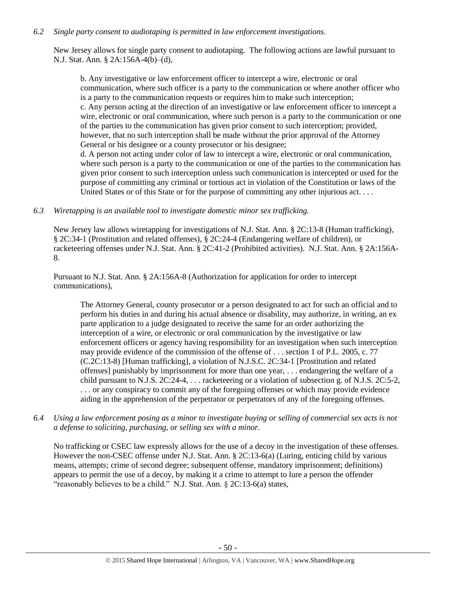#### *6.2 Single party consent to audiotaping is permitted in law enforcement investigations.*

New Jersey allows for single party consent to audiotaping. The following actions are lawful pursuant to N.J. Stat. Ann. § 2A:156A-4(b)–(d),

b. Any investigative or law enforcement officer to intercept a wire, electronic or oral communication, where such officer is a party to the communication or where another officer who is a party to the communication requests or requires him to make such interception; c. Any person acting at the direction of an investigative or law enforcement officer to intercept a wire, electronic or oral communication, where such person is a party to the communication or one of the parties to the communication has given prior consent to such interception; provided, however, that no such interception shall be made without the prior approval of the Attorney General or his designee or a county prosecutor or his designee; d. A person not acting under color of law to intercept a wire, electronic or oral communication, where such person is a party to the communication or one of the parties to the communication has given prior consent to such interception unless such communication is intercepted or used for the purpose of committing any criminal or tortious act in violation of the Constitution or laws of the United States or of this State or for the purpose of committing any other injurious act...

*6.3 Wiretapping is an available tool to investigate domestic minor sex trafficking.* 

New Jersey law allows wiretapping for investigations of N.J. Stat. Ann. § 2C:13-8 (Human trafficking), § 2C:34-1 (Prostitution and related offenses), § 2C:24-4 (Endangering welfare of children), or racketeering offenses under N.J. Stat. Ann. § 2C:41-2 (Prohibited activities). N.J. Stat. Ann. § 2A:156A-8.

Pursuant to N.J. Stat. Ann. § 2A:156A-8 (Authorization for application for order to intercept communications),

The Attorney General, county prosecutor or a person designated to act for such an official and to perform his duties in and during his actual absence or disability, may authorize, in writing, an ex parte application to a judge designated to receive the same for an order authorizing the interception of a wire, or electronic or oral communication by the investigative or law enforcement officers or agency having responsibility for an investigation when such interception may provide evidence of the commission of the offense of . . . section 1 of P.L. 2005, c. 77 (C.2C:13-8) [Human trafficking], a violation of N.J.S.C. 2C:34-1 [Prostitution and related offenses] punishably by imprisonment for more than one year, . . . endangering the welfare of a child pursuant to N.J.S. 2C:24-4, . . . racketeering or a violation of subsection g. of N.J.S. 2C:5-2, . . . or any conspiracy to commit any of the foregoing offenses or which may provide evidence aiding in the apprehension of the perpetrator or perpetrators of any of the foregoing offenses.

*6.4 Using a law enforcement posing as a minor to investigate buying or selling of commercial sex acts is not a defense to soliciting, purchasing, or selling sex with a minor.*

No trafficking or CSEC law expressly allows for the use of a decoy in the investigation of these offenses. However the non-CSEC offense under N.J. Stat. Ann. § 2C:13-6(a) (Luring, enticing child by various means, attempts; crime of second degree; subsequent offense, mandatory imprisonment; definitions) appears to permit the use of a decoy, by making it a crime to attempt to lure a person the offender "reasonably believes to be a child." N.J. Stat. Ann. § 2C:13-6(a) states,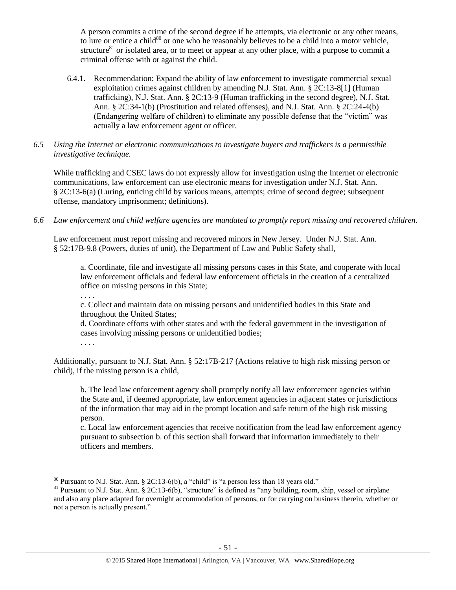A person commits a crime of the second degree if he attempts, via electronic or any other means, to lure or entice a child $80$  or one who he reasonably believes to be a child into a motor vehicle, structure<sup>81</sup> or isolated area, or to meet or appear at any other place, with a purpose to commit a criminal offense with or against the child.

- 6.4.1. Recommendation: Expand the ability of law enforcement to investigate commercial sexual exploitation crimes against children by amending N.J. Stat. Ann. § 2C:13-8[1] (Human trafficking), N.J. Stat. Ann. § 2C:13-9 (Human trafficking in the second degree), N.J. Stat. Ann. § 2C:34-1(b) (Prostitution and related offenses), and N.J. Stat. Ann. § 2C:24-4(b) (Endangering welfare of children) to eliminate any possible defense that the "victim" was actually a law enforcement agent or officer.
- *6.5 Using the Internet or electronic communications to investigate buyers and traffickers is a permissible investigative technique.*

While trafficking and CSEC laws do not expressly allow for investigation using the Internet or electronic communications, law enforcement can use electronic means for investigation under N.J. Stat. Ann. § 2C:13-6(a) (Luring, enticing child by various means, attempts; crime of second degree; subsequent offense, mandatory imprisonment; definitions).

*6.6 Law enforcement and child welfare agencies are mandated to promptly report missing and recovered children.* 

Law enforcement must report missing and recovered minors in New Jersey. Under N.J. Stat. Ann. § 52:17B-9.8 (Powers, duties of unit), the Department of Law and Public Safety shall,

a. Coordinate, file and investigate all missing persons cases in this State, and cooperate with local law enforcement officials and federal law enforcement officials in the creation of a centralized office on missing persons in this State;

. . . .

c. Collect and maintain data on missing persons and unidentified bodies in this State and throughout the United States;

d. Coordinate efforts with other states and with the federal government in the investigation of cases involving missing persons or unidentified bodies;

. . . .

Additionally, pursuant to N.J. Stat. Ann. § 52:17B-217 (Actions relative to high risk missing person or child), if the missing person is a child,

b. The lead law enforcement agency shall promptly notify all law enforcement agencies within the State and, if deemed appropriate, law enforcement agencies in adjacent states or jurisdictions of the information that may aid in the prompt location and safe return of the high risk missing person.

c. Local law enforcement agencies that receive notification from the lead law enforcement agency pursuant to subsection b. of this section shall forward that information immediately to their officers and members.

 $\overline{a}$  $80$  Pursuant to N.J. Stat. Ann. § 2C:13-6(b), a "child" is "a person less than 18 years old."

 $81$  Pursuant to N.J. Stat. Ann. § 2C:13-6(b), "structure" is defined as "any building, room, ship, vessel or airplane and also any place adapted for overnight accommodation of persons, or for carrying on business therein, whether or not a person is actually present."